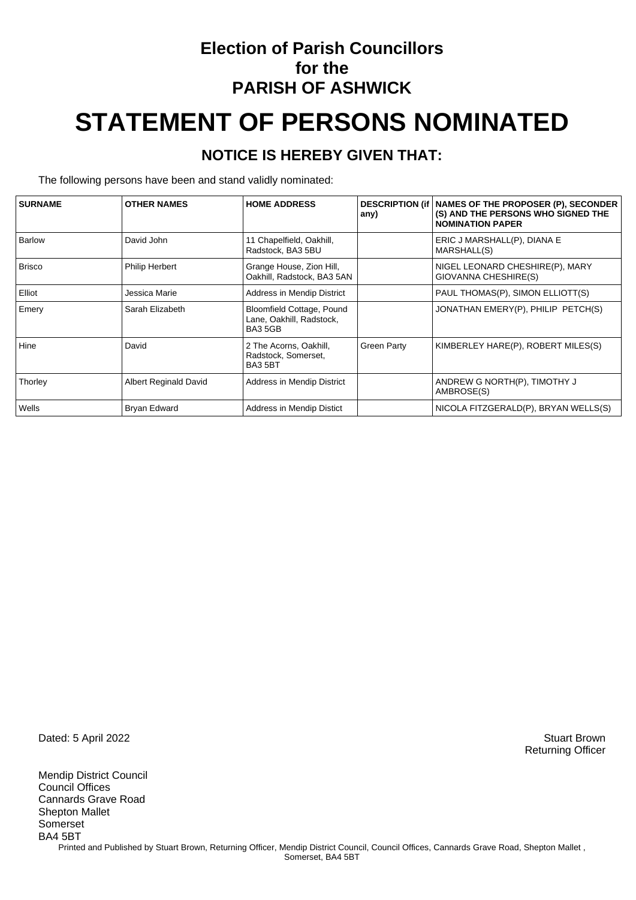### **Election of Parish Councillors for the PARISH OF ASHWICK**

# **STATEMENT OF PERSONS NOMINATED**

#### **NOTICE IS HEREBY GIVEN THAT:**

The following persons have been and stand validly nominated:

| <b>SURNAME</b> | <b>OTHER NAMES</b>           | <b>HOME ADDRESS</b>                                             | any)               | DESCRIPTION (if   NAMES OF THE PROPOSER (P), SECONDER<br>(S) AND THE PERSONS WHO SIGNED THE<br><b>NOMINATION PAPER</b> |
|----------------|------------------------------|-----------------------------------------------------------------|--------------------|------------------------------------------------------------------------------------------------------------------------|
| <b>Barlow</b>  | David John                   | 11 Chapelfield, Oakhill,<br>Radstock, BA3 5BU                   |                    | ERIC J MARSHALL(P), DIANA E<br>MARSHALL(S)                                                                             |
| <b>Brisco</b>  | <b>Philip Herbert</b>        | Grange House, Zion Hill,<br>Oakhill, Radstock, BA3 5AN          |                    | NIGEL LEONARD CHESHIRE(P), MARY<br>GIOVANNA CHESHIRE(S)                                                                |
| Elliot         | Jessica Marie                | Address in Mendip District                                      |                    | PAUL THOMAS(P), SIMON ELLIOTT(S)                                                                                       |
| Emery          | Sarah Elizabeth              | Bloomfield Cottage, Pound<br>Lane, Oakhill, Radstock,<br>BA35GB |                    | JONATHAN EMERY(P), PHILIP PETCH(S)                                                                                     |
| Hine           | David                        | 2 The Acorns, Oakhill,<br>Radstock, Somerset,<br>BA35BT         | <b>Green Party</b> | KIMBERLEY HARE(P), ROBERT MILES(S)                                                                                     |
| Thorley        | <b>Albert Reginald David</b> | Address in Mendip District                                      |                    | ANDREW G NORTH(P), TIMOTHY J<br>AMBROSE(S)                                                                             |
| Wells          | Bryan Edward                 | Address in Mendip Distict                                       |                    | NICOLA FITZGERALD(P), BRYAN WELLS(S)                                                                                   |

Dated: 5 April 2022 Stuart Brown

Mendip District Council Council Offices Cannards Grave Road Shepton Mallet Somerset BA4 5BT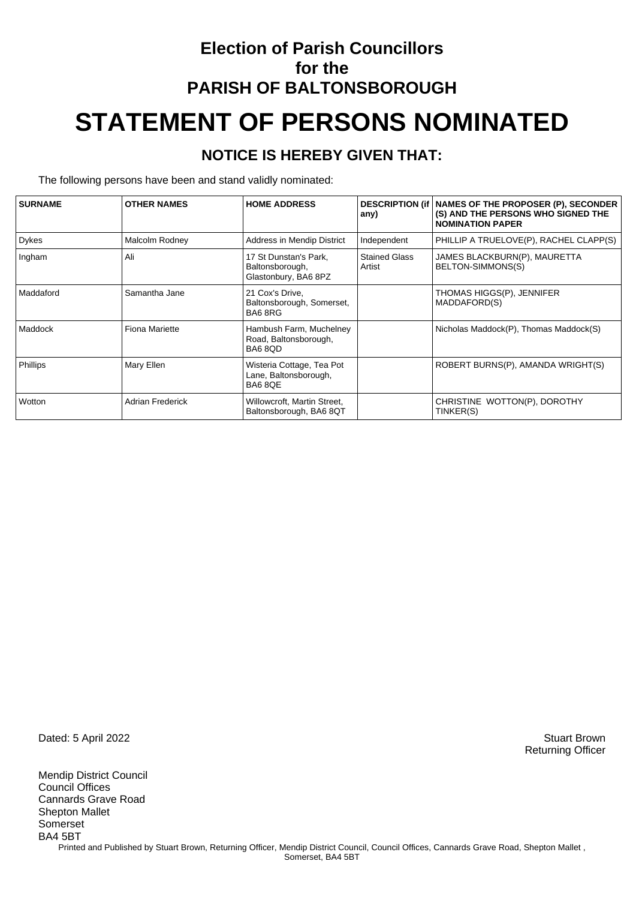# **Election of Parish Councillors for the PARISH OF BALTONSBOROUGH STATEMENT OF PERSONS NOMINATED**

#### **NOTICE IS HEREBY GIVEN THAT:**

The following persons have been and stand validly nominated:

| <b>SURNAME</b> | <b>OTHER NAMES</b>      | <b>HOME ADDRESS</b>                                              | any)                           | DESCRIPTION (if   NAMES OF THE PROPOSER (P), SECONDER<br>(S) AND THE PERSONS WHO SIGNED THE<br><b>NOMINATION PAPER</b> |
|----------------|-------------------------|------------------------------------------------------------------|--------------------------------|------------------------------------------------------------------------------------------------------------------------|
| Dykes          | Malcolm Rodney          | Address in Mendip District                                       | Independent                    | PHILLIP A TRUELOVE(P), RACHEL CLAPP(S)                                                                                 |
| Ingham         | Ali                     | 17 St Dunstan's Park,<br>Baltonsborough,<br>Glastonbury, BA6 8PZ | <b>Stained Glass</b><br>Artist | JAMES BLACKBURN(P), MAURETTA<br>BELTON-SIMMONS(S)                                                                      |
| Maddaford      | Samantha Jane           | 21 Cox's Drive.<br>Baltonsborough, Somerset,<br>BA68RG           |                                | THOMAS HIGGS(P), JENNIFER<br>MADDAFORD(S)                                                                              |
| Maddock        | <b>Fiona Mariette</b>   | Hambush Farm, Muchelney<br>Road, Baltonsborough,<br>BA68QD       |                                | Nicholas Maddock(P), Thomas Maddock(S)                                                                                 |
| Phillips       | Mary Ellen              | Wisteria Cottage, Tea Pot<br>Lane, Baltonsborough,<br>BA68QE     |                                | ROBERT BURNS(P), AMANDA WRIGHT(S)                                                                                      |
| Wotton         | <b>Adrian Frederick</b> | Willowcroft, Martin Street,<br>Baltonsborough, BA6 8QT           |                                | CHRISTINE WOTTON(P), DOROTHY<br>TINKER(S)                                                                              |

Dated: 5 April 2022 Stuart Brown

Mendip District Council Council Offices Cannards Grave Road Shepton Mallet Somerset BA4 5BT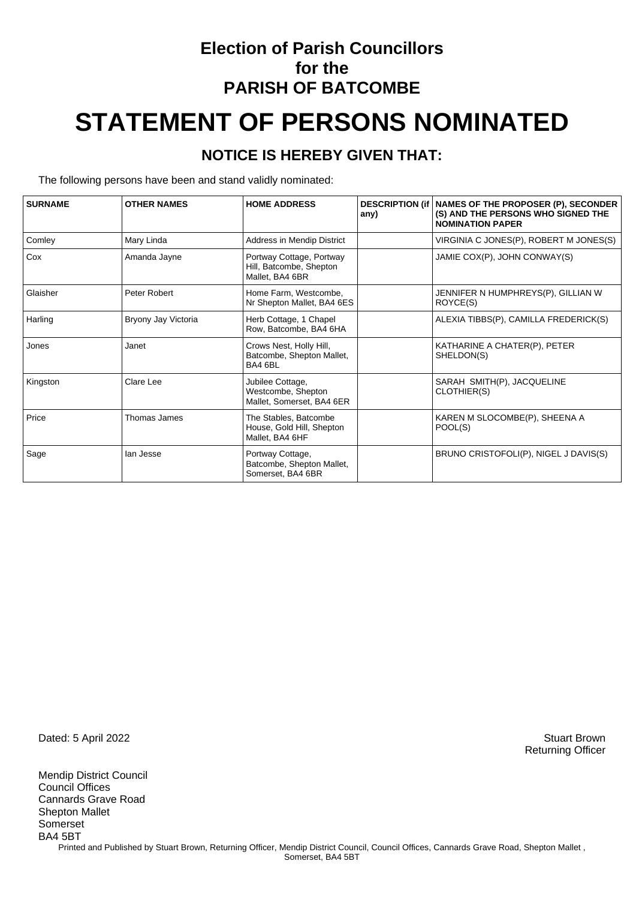### **Election of Parish Councillors for the PARISH OF BATCOMBE**

# **STATEMENT OF PERSONS NOMINATED**

#### **NOTICE IS HEREBY GIVEN THAT:**

The following persons have been and stand validly nominated:

| <b>SURNAME</b> | <b>OTHER NAMES</b>  | <b>HOME ADDRESS</b>                                                    | <b>DESCRIPTION (if</b><br>any) | NAMES OF THE PROPOSER (P), SECONDER<br>(S) AND THE PERSONS WHO SIGNED THE<br><b>NOMINATION PAPER</b> |
|----------------|---------------------|------------------------------------------------------------------------|--------------------------------|------------------------------------------------------------------------------------------------------|
| Comley         | Mary Linda          | Address in Mendip District                                             |                                | VIRGINIA C JONES(P), ROBERT M JONES(S)                                                               |
| Cox            | Amanda Jayne        | Portway Cottage, Portway<br>Hill, Batcombe, Shepton<br>Mallet, BA4 6BR |                                | JAMIE COX(P), JOHN CONWAY(S)                                                                         |
| Glaisher       | Peter Robert        | Home Farm, Westcombe,<br>Nr Shepton Mallet, BA4 6ES                    |                                | JENNIFER N HUMPHREYS(P), GILLIAN W<br>ROYCE(S)                                                       |
| Harling        | Bryony Jay Victoria | Herb Cottage, 1 Chapel<br>Row, Batcombe, BA4 6HA                       |                                | ALEXIA TIBBS(P), CAMILLA FREDERICK(S)                                                                |
| Jones          | Janet               | Crows Nest, Holly Hill,<br>Batcombe, Shepton Mallet,<br>BA4 6BL        |                                | KATHARINE A CHATER(P), PETER<br>SHELDON(S)                                                           |
| Kingston       | Clare Lee           | Jubilee Cottage,<br>Westcombe, Shepton<br>Mallet, Somerset, BA4 6ER    |                                | SARAH SMITH(P), JACQUELINE<br>CLOTHIER(S)                                                            |
| Price          | Thomas James        | The Stables, Batcombe<br>House, Gold Hill, Shepton<br>Mallet, BA4 6HF  |                                | KAREN M SLOCOMBE(P), SHEENA A<br>POOL(S)                                                             |
| Sage           | lan Jesse           | Portway Cottage,<br>Batcombe, Shepton Mallet,<br>Somerset, BA4 6BR     |                                | BRUNO CRISTOFOLI(P), NIGEL J DAVIS(S)                                                                |

Dated: 5 April 2022 Stuart Brown

Mendip District Council Council Offices Cannards Grave Road Shepton Mallet Somerset BA4 5BT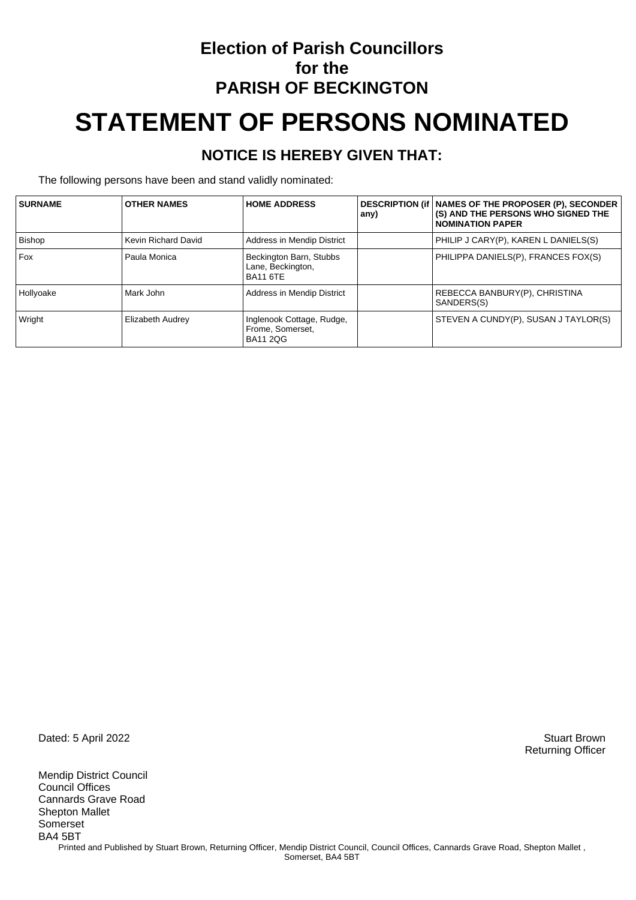### **Election of Parish Councillors for the PARISH OF BECKINGTON STATEMENT OF PERSONS NOMINATED**

### **NOTICE IS HEREBY GIVEN THAT:**

The following persons have been and stand validly nominated:

| <b>SURNAME</b> | <b>OTHER NAMES</b>      | <b>HOME ADDRESS</b>                                              | any) | DESCRIPTION (if   NAMES OF THE PROPOSER (P), SECONDER<br>(S) AND THE PERSONS WHO SIGNED THE<br><b>NOMINATION PAPER</b> |
|----------------|-------------------------|------------------------------------------------------------------|------|------------------------------------------------------------------------------------------------------------------------|
| Bishop         | Kevin Richard David     | Address in Mendip District                                       |      | PHILIP J CARY(P), KAREN L DANIELS(S)                                                                                   |
| <b>Fox</b>     | Paula Monica            | Beckington Barn, Stubbs<br>Lane, Beckington,<br><b>BA11 6TE</b>  |      | PHILIPPA DANIELS(P), FRANCES FOX(S)                                                                                    |
| Hollyoake      | Mark John               | Address in Mendip District                                       |      | REBECCA BANBURY(P), CHRISTINA<br>SANDERS(S)                                                                            |
| Wright         | <b>Elizabeth Audrey</b> | Inglenook Cottage, Rudge,<br>Frome, Somerset,<br><b>BA11 2QG</b> |      | STEVEN A CUNDY(P), SUSAN J TAYLOR(S)                                                                                   |

Dated: 5 April 2022 Stuart Brown

Mendip District Council Council Offices Cannards Grave Road Shepton Mallet Somerset BA4 5BT Printed and Published by Stuart Brown, Returning Officer, Mendip District Council, Council Offices, Cannards Grave Road, Shepton Mallet, Somerset, BA4 5BT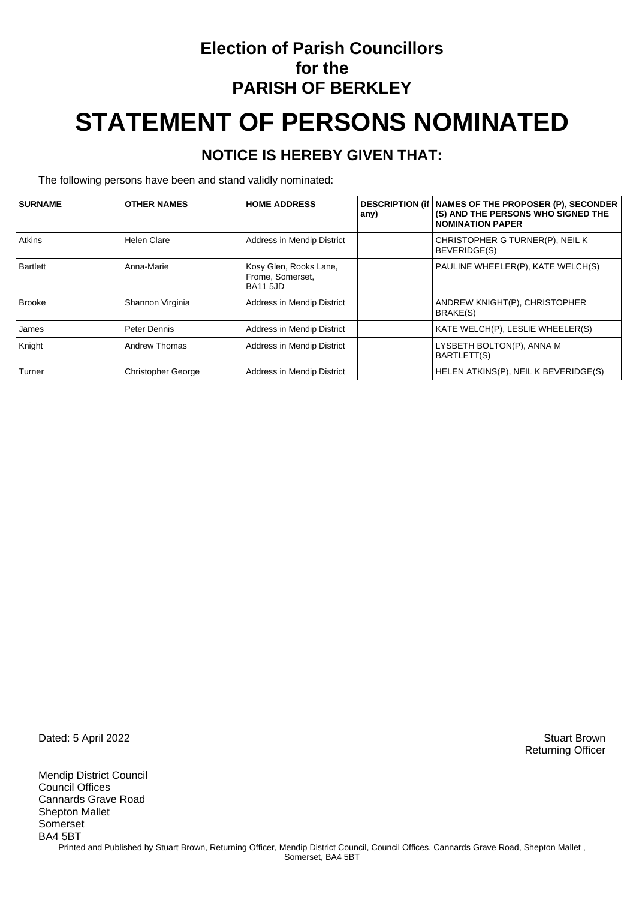### **Election of Parish Councillors for the PARISH OF BERKLEY**

# **STATEMENT OF PERSONS NOMINATED**

#### **NOTICE IS HEREBY GIVEN THAT:**

The following persons have been and stand validly nominated:

| <b>SURNAME</b> | <b>OTHER NAMES</b>        | <b>HOME ADDRESS</b>                                           | any) | DESCRIPTION (if   NAMES OF THE PROPOSER (P), SECONDER<br>(S) AND THE PERSONS WHO SIGNED THE<br><b>NOMINATION PAPER</b> |
|----------------|---------------------------|---------------------------------------------------------------|------|------------------------------------------------------------------------------------------------------------------------|
| Atkins         | <b>Helen Clare</b>        | Address in Mendip District                                    |      | CHRISTOPHER G TURNER(P), NEIL K<br>BEVERIDGE(S)                                                                        |
| Bartlett       | Anna-Marie                | Kosy Glen, Rooks Lane,<br>Frome, Somerset,<br><b>BA11 5JD</b> |      | PAULINE WHEELER(P), KATE WELCH(S)                                                                                      |
| <b>Brooke</b>  | Shannon Virginia          | Address in Mendip District                                    |      | ANDREW KNIGHT(P), CHRISTOPHER<br>BRAKE(S)                                                                              |
| James          | Peter Dennis              | Address in Mendip District                                    |      | KATE WELCH(P), LESLIE WHEELER(S)                                                                                       |
| Knight         | Andrew Thomas             | Address in Mendip District                                    |      | LYSBETH BOLTON(P), ANNA M<br>BARTLETT(S)                                                                               |
| Turner         | <b>Christopher George</b> | Address in Mendip District                                    |      | HELEN ATKINS(P), NEIL K BEVERIDGE(S)                                                                                   |

Dated: 5 April 2022 Stuart Brown

Mendip District Council Council Offices Cannards Grave Road Shepton Mallet Somerset BA4 5BT Printed and Published by Stuart Brown, Returning Officer, Mendip District Council, Council Offices, Cannards Grave Road, Shepton Mallet, Somerset, BA4 5BT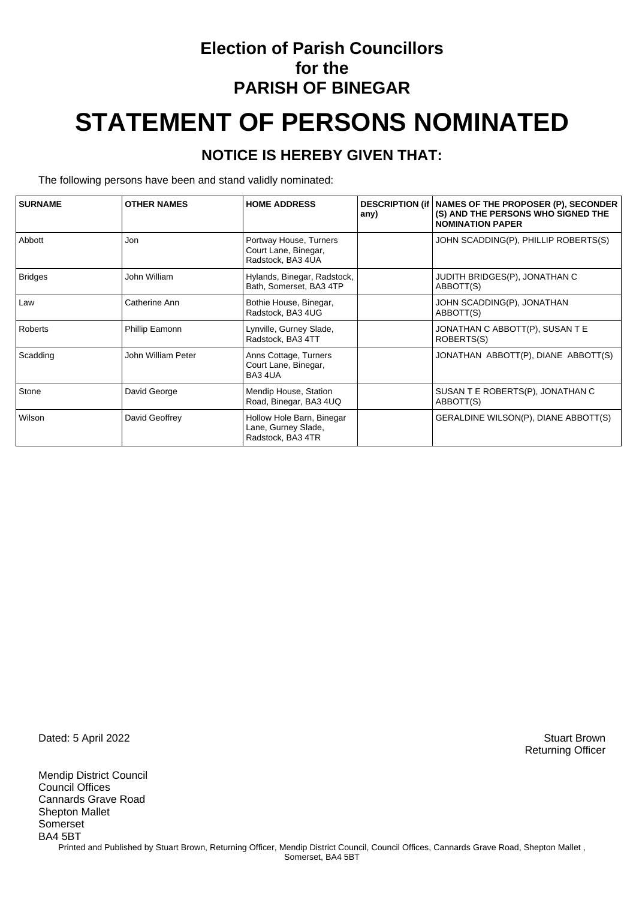### **Election of Parish Councillors for the PARISH OF BINEGAR**

# **STATEMENT OF PERSONS NOMINATED**

#### **NOTICE IS HEREBY GIVEN THAT:**

The following persons have been and stand validly nominated:

| <b>SURNAME</b> | <b>OTHER NAMES</b> | <b>HOME ADDRESS</b>                                                   | any) | DESCRIPTION (if   NAMES OF THE PROPOSER (P), SECONDER<br>(S) AND THE PERSONS WHO SIGNED THE<br><b>NOMINATION PAPER</b> |
|----------------|--------------------|-----------------------------------------------------------------------|------|------------------------------------------------------------------------------------------------------------------------|
| Abbott         | Jon                | Portway House, Turners<br>Court Lane, Binegar,<br>Radstock, BA3 4UA   |      | JOHN SCADDING(P), PHILLIP ROBERTS(S)                                                                                   |
| <b>Bridges</b> | John William       | Hylands, Binegar, Radstock,<br>Bath, Somerset, BA3 4TP                |      | JUDITH BRIDGES(P), JONATHAN C<br>ABBOTT(S)                                                                             |
| Law            | Catherine Ann      | Bothie House, Binegar,<br>Radstock, BA3 4UG                           |      | JOHN SCADDING(P), JONATHAN<br>ABBOTT(S)                                                                                |
| Roberts        | Phillip Eamonn     | Lynville, Gurney Slade,<br>Radstock, BA3 4TT                          |      | JONATHAN C ABBOTT(P), SUSAN T E<br>ROBERTS(S)                                                                          |
| Scadding       | John William Peter | Anns Cottage, Turners<br>Court Lane, Binegar,<br>BA34UA               |      | JONATHAN ABBOTT(P), DIANE ABBOTT(S)                                                                                    |
| Stone          | David George       | Mendip House, Station<br>Road, Binegar, BA3 4UQ                       |      | SUSAN T E ROBERTS(P), JONATHAN C<br>ABBOTT(S)                                                                          |
| Wilson         | David Geoffrey     | Hollow Hole Barn, Binegar<br>Lane, Gurney Slade,<br>Radstock, BA3 4TR |      | GERALDINE WILSON(P), DIANE ABBOTT(S)                                                                                   |

Dated: 5 April 2022 Stuart Brown

Mendip District Council Council Offices Cannards Grave Road Shepton Mallet Somerset BA4 5BT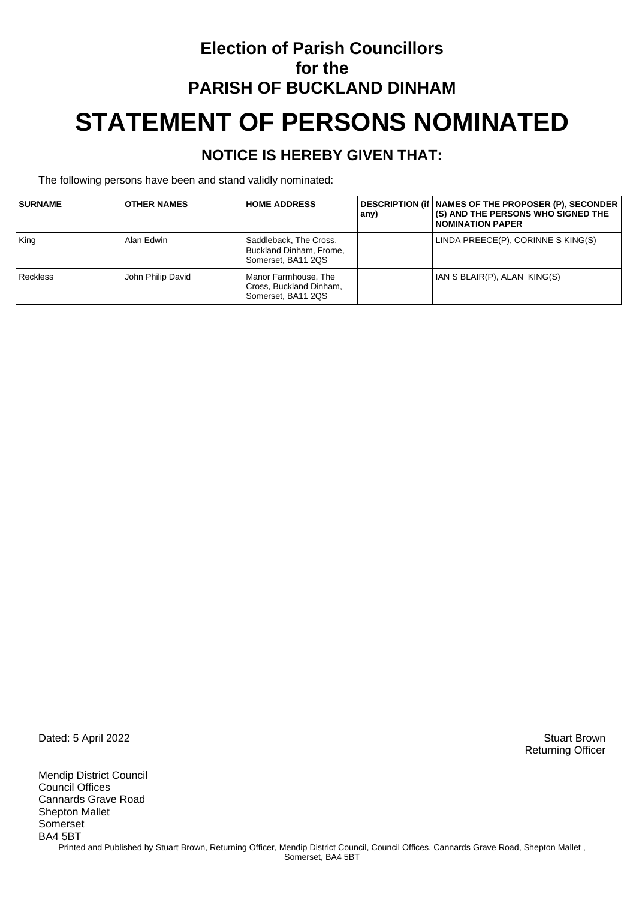# **Election of Parish Councillors for the PARISH OF BUCKLAND DINHAM STATEMENT OF PERSONS NOMINATED**

#### **NOTICE IS HEREBY GIVEN THAT:**

The following persons have been and stand validly nominated:

| <b>SURNAME</b>  | <b>OTHER NAMES</b> | <b>HOME ADDRESS</b>                                                     | any) | DESCRIPTION (if   NAMES OF THE PROPOSER (P), SECONDER<br>(S) AND THE PERSONS WHO SIGNED THE<br><b>NOMINATION PAPER</b> |
|-----------------|--------------------|-------------------------------------------------------------------------|------|------------------------------------------------------------------------------------------------------------------------|
| King            | Alan Edwin         | Saddleback, The Cross,<br>Buckland Dinham, Frome,<br>Somerset, BA11 2QS |      | LINDA PREECE(P), CORINNE S KING(S)                                                                                     |
| <b>Reckless</b> | John Philip David  | Manor Farmhouse, The<br>Cross, Buckland Dinham,<br>Somerset, BA11 2QS   |      | IAN S BLAIR(P), ALAN KING(S)                                                                                           |

Dated: 5 April 2022 Stuart Brown

Mendip District Council Council Offices Cannards Grave Road Shepton Mallet Somerset BA4 5BT Printed and Published by Stuart Brown, Returning Officer, Mendip District Council, Council Offices, Cannards Grave Road, Shepton Mallet, Somerset, BA4 5BT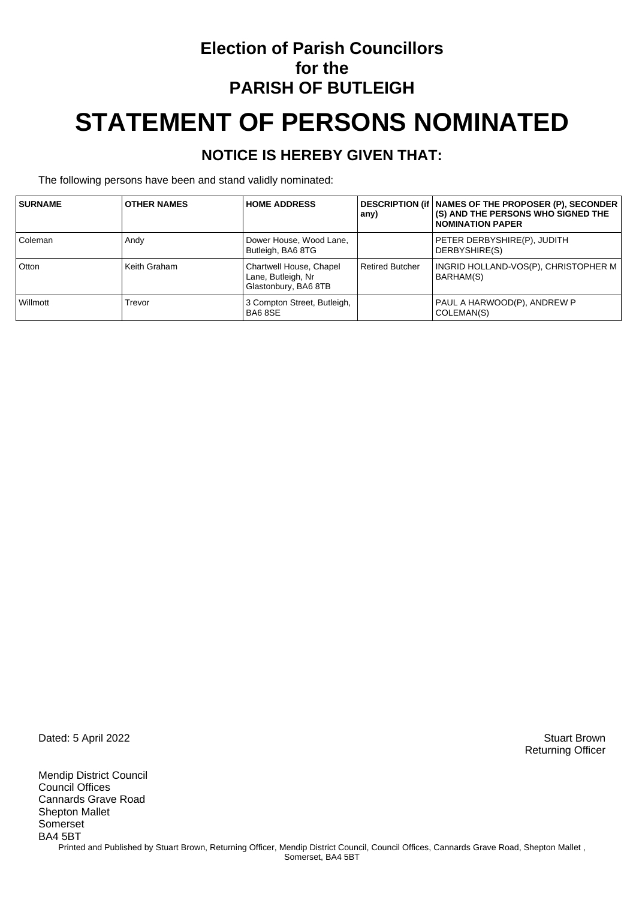### **Election of Parish Councillors for the PARISH OF BUTLEIGH**

# **STATEMENT OF PERSONS NOMINATED**

#### **NOTICE IS HEREBY GIVEN THAT:**

The following persons have been and stand validly nominated:

| <b>SURNAME</b> | <b>OTHER NAMES</b> | <b>HOME ADDRESS</b>                                                   | any)                   | DESCRIPTION (if   NAMES OF THE PROPOSER (P), SECONDER<br><b>(S) AND THE PERSONS WHO SIGNED THE</b><br>I NOMINATION PAPER |
|----------------|--------------------|-----------------------------------------------------------------------|------------------------|--------------------------------------------------------------------------------------------------------------------------|
| Coleman        | Andy               | Dower House, Wood Lane,<br>Butleigh, BA6 8TG                          |                        | PETER DERBYSHIRE(P), JUDITH<br>DERBYSHIRE(S)                                                                             |
| Otton          | Keith Graham       | Chartwell House, Chapel<br>Lane, Butleigh, Nr<br>Glastonbury, BA6 8TB | <b>Retired Butcher</b> | INGRID HOLLAND-VOS(P), CHRISTOPHER M<br>BARHAM(S)                                                                        |
| Willmott       | Trevor             | 3 Compton Street, Butleigh,<br>BA68SE                                 |                        | PAUL A HARWOOD(P), ANDREW P<br>COLEMAN(S)                                                                                |

Dated: 5 April 2022 Stuart Brown

Mendip District Council Council Offices Cannards Grave Road Shepton Mallet Somerset BA4 5BT Printed and Published by Stuart Brown, Returning Officer, Mendip District Council, Council Offices, Cannards Grave Road, Shepton Mallet, Somerset, BA4 5BT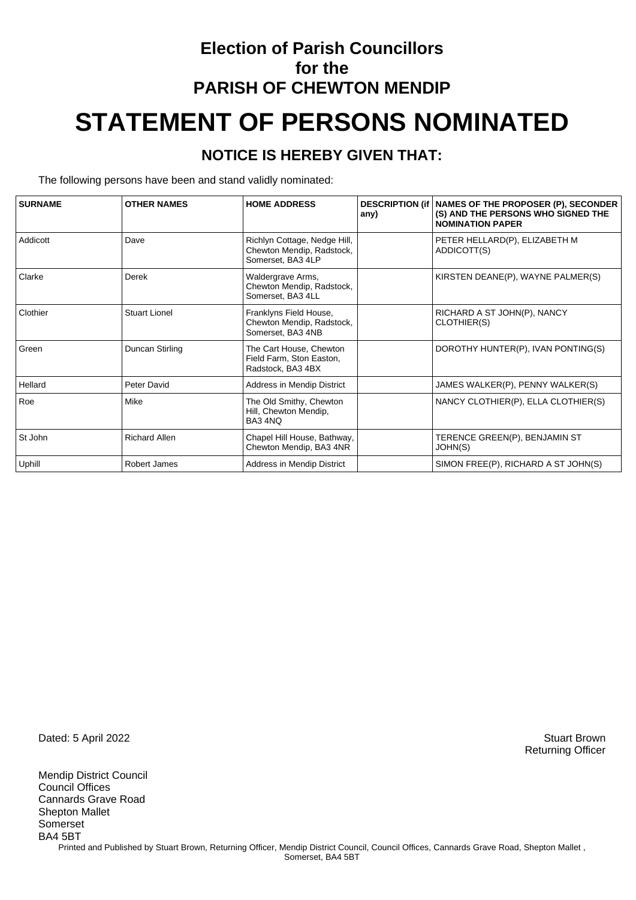## **Election of Parish Councillors for the PARISH OF CHEWTON MENDIP STATEMENT OF PERSONS NOMINATED**

#### **NOTICE IS HEREBY GIVEN THAT:**

The following persons have been and stand validly nominated:

| <b>SURNAME</b> | <b>OTHER NAMES</b>   | <b>HOME ADDRESS</b>                                                            | any) | <b>DESCRIPTION (if   NAMES OF THE PROPOSER (P), SECONDER</b><br>(S) AND THE PERSONS WHO SIGNED THE<br><b>NOMINATION PAPER</b> |
|----------------|----------------------|--------------------------------------------------------------------------------|------|-------------------------------------------------------------------------------------------------------------------------------|
| Addicott       | Dave                 | Richlyn Cottage, Nedge Hill,<br>Chewton Mendip, Radstock,<br>Somerset, BA3 4LP |      | PETER HELLARD(P), ELIZABETH M<br>ADDICOTT(S)                                                                                  |
| Clarke         | Derek                | Waldergrave Arms,<br>Chewton Mendip, Radstock,<br>Somerset, BA3 4LL            |      | KIRSTEN DEANE(P), WAYNE PALMER(S)                                                                                             |
| Clothier       | <b>Stuart Lionel</b> | Franklyns Field House,<br>Chewton Mendip, Radstock,<br>Somerset, BA3 4NB       |      | RICHARD A ST JOHN(P), NANCY<br>CLOTHIER(S)                                                                                    |
| Green          | Duncan Stirling      | The Cart House, Chewton<br>Field Farm, Ston Easton,<br>Radstock, BA3 4BX       |      | DOROTHY HUNTER(P), IVAN PONTING(S)                                                                                            |
| Hellard        | Peter David          | Address in Mendip District                                                     |      | JAMES WALKER(P), PENNY WALKER(S)                                                                                              |
| Roe            | Mike                 | The Old Smithy, Chewton<br>Hill, Chewton Mendip,<br>BA3 4NQ                    |      | NANCY CLOTHIER(P), ELLA CLOTHIER(S)                                                                                           |
| St John        | <b>Richard Allen</b> | Chapel Hill House, Bathway,<br>Chewton Mendip, BA3 4NR                         |      | TERENCE GREEN(P), BENJAMIN ST<br>JOHN(S)                                                                                      |
| Uphill         | Robert James         | Address in Mendip District                                                     |      | SIMON FREE(P), RICHARD A ST JOHN(S)                                                                                           |

Dated: 5 April 2022 Stuart Brown

Mendip District Council Council Offices Cannards Grave Road Shepton Mallet Somerset BA4 5BT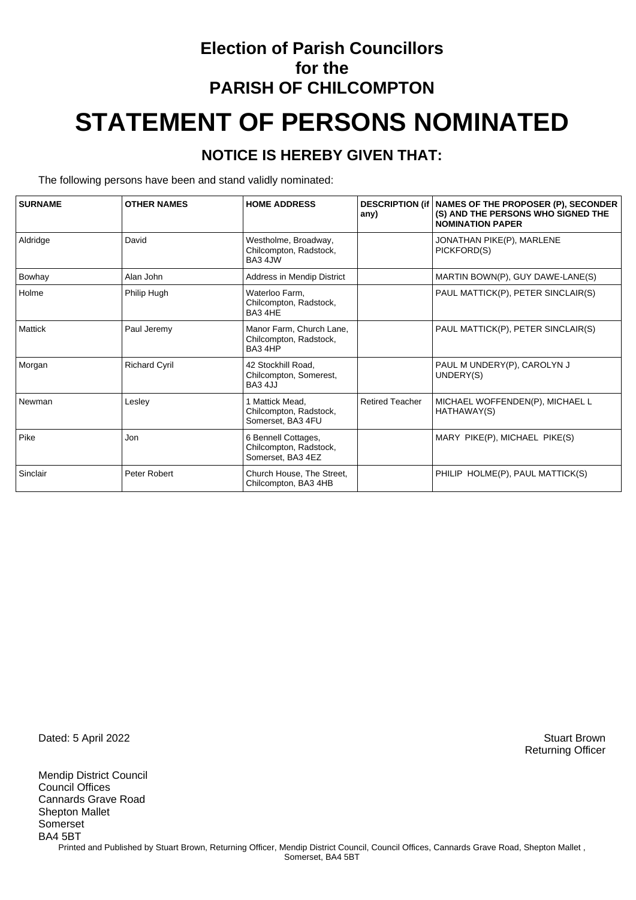## **Election of Parish Councillors for the PARISH OF CHILCOMPTON STATEMENT OF PERSONS NOMINATED**

#### **NOTICE IS HEREBY GIVEN THAT:**

The following persons have been and stand validly nominated:

| <b>SURNAME</b> | <b>OTHER NAMES</b>   | <b>HOME ADDRESS</b>                                                | any)                   | <b>DESCRIPTION (if   NAMES OF THE PROPOSER (P), SECONDER</b><br>(S) AND THE PERSONS WHO SIGNED THE<br><b>NOMINATION PAPER</b> |
|----------------|----------------------|--------------------------------------------------------------------|------------------------|-------------------------------------------------------------------------------------------------------------------------------|
| Aldridge       | David                | Westholme, Broadway,<br>Chilcompton, Radstock,<br>BA3 4JW          |                        | JONATHAN PIKE(P), MARLENE<br>PICKFORD(S)                                                                                      |
| Bowhay         | Alan John            | Address in Mendip District                                         |                        | MARTIN BOWN(P), GUY DAWE-LANE(S)                                                                                              |
| Holme          | Philip Hugh          | Waterloo Farm.<br>Chilcompton, Radstock,<br>BA34HE                 |                        | PAUL MATTICK(P), PETER SINCLAIR(S)                                                                                            |
| <b>Mattick</b> | Paul Jeremy          | Manor Farm, Church Lane,<br>Chilcompton, Radstock,<br>BA34HP       |                        | PAUL MATTICK(P), PETER SINCLAIR(S)                                                                                            |
| Morgan         | <b>Richard Cyril</b> | 42 Stockhill Road.<br>Chilcompton, Somerest,<br>BA34JJ             |                        | PAUL M UNDERY(P), CAROLYN J<br>UNDERY(S)                                                                                      |
| Newman         | Lesley               | 1 Mattick Mead.<br>Chilcompton, Radstock,<br>Somerset, BA3 4FU     | <b>Retired Teacher</b> | MICHAEL WOFFENDEN(P), MICHAEL L<br>HATHAWAY(S)                                                                                |
| Pike           | Jon                  | 6 Bennell Cottages,<br>Chilcompton, Radstock,<br>Somerset, BA3 4EZ |                        | MARY PIKE(P), MICHAEL PIKE(S)                                                                                                 |
| Sinclair       | Peter Robert         | Church House, The Street,<br>Chilcompton, BA3 4HB                  |                        | PHILIP HOLME(P), PAUL MATTICK(S)                                                                                              |

Dated: 5 April 2022 Stuart Brown

Mendip District Council Council Offices Cannards Grave Road Shepton Mallet Somerset BA4 5BT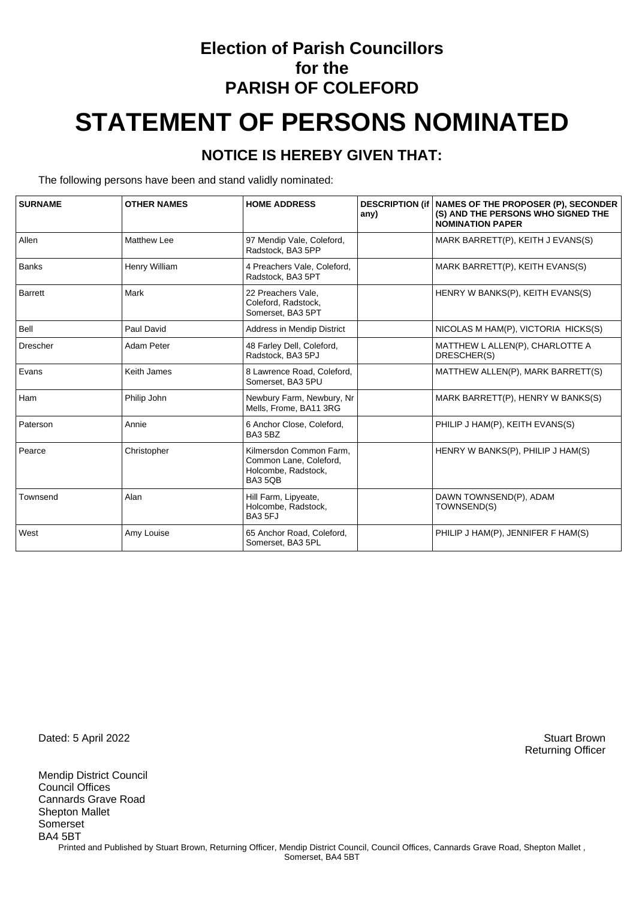### **Election of Parish Councillors for the PARISH OF COLEFORD**

# **STATEMENT OF PERSONS NOMINATED**

#### **NOTICE IS HEREBY GIVEN THAT:**

The following persons have been and stand validly nominated:

| <b>SURNAME</b>  | <b>OTHER NAMES</b> | <b>HOME ADDRESS</b>                                                                | <b>DESCRIPTION (if</b><br>any) | <b>NAMES OF THE PROPOSER (P), SECONDER</b><br>(S) AND THE PERSONS WHO SIGNED THE<br><b>NOMINATION PAPER</b> |
|-----------------|--------------------|------------------------------------------------------------------------------------|--------------------------------|-------------------------------------------------------------------------------------------------------------|
| Allen           | <b>Matthew Lee</b> | 97 Mendip Vale, Coleford,<br>Radstock, BA3 5PP                                     |                                | MARK BARRETT(P), KEITH J EVANS(S)                                                                           |
| <b>Banks</b>    | Henry William      | 4 Preachers Vale, Coleford,<br>Radstock, BA3 5PT                                   |                                | MARK BARRETT(P), KEITH EVANS(S)                                                                             |
| <b>Barrett</b>  | Mark               | 22 Preachers Vale.<br>Coleford, Radstock,<br>Somerset, BA3 5PT                     |                                | HENRY W BANKS(P), KEITH EVANS(S)                                                                            |
| Bell            | Paul David         | Address in Mendip District                                                         |                                | NICOLAS M HAM(P), VICTORIA HICKS(S)                                                                         |
| <b>Drescher</b> | Adam Peter         | 48 Farley Dell, Coleford,<br>Radstock, BA3 5PJ                                     |                                | MATTHEW L ALLEN(P), CHARLOTTE A<br>DRESCHER(S)                                                              |
| Evans           | Keith James        | 8 Lawrence Road, Coleford,<br>Somerset. BA3 5PU                                    |                                | MATTHEW ALLEN(P), MARK BARRETT(S)                                                                           |
| Ham             | Philip John        | Newbury Farm, Newbury, Nr<br>Mells, Frome, BA11 3RG                                |                                | MARK BARRETT(P), HENRY W BANKS(S)                                                                           |
| Paterson        | Annie              | 6 Anchor Close, Coleford,<br>BA35BZ                                                |                                | PHILIP J HAM(P), KEITH EVANS(S)                                                                             |
| Pearce          | Christopher        | Kilmersdon Common Farm,<br>Common Lane, Coleford,<br>Holcombe, Radstock,<br>BA35QB |                                | HENRY W BANKS(P), PHILIP J HAM(S)                                                                           |
| Townsend        | Alan               | Hill Farm, Lipyeate,<br>Holcombe, Radstock,<br>BA3 5FJ                             |                                | DAWN TOWNSEND(P), ADAM<br>TOWNSEND(S)                                                                       |
| West            | Amy Louise         | 65 Anchor Road, Coleford,<br>Somerset, BA3 5PL                                     |                                | PHILIP J HAM(P), JENNIFER F HAM(S)                                                                          |

Dated: 5 April 2022 Stuart Brown

Mendip District Council Council Offices Cannards Grave Road Shepton Mallet Somerset BA4 5BT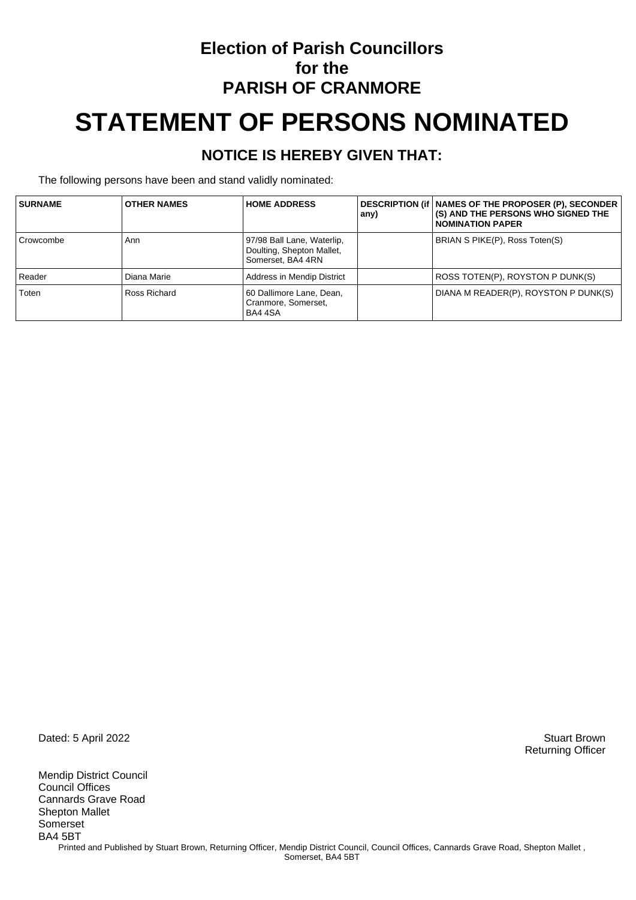### **Election of Parish Councillors for the PARISH OF CRANMORE**

# **STATEMENT OF PERSONS NOMINATED**

#### **NOTICE IS HEREBY GIVEN THAT:**

The following persons have been and stand validly nominated:

| <b>SURNAME</b> | <b>OTHER NAMES</b> | <b>HOME ADDRESS</b>                                                          | any) | DESCRIPTION (if   NAMES OF THE PROPOSER (P), SECONDER<br>(S) AND THE PERSONS WHO SIGNED THE<br><b>NOMINATION PAPER</b> |
|----------------|--------------------|------------------------------------------------------------------------------|------|------------------------------------------------------------------------------------------------------------------------|
| Crowcombe      | Ann                | 97/98 Ball Lane, Waterlip,<br>Doulting, Shepton Mallet,<br>Somerset, BA4 4RN |      | BRIAN S PIKE(P), Ross Toten(S)                                                                                         |
| Reader         | Diana Marie        | Address in Mendip District                                                   |      | ROSS TOTEN(P), ROYSTON P DUNK(S)                                                                                       |
| Toten          | Ross Richard       | 60 Dallimore Lane, Dean,<br>Cranmore, Somerset,<br>BA4 4SA                   |      | DIANA M READER(P), ROYSTON P DUNK(S)                                                                                   |

Dated: 5 April 2022 Stuart Brown

Mendip District Council Council Offices Cannards Grave Road Shepton Mallet Somerset BA4 5BT Printed and Published by Stuart Brown, Returning Officer, Mendip District Council, Council Offices, Cannards Grave Road, Shepton Mallet, Somerset, BA4 5BT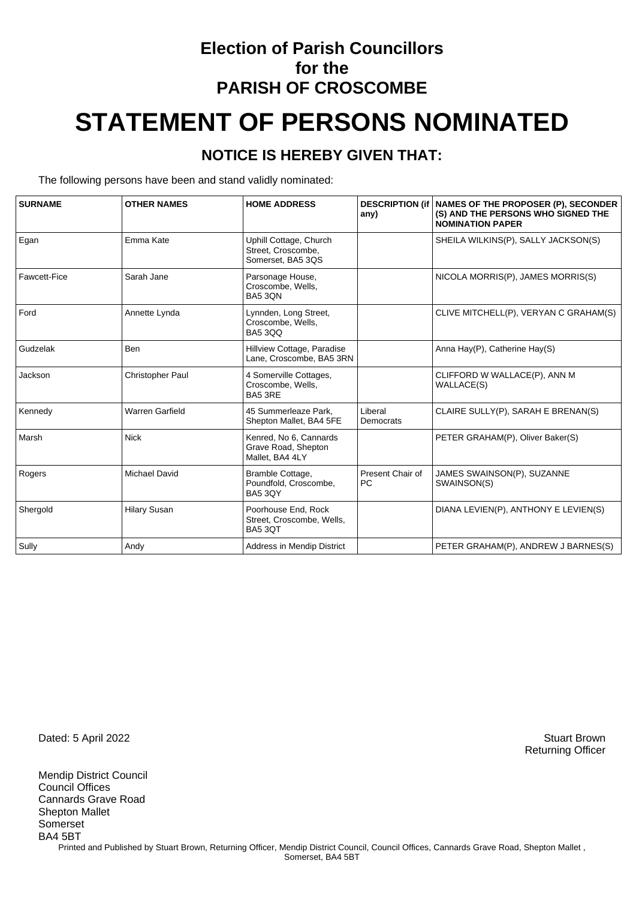### **Election of Parish Councillors for the PARISH OF CROSCOMBE**

# **STATEMENT OF PERSONS NOMINATED**

#### **NOTICE IS HEREBY GIVEN THAT:**

The following persons have been and stand validly nominated:

| <b>SURNAME</b> | <b>OTHER NAMES</b>      | <b>HOME ADDRESS</b>                                               | any)                          | DESCRIPTION (if   NAMES OF THE PROPOSER (P), SECONDER<br>(S) AND THE PERSONS WHO SIGNED THE<br><b>NOMINATION PAPER</b> |
|----------------|-------------------------|-------------------------------------------------------------------|-------------------------------|------------------------------------------------------------------------------------------------------------------------|
| Egan           | Emma Kate               | Uphill Cottage, Church<br>Street, Croscombe,<br>Somerset, BA5 3QS |                               | SHEILA WILKINS(P), SALLY JACKSON(S)                                                                                    |
| Fawcett-Fice   | Sarah Jane              | Parsonage House,<br>Croscombe, Wells,<br><b>BA5 3QN</b>           |                               | NICOLA MORRIS(P), JAMES MORRIS(S)                                                                                      |
| Ford           | Annette Lynda           | Lynnden, Long Street,<br>Croscombe, Wells,<br><b>BA5 3QQ</b>      |                               | CLIVE MITCHELL(P), VERYAN C GRAHAM(S)                                                                                  |
| Gudzelak       | <b>Ben</b>              | Hillview Cottage, Paradise<br>Lane, Croscombe, BA5 3RN            |                               | Anna Hay(P), Catherine Hay(S)                                                                                          |
| Jackson        | <b>Christopher Paul</b> | 4 Somerville Cottages,<br>Croscombe, Wells,<br>BA5 3RE            |                               | CLIFFORD W WALLACE(P), ANN M<br><b>WALLACE(S)</b>                                                                      |
| Kennedy        | <b>Warren Garfield</b>  | 45 Summerleaze Park.<br>Shepton Mallet, BA4 5FE                   | Liberal<br>Democrats          | CLAIRE SULLY(P), SARAH E BRENAN(S)                                                                                     |
| Marsh          | <b>Nick</b>             | Kenred. No 6. Cannards<br>Grave Road, Shepton<br>Mallet, BA4 4LY  |                               | PETER GRAHAM(P), Oliver Baker(S)                                                                                       |
| Rogers         | <b>Michael David</b>    | Bramble Cottage,<br>Poundfold, Croscombe,<br><b>BA5 3QY</b>       | Present Chair of<br><b>PC</b> | JAMES SWAINSON(P), SUZANNE<br>SWAINSON(S)                                                                              |
| Shergold       | <b>Hilary Susan</b>     | Poorhouse End, Rock<br>Street, Croscombe, Wells,<br>BA5 3QT       |                               | DIANA LEVIEN(P), ANTHONY E LEVIEN(S)                                                                                   |
| Sully          | Andy                    | <b>Address in Mendip District</b>                                 |                               | PETER GRAHAM(P), ANDREW J BARNES(S)                                                                                    |

Dated: 5 April 2022 Stuart Brown

Mendip District Council Council Offices Cannards Grave Road Shepton Mallet Somerset BA4 5BT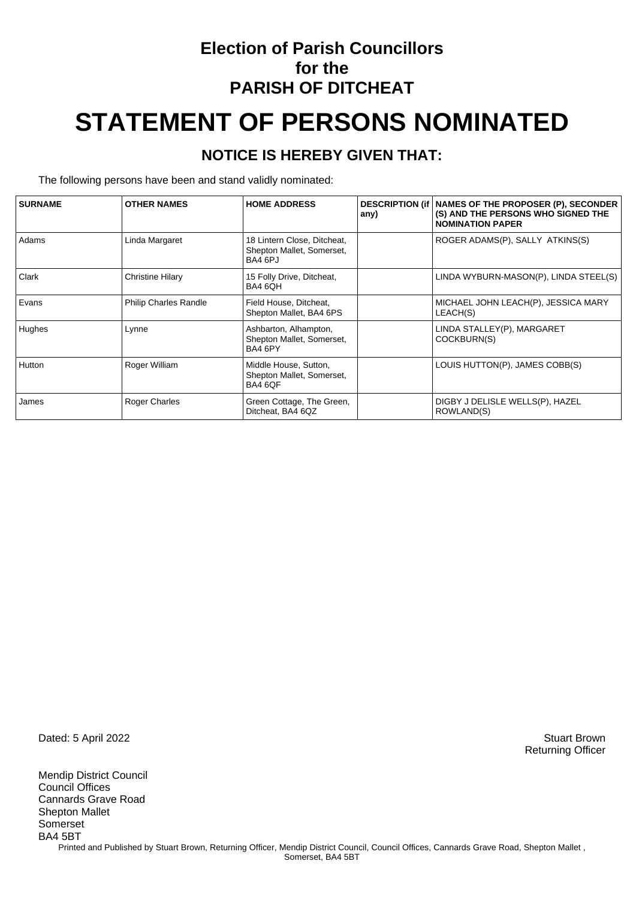### **Election of Parish Councillors for the PARISH OF DITCHEAT**

# **STATEMENT OF PERSONS NOMINATED**

#### **NOTICE IS HEREBY GIVEN THAT:**

The following persons have been and stand validly nominated:

| <b>SURNAME</b> | <b>OTHER NAMES</b>           | <b>HOME ADDRESS</b>                                                 | any) | <b>DESCRIPTION (if   NAMES OF THE PROPOSER (P), SECONDER</b><br>(S) AND THE PERSONS WHO SIGNED THE<br><b>NOMINATION PAPER</b> |
|----------------|------------------------------|---------------------------------------------------------------------|------|-------------------------------------------------------------------------------------------------------------------------------|
| Adams          | Linda Margaret               | 18 Lintern Close, Ditcheat,<br>Shepton Mallet, Somerset,<br>BA4 6PJ |      | ROGER ADAMS(P), SALLY ATKINS(S)                                                                                               |
| Clark          | <b>Christine Hilary</b>      | 15 Folly Drive, Ditcheat,<br>BA4 6QH                                |      | LINDA WYBURN-MASON(P), LINDA STEEL(S)                                                                                         |
| Evans          | <b>Philip Charles Randle</b> | Field House, Ditcheat,<br>Shepton Mallet, BA4 6PS                   |      | MICHAEL JOHN LEACH(P), JESSICA MARY<br>LEACH(S)                                                                               |
| Hughes         | Lynne                        | Ashbarton, Alhampton,<br>Shepton Mallet, Somerset,<br>BA4 6PY       |      | LINDA STALLEY(P), MARGARET<br>COCKBURN(S)                                                                                     |
| <b>Hutton</b>  | Roger William                | Middle House, Sutton,<br>Shepton Mallet, Somerset,<br>BA4 6QF       |      | LOUIS HUTTON(P), JAMES COBB(S)                                                                                                |
| James          | Roger Charles                | Green Cottage, The Green,<br>Ditcheat, BA4 6QZ                      |      | DIGBY J DELISLE WELLS(P), HAZEL<br>ROWLAND(S)                                                                                 |

Dated: 5 April 2022 Stuart Brown

Mendip District Council Council Offices Cannards Grave Road Shepton Mallet Somerset BA4 5BT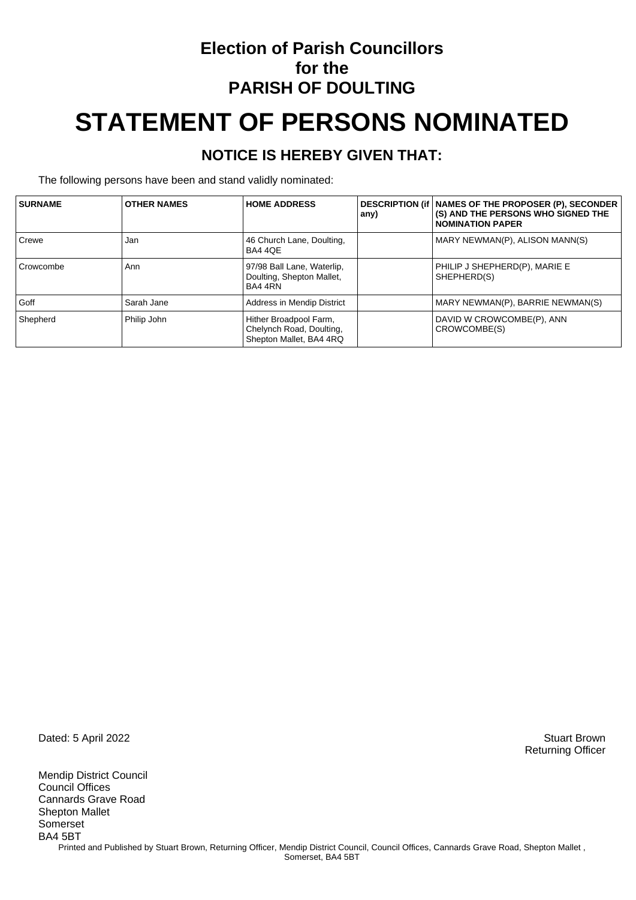### **Election of Parish Councillors for the PARISH OF DOULTING**

# **STATEMENT OF PERSONS NOMINATED**

#### **NOTICE IS HEREBY GIVEN THAT:**

The following persons have been and stand validly nominated:

| <b>SURNAME</b> | <b>OTHER NAMES</b> | <b>HOME ADDRESS</b>                                                           | any) | DESCRIPTION (if   NAMES OF THE PROPOSER (P), SECONDER<br>(S) AND THE PERSONS WHO SIGNED THE<br><b>NOMINATION PAPER</b> |
|----------------|--------------------|-------------------------------------------------------------------------------|------|------------------------------------------------------------------------------------------------------------------------|
| Crewe          | Jan                | 46 Church Lane, Doulting,<br>BA4 4QE                                          |      | MARY NEWMAN(P), ALISON MANN(S)                                                                                         |
| Crowcombe      | Ann                | 97/98 Ball Lane, Waterlip,<br>Doulting, Shepton Mallet,<br>BA4 4RN            |      | PHILIP J SHEPHERD(P), MARIE E<br>SHEPHERD(S)                                                                           |
| Goff           | Sarah Jane         | Address in Mendip District                                                    |      | MARY NEWMAN(P), BARRIE NEWMAN(S)                                                                                       |
| Shepherd       | Philip John        | Hither Broadpool Farm,<br>Chelynch Road, Doulting,<br>Shepton Mallet, BA4 4RQ |      | DAVID W CROWCOMBE(P), ANN<br>CROWCOMBE(S)                                                                              |

Dated: 5 April 2022 Stuart Brown

Mendip District Council Council Offices Cannards Grave Road Shepton Mallet Somerset BA4 5BT Printed and Published by Stuart Brown, Returning Officer, Mendip District Council, Council Offices, Cannards Grave Road, Shepton Mallet, Somerset, BA4 5BT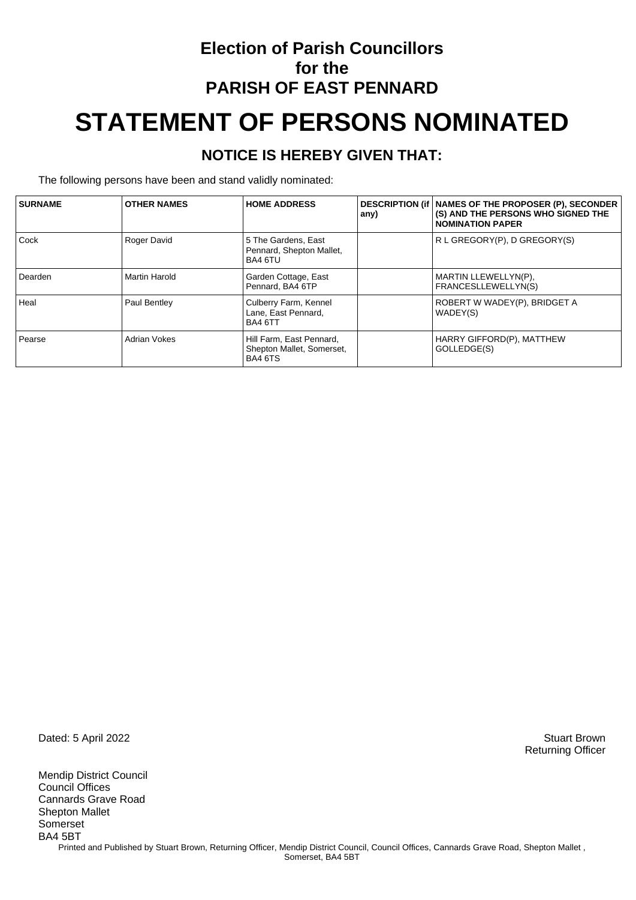## **Election of Parish Councillors for the PARISH OF EAST PENNARD STATEMENT OF PERSONS NOMINATED**

#### **NOTICE IS HEREBY GIVEN THAT:**

The following persons have been and stand validly nominated:

| <b>SURNAME</b> | <b>OTHER NAMES</b>   | <b>HOME ADDRESS</b>                                              | any) | DESCRIPTION (if   NAMES OF THE PROPOSER (P), SECONDER<br>(S) AND THE PERSONS WHO SIGNED THE<br><b>NOMINATION PAPER</b> |
|----------------|----------------------|------------------------------------------------------------------|------|------------------------------------------------------------------------------------------------------------------------|
| Cock           | Roger David          | 5 The Gardens, East<br>Pennard, Shepton Mallet,<br>BA4 6TU       |      | R L GREGORY(P), D GREGORY(S)                                                                                           |
| Dearden        | <b>Martin Harold</b> | Garden Cottage, East<br>Pennard, BA4 6TP                         |      | MARTIN LLEWELLYN(P),<br><b>FRANCESLLEWELLYN(S)</b>                                                                     |
| Heal           | Paul Bentley         | Culberry Farm, Kennel<br>Lane, East Pennard,<br>BA4 6TT          |      | ROBERT W WADEY(P), BRIDGET A<br>WADEY(S)                                                                               |
| Pearse         | <b>Adrian Vokes</b>  | Hill Farm, East Pennard,<br>Shepton Mallet, Somerset,<br>BA4 6TS |      | HARRY GIFFORD(P), MATTHEW<br>GOLLEDGE(S)                                                                               |

Dated: 5 April 2022 Stuart Brown

Mendip District Council Council Offices Cannards Grave Road Shepton Mallet Somerset BA4 5BT Printed and Published by Stuart Brown, Returning Officer, Mendip District Council, Council Offices, Cannards Grave Road, Shepton Mallet, Somerset, BA4 5BT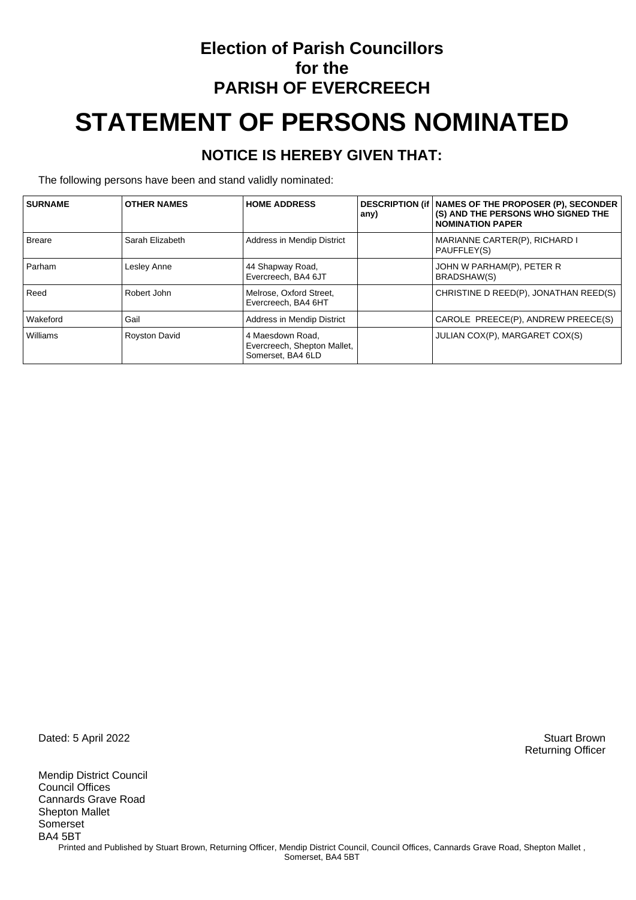### **Election of Parish Councillors for the PARISH OF EVERCREECH STATEMENT OF PERSONS NOMINATED**

### **NOTICE IS HEREBY GIVEN THAT:**

The following persons have been and stand validly nominated:

| <b>SURNAME</b> | <b>OTHER NAMES</b>   | <b>HOME ADDRESS</b>                                                  | any) | DESCRIPTION (if   NAMES OF THE PROPOSER (P), SECONDER<br>(S) AND THE PERSONS WHO SIGNED THE<br><b>NOMINATION PAPER</b> |
|----------------|----------------------|----------------------------------------------------------------------|------|------------------------------------------------------------------------------------------------------------------------|
| Breare         | Sarah Elizabeth      | Address in Mendip District                                           |      | MARIANNE CARTER(P), RICHARD I<br>PAUFFLEY(S)                                                                           |
| Parham         | Lesley Anne          | 44 Shapway Road,<br>Evercreech, BA4 6JT                              |      | JOHN W PARHAM(P), PETER R<br><b>BRADSHAW(S)</b>                                                                        |
| Reed           | Robert John          | Melrose, Oxford Street,<br>Evercreech, BA4 6HT                       |      | CHRISTINE D REED(P), JONATHAN REED(S)                                                                                  |
| Wakeford       | Gail                 | Address in Mendip District                                           |      | CAROLE PREECE(P), ANDREW PREECE(S)                                                                                     |
| Williams       | <b>Royston David</b> | 4 Maesdown Road.<br>Evercreech, Shepton Mallet,<br>Somerset. BA4 6LD |      | JULIAN COX(P), MARGARET COX(S)                                                                                         |

Dated: 5 April 2022 Stuart Brown

Mendip District Council Council Offices Cannards Grave Road Shepton Mallet Somerset BA4 5BT Printed and Published by Stuart Brown, Returning Officer, Mendip District Council, Council Offices, Cannards Grave Road, Shepton Mallet, Somerset, BA4 5BT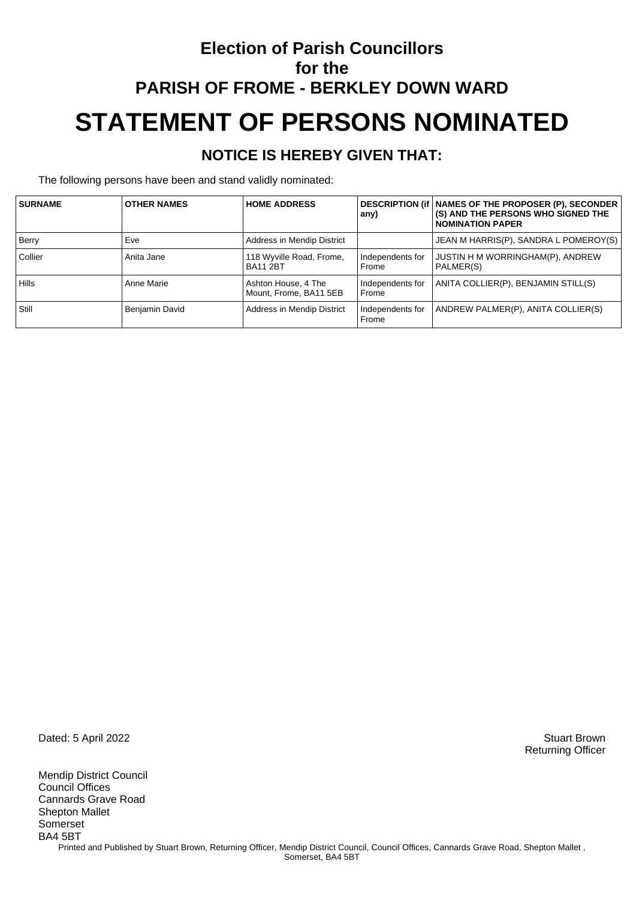## **Election of Parish Councillors for the PARISH OF FROME - BERKLEY DOWN WARD STATEMENT OF PERSONS NOMINATED**

#### **NOTICE IS HEREBY GIVEN THAT:**

The following persons have been and stand validly nominated:

| <b>SURNAME</b> | <b>OTHER NAMES</b> | <b>HOME ADDRESS</b>                           | any)                      | DESCRIPTION (if   NAMES OF THE PROPOSER (P), SECONDER<br>(S) AND THE PERSONS WHO SIGNED THE<br><b>NOMINATION PAPER</b> |
|----------------|--------------------|-----------------------------------------------|---------------------------|------------------------------------------------------------------------------------------------------------------------|
| <b>Berry</b>   | Eve                | Address in Mendip District                    |                           | JEAN M HARRIS(P), SANDRA L POMEROY(S)                                                                                  |
| Collier        | Anita Jane         | 118 Wyville Road, Frome,<br><b>BA11 2BT</b>   | Independents for<br>Frome | JUSTIN H M WORRINGHAM(P), ANDREW<br>PALMER(S)                                                                          |
| <b>Hills</b>   | Anne Marie         | Ashton House, 4 The<br>Mount, Frome, BA11 5EB | Independents for<br>Frome | ANITA COLLIER(P), BENJAMIN STILL(S)                                                                                    |
| Still          | Benjamin David     | Address in Mendip District                    | Independents for<br>Frome | ANDREW PALMER(P), ANITA COLLIER(S)                                                                                     |

Dated: 5 April 2022 Stuart Brown

Mendip District Council Council Offices Cannards Grave Road Shepton Mallet Somerset BA4 5BT Printed and Published by Stuart Brown, Returning Officer, Mendip District Council, Council Offices, Cannards Grave Road, Shepton Mallet, Somerset, BA4 5BT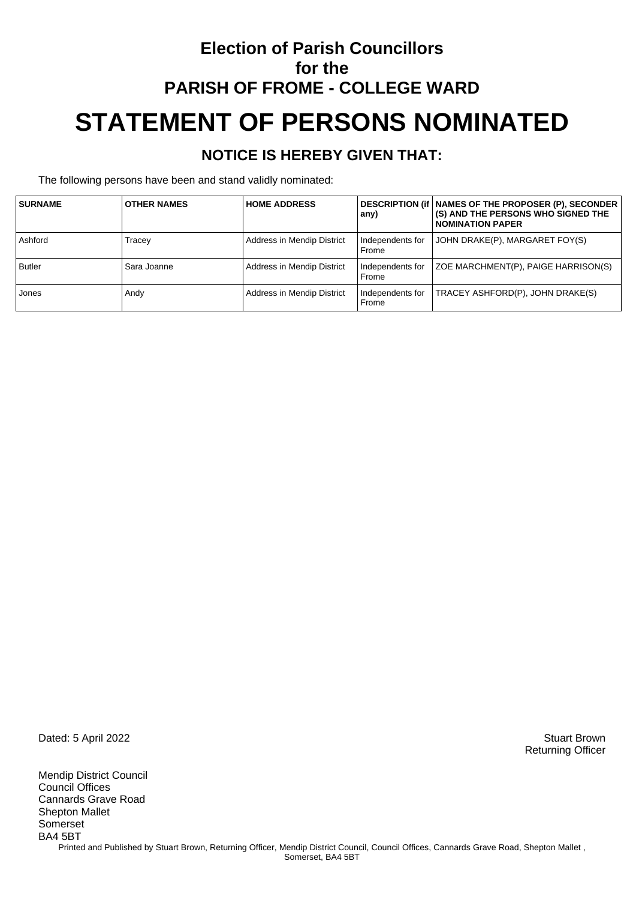## **Election of Parish Councillors for the PARISH OF FROME - COLLEGE WARD STATEMENT OF PERSONS NOMINATED**

#### **NOTICE IS HEREBY GIVEN THAT:**

The following persons have been and stand validly nominated:

| <b>SURNAME</b> | <b>OTHER NAMES</b> | <b>HOME ADDRESS</b>        | any)                      | DESCRIPTION (if   NAMES OF THE PROPOSER (P), SECONDER<br>(S) AND THE PERSONS WHO SIGNED THE<br>I NOMINATION PAPER |
|----------------|--------------------|----------------------------|---------------------------|-------------------------------------------------------------------------------------------------------------------|
| Ashford        | Tracey             | Address in Mendip District | Independents for<br>Frome | JOHN DRAKE(P), MARGARET FOY(S)                                                                                    |
| <b>Butler</b>  | Sara Joanne        | Address in Mendip District | Independents for<br>Frome | ZOE MARCHMENT(P), PAIGE HARRISON(S)                                                                               |
| Jones          | Andy               | Address in Mendip District | Independents for<br>Frome | TRACEY ASHFORD(P), JOHN DRAKE(S)                                                                                  |

Dated: 5 April 2022 Stuart Brown

Mendip District Council Council Offices Cannards Grave Road Shepton Mallet Somerset BA4 5BT Printed and Published by Stuart Brown, Returning Officer, Mendip District Council, Council Offices, Cannards Grave Road, Shepton Mallet, Somerset, BA4 5BT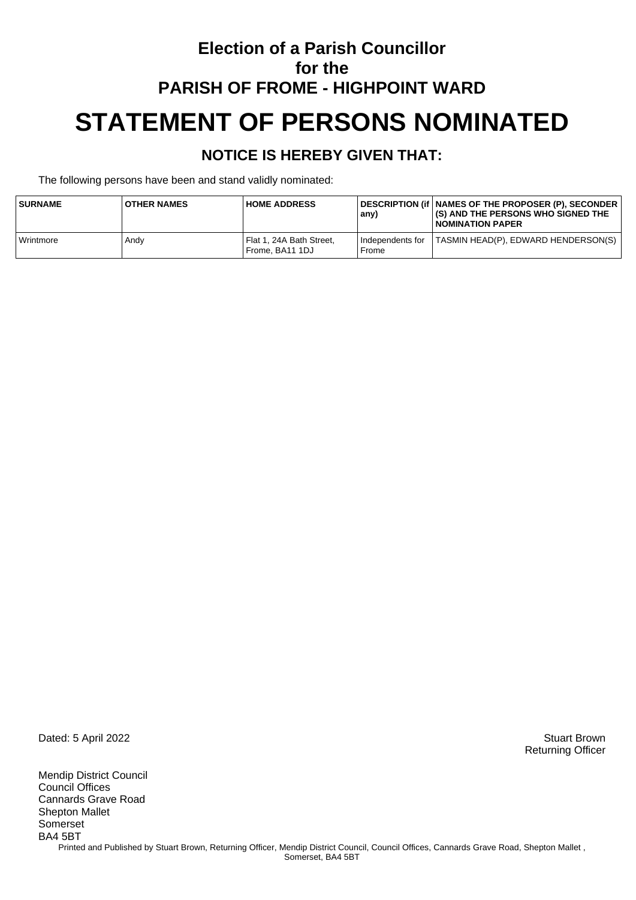## **Election of a Parish Councillor for the PARISH OF FROME - HIGHPOINT WARD STATEMENT OF PERSONS NOMINATED**

#### **NOTICE IS HEREBY GIVEN THAT:**

The following persons have been and stand validly nominated:

| <b>SURNAME</b>   | <b>OTHER NAMES</b> | <b>HOME ADDRESS</b>                         | any)                        | DESCRIPTION (if   NAMES OF THE PROPOSER (P), SECONDER<br>(S) AND THE PERSONS WHO SIGNED THE<br>I NOMINATION PAPER |
|------------------|--------------------|---------------------------------------------|-----------------------------|-------------------------------------------------------------------------------------------------------------------|
| <b>Wrintmore</b> | Andy               | Flat 1, 24A Bath Street,<br>Frome. BA11 1DJ | I Independents for<br>Frome | TASMIN HEAD(P), EDWARD HENDERSON(S)                                                                               |

Dated: 5 April 2022 Stuart Brown

Mendip District Council Council Offices Cannards Grave Road Shepton Mallet Somerset BA4 5BT Printed and Published by Stuart Brown, Returning Officer, Mendip District Council, Council Offices, Cannards Grave Road, Shepton Mallet, Somerset, BA4 5BT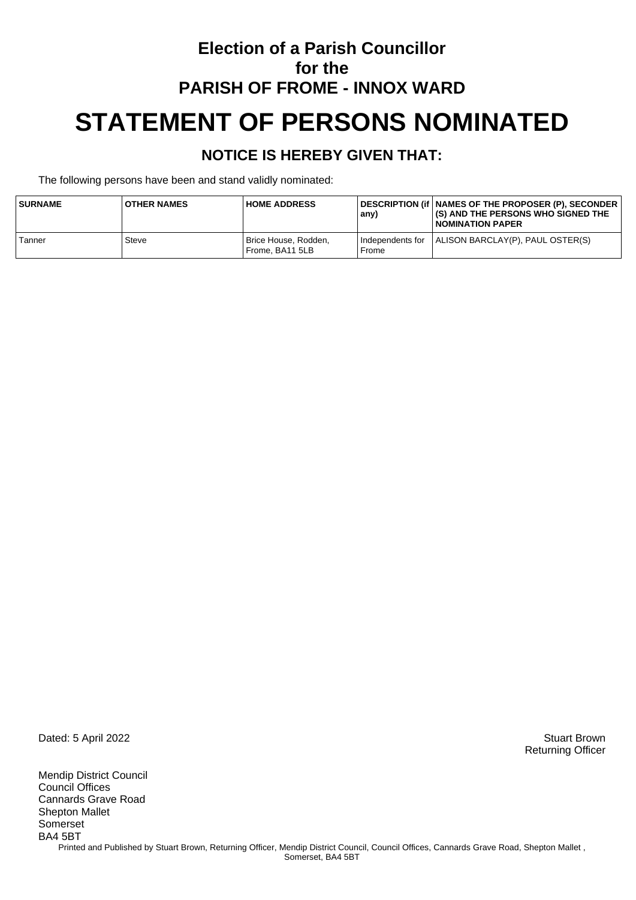## **Election of a Parish Councillor for the PARISH OF FROME - INNOX WARD STATEMENT OF PERSONS NOMINATED**

#### **NOTICE IS HEREBY GIVEN THAT:**

The following persons have been and stand validly nominated:

| <b>SURNAME</b> | <b>OTHER NAMES</b> | <b>HOME ADDRESS</b>                     | any)  | DESCRIPTION (if   NAMES OF THE PROPOSER (P), SECONDER_<br><b>I(S) AND THE PERSONS WHO SIGNED THE</b><br>I NOMINATION PAPER |
|----------------|--------------------|-----------------------------------------|-------|----------------------------------------------------------------------------------------------------------------------------|
| Tanner         | Steve              | Brice House, Rodden,<br>Frome. BA11 5LB | Frome | Independents for   ALISON BARCLAY(P), PAUL OSTER(S)                                                                        |

Dated: 5 April 2022 Stuart Brown

Mendip District Council Council Offices Cannards Grave Road Shepton Mallet Somerset BA4 5BT Printed and Published by Stuart Brown, Returning Officer, Mendip District Council, Council Offices, Cannards Grave Road, Shepton Mallet, Somerset, BA4 5BT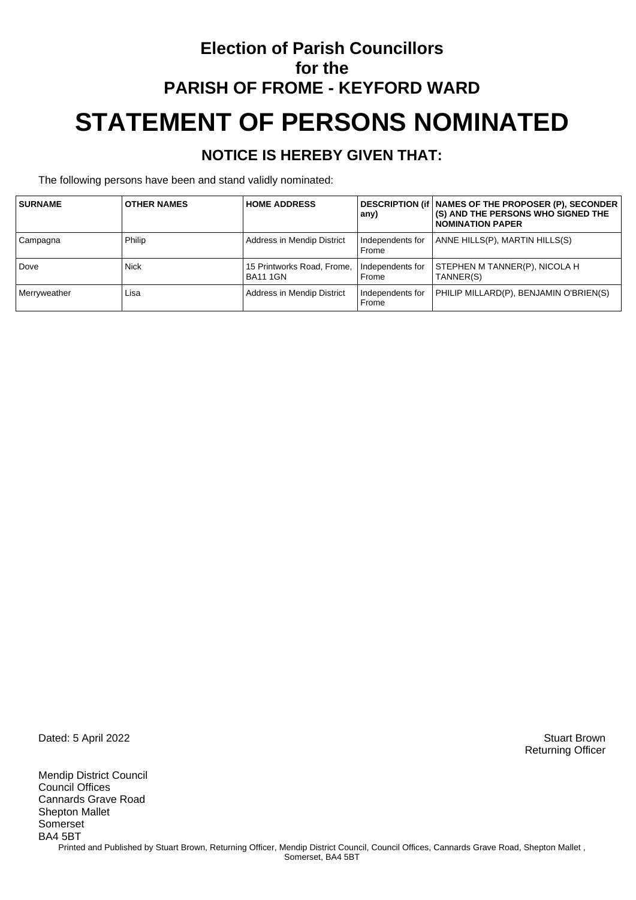## **Election of Parish Councillors for the PARISH OF FROME - KEYFORD WARD STATEMENT OF PERSONS NOMINATED**

#### **NOTICE IS HEREBY GIVEN THAT:**

The following persons have been and stand validly nominated:

| <b>SURNAME</b> | <b>OTHER NAMES</b> | <b>HOME ADDRESS</b>                           | any)                      | DESCRIPTION (if   NAMES OF THE PROPOSER (P), SECONDER<br><b>(S) AND THE PERSONS WHO SIGNED THE</b><br>I NOMINATION PAPER |
|----------------|--------------------|-----------------------------------------------|---------------------------|--------------------------------------------------------------------------------------------------------------------------|
| Campagna       | Philip             | Address in Mendip District                    | Independents for<br>Frome | ANNE HILLS(P), MARTIN HILLS(S)                                                                                           |
| Dove           | <b>Nick</b>        | 15 Printworks Road, Frome,<br><b>BA11 1GN</b> | Independents for<br>Frome | STEPHEN M TANNER(P), NICOLA H<br>TANNER(S)                                                                               |
| Merryweather   | Lisa               | Address in Mendip District                    | Independents for<br>Frome | PHILIP MILLARD(P), BENJAMIN O'BRIEN(S)                                                                                   |

Dated: 5 April 2022 Stuart Brown

Mendip District Council Council Offices Cannards Grave Road Shepton Mallet Somerset BA4 5BT Printed and Published by Stuart Brown, Returning Officer, Mendip District Council, Council Offices, Cannards Grave Road, Shepton Mallet, Somerset, BA4 5BT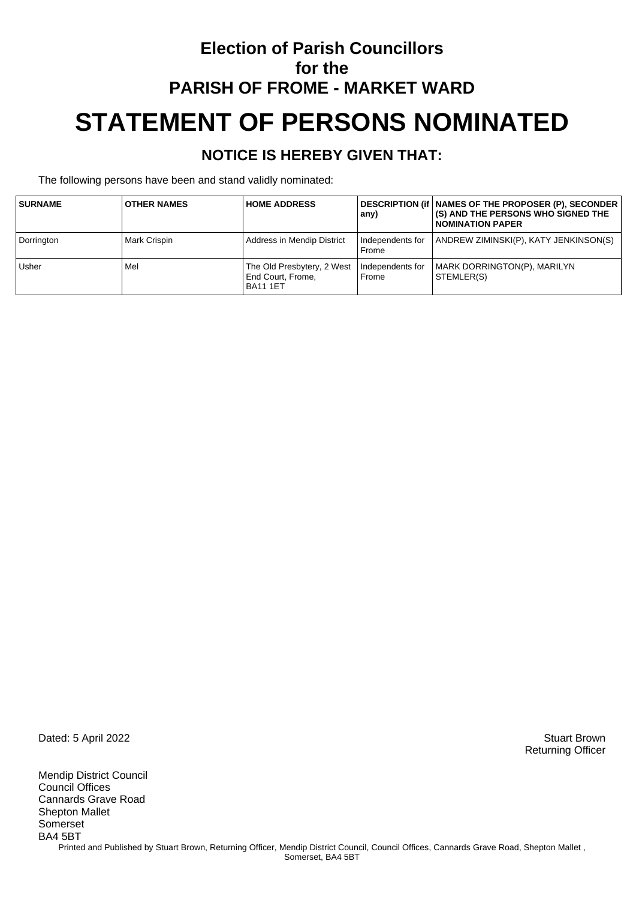## **Election of Parish Councillors for the PARISH OF FROME - MARKET WARD STATEMENT OF PERSONS NOMINATED**

#### **NOTICE IS HEREBY GIVEN THAT:**

The following persons have been and stand validly nominated:

| <b>SURNAME</b> | <b>OTHER NAMES</b> | <b>HOME ADDRESS</b>                                                | any)                      | DESCRIPTION (if   NAMES OF THE PROPOSER (P), SECONDER<br><b>(S) AND THE PERSONS WHO SIGNED THE</b><br><b>NOMINATION PAPER</b> |
|----------------|--------------------|--------------------------------------------------------------------|---------------------------|-------------------------------------------------------------------------------------------------------------------------------|
| Dorrington     | Mark Crispin       | Address in Mendip District                                         | Independents for<br>Frome | ANDREW ZIMINSKI(P), KATY JENKINSON(S)                                                                                         |
| <b>Usher</b>   | Mel                | The Old Presbytery, 2 West<br>End Court, Frome,<br><b>BA11 1ET</b> | Independents for<br>Frome | MARK DORRINGTON(P), MARILYN<br>STEMLER(S)                                                                                     |

Dated: 5 April 2022 Stuart Brown

Mendip District Council Council Offices Cannards Grave Road Shepton Mallet Somerset BA4 5BT Printed and Published by Stuart Brown, Returning Officer, Mendip District Council, Council Offices, Cannards Grave Road, Shepton Mallet, Somerset, BA4 5BT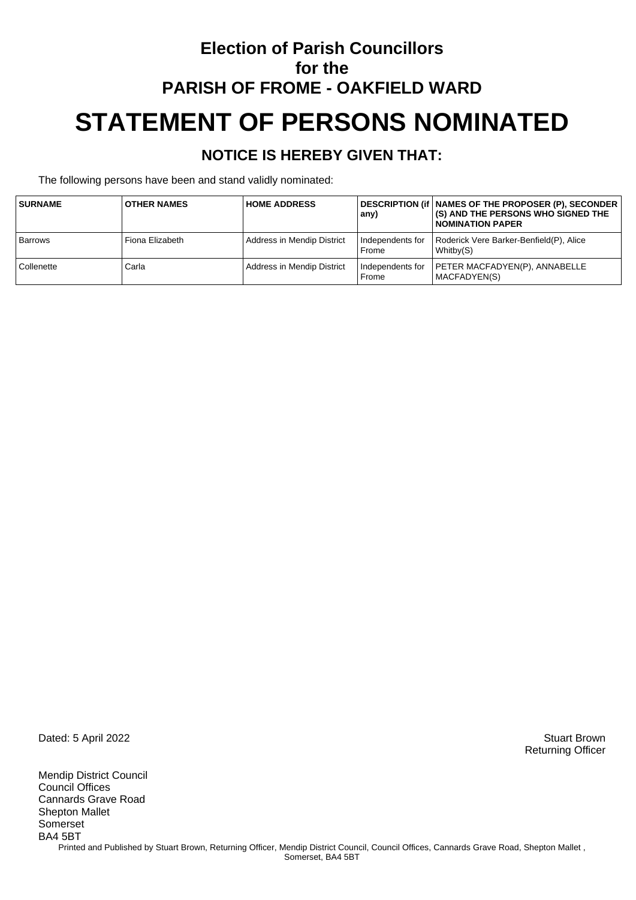## **Election of Parish Councillors for the PARISH OF FROME - OAKFIELD WARD STATEMENT OF PERSONS NOMINATED**

### **NOTICE IS HEREBY GIVEN THAT:**

The following persons have been and stand validly nominated:

| <b>SURNAME</b> | <b>OTHER NAMES</b> | <b>HOME ADDRESS</b>        | any)                        | DESCRIPTION (if   NAMES OF THE PROPOSER (P), SECONDER<br>(S) AND THE PERSONS WHO SIGNED THE<br><b>NOMINATION PAPER</b> |
|----------------|--------------------|----------------------------|-----------------------------|------------------------------------------------------------------------------------------------------------------------|
| <b>Barrows</b> | Fiona Elizabeth    | Address in Mendip District | l Independents for<br>Frome | Roderick Vere Barker-Benfield(P), Alice<br>Whitby(S)                                                                   |
| Collenette     | Carla              | Address in Mendip District | Independents for<br>Frome   | PETER MACFADYEN(P), ANNABELLE<br>I MACFADYEN(S)                                                                        |

Dated: 5 April 2022 Stuart Brown

Mendip District Council Council Offices Cannards Grave Road Shepton Mallet Somerset BA4 5BT Printed and Published by Stuart Brown, Returning Officer, Mendip District Council, Council Offices, Cannards Grave Road, Shepton Mallet, Somerset, BA4 5BT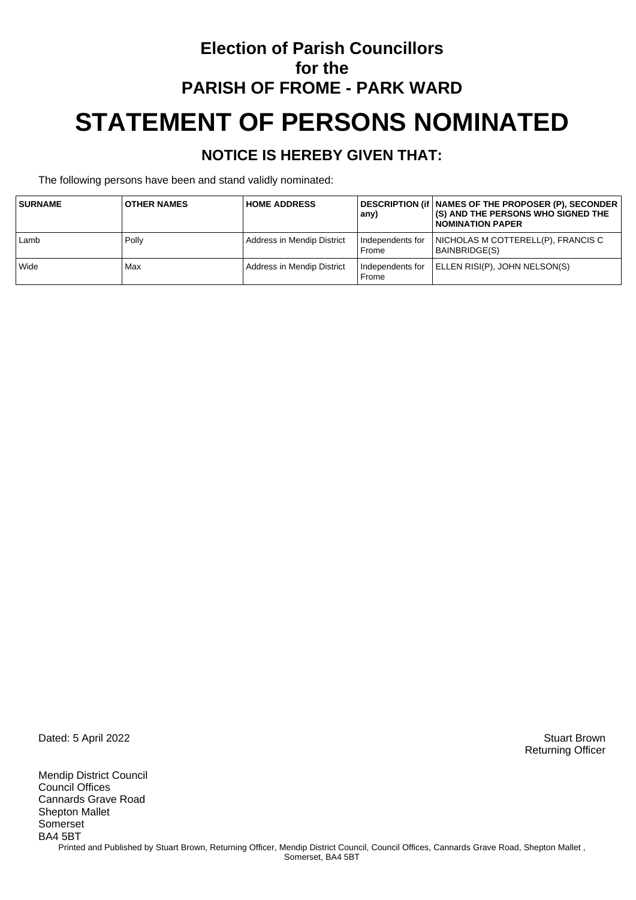## **Election of Parish Councillors for the PARISH OF FROME - PARK WARD STATEMENT OF PERSONS NOMINATED**

#### **NOTICE IS HEREBY GIVEN THAT:**

The following persons have been and stand validly nominated:

| <b>SURNAME</b> | <b>OTHER NAMES</b> | <b>HOME ADDRESS</b>        | any)                      | DESCRIPTION (if   NAMES OF THE PROPOSER (P), SECONDER<br><b>(S) AND THE PERSONS WHO SIGNED THE</b><br><b>I NOMINATION PAPER</b> |
|----------------|--------------------|----------------------------|---------------------------|---------------------------------------------------------------------------------------------------------------------------------|
| Lamb           | Polly              | Address in Mendip District | Independents for<br>Frome | I NICHOLAS M COTTERELL(P), FRANCIS C<br>BAINBRIDGE(S)                                                                           |
| Wide           | Max                | Address in Mendip District | Independents for<br>Frome | ELLEN RISI(P), JOHN NELSON(S)                                                                                                   |

Dated: 5 April 2022 Stuart Brown

Mendip District Council Council Offices Cannards Grave Road Shepton Mallet Somerset BA4 5BT Printed and Published by Stuart Brown, Returning Officer, Mendip District Council, Council Offices, Cannards Grave Road, Shepton Mallet, Somerset, BA4 5BT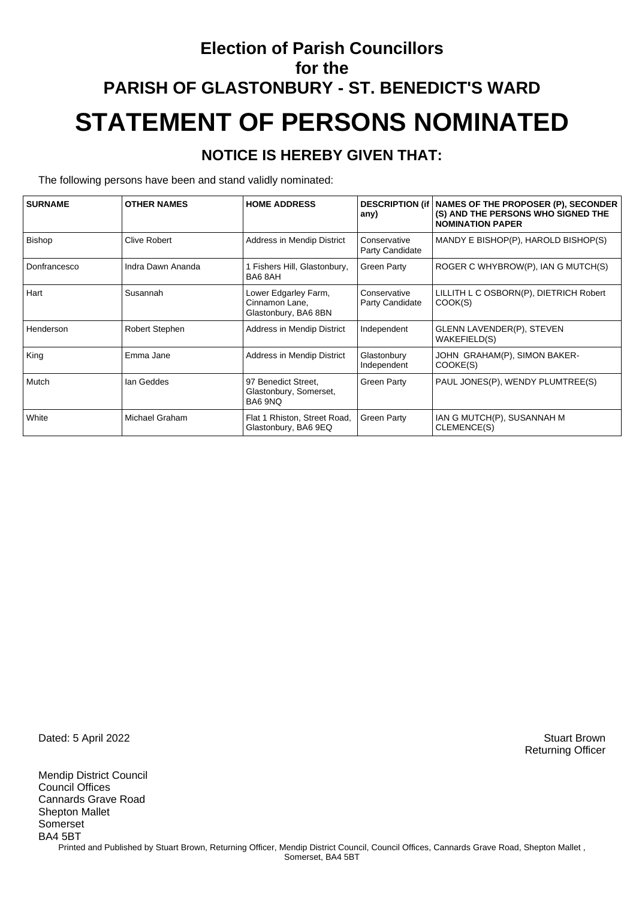## **Election of Parish Councillors for the PARISH OF GLASTONBURY - ST. BENEDICT'S WARD STATEMENT OF PERSONS NOMINATED**

#### **NOTICE IS HEREBY GIVEN THAT:**

The following persons have been and stand validly nominated:

| <b>SURNAME</b> | <b>OTHER NAMES</b>    | <b>HOME ADDRESS</b>                                            | <b>DESCRIPTION (if)</b>         | NAMES OF THE PROPOSER (P), SECONDER                           |
|----------------|-----------------------|----------------------------------------------------------------|---------------------------------|---------------------------------------------------------------|
|                |                       |                                                                | any)                            | (S) AND THE PERSONS WHO SIGNED THE<br><b>NOMINATION PAPER</b> |
| Bishop         | <b>Clive Robert</b>   | Address in Mendip District                                     | Conservative<br>Party Candidate | MANDY E BISHOP(P), HAROLD BISHOP(S)                           |
| Donfrancesco   | Indra Dawn Ananda     | Fishers Hill, Glastonbury,<br>BA6 8AH                          | <b>Green Party</b>              | ROGER C WHYBROW(P), IAN G MUTCH(S)                            |
| Hart           | Susannah              | Lower Edgarley Farm,<br>Cinnamon Lane,<br>Glastonbury, BA6 8BN | Conservative<br>Party Candidate | LILLITH L C OSBORN(P), DIETRICH Robert<br>COOK(S)             |
| Henderson      | <b>Robert Stephen</b> | Address in Mendip District                                     | Independent                     | GLENN LAVENDER(P), STEVEN<br>WAKEFIELD(S)                     |
| King           | Emma Jane             | Address in Mendip District                                     | Glastonbury<br>Independent      | JOHN GRAHAM(P), SIMON BAKER-<br>COOKE(S)                      |
| Mutch          | Ian Geddes            | 97 Benedict Street,<br>Glastonbury, Somerset,<br>BA6 9NQ       | <b>Green Party</b>              | PAUL JONES(P), WENDY PLUMTREE(S)                              |
| White          | Michael Graham        | Flat 1 Rhiston, Street Road,<br>Glastonbury, BA6 9EQ           | <b>Green Party</b>              | IAN G MUTCH(P), SUSANNAH M<br>CLEMENCE(S)                     |

Dated: 5 April 2022 Stuart Brown

Mendip District Council Council Offices Cannards Grave Road Shepton Mallet Somerset BA4 5BT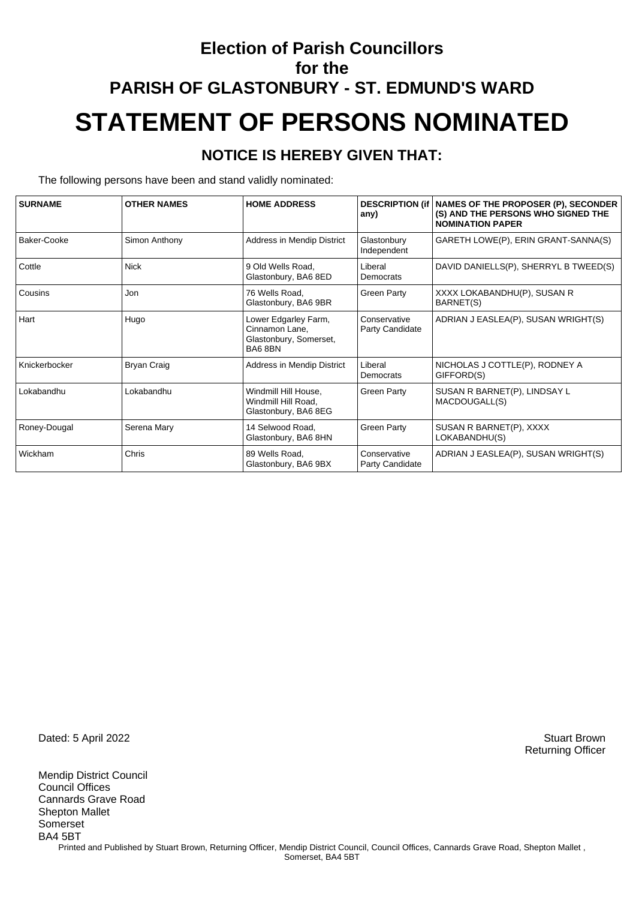## **Election of Parish Councillors for the PARISH OF GLASTONBURY - ST. EDMUND'S WARD STATEMENT OF PERSONS NOMINATED**

#### **NOTICE IS HEREBY GIVEN THAT:**

The following persons have been and stand validly nominated:

| <b>SURNAME</b> | <b>OTHER NAMES</b> | <b>HOME ADDRESS</b>                                                        | <b>DESCRIPTION (if)</b><br>any) | NAMES OF THE PROPOSER (P), SECONDER<br>(S) AND THE PERSONS WHO SIGNED THE<br><b>NOMINATION PAPER</b> |
|----------------|--------------------|----------------------------------------------------------------------------|---------------------------------|------------------------------------------------------------------------------------------------------|
| Baker-Cooke    | Simon Anthony      | Address in Mendip District                                                 | Glastonbury<br>Independent      | GARETH LOWE(P), ERIN GRANT-SANNA(S)                                                                  |
| Cottle         | <b>Nick</b>        | 9 Old Wells Road.<br>Glastonbury, BA6 8ED                                  | Liberal<br>Democrats            | DAVID DANIELLS(P), SHERRYL B TWEED(S)                                                                |
| Cousins        | Jon                | 76 Wells Road,<br>Glastonbury, BA6 9BR                                     | <b>Green Party</b>              | XXXX LOKABANDHU(P), SUSAN R<br>BARNET(S)                                                             |
| Hart           | Hugo               | Lower Edgarley Farm,<br>Cinnamon Lane,<br>Glastonbury, Somerset,<br>BA68BN | Conservative<br>Party Candidate | ADRIAN J EASLEA(P), SUSAN WRIGHT(S)                                                                  |
| Knickerbocker  | <b>Bryan Craig</b> | Address in Mendip District                                                 | Liberal<br>Democrats            | NICHOLAS J COTTLE(P), RODNEY A<br>GIFFORD(S)                                                         |
| Lokabandhu     | Lokabandhu         | Windmill Hill House,<br>Windmill Hill Road,<br>Glastonbury, BA6 8EG        | <b>Green Party</b>              | SUSAN R BARNET(P), LINDSAY L<br>MACDOUGALL(S)                                                        |
| Roney-Dougal   | Serena Mary        | 14 Selwood Road.<br>Glastonbury, BA6 8HN                                   | <b>Green Party</b>              | SUSAN R BARNET(P), XXXX<br>LOKABANDHU(S)                                                             |
| Wickham        | Chris              | 89 Wells Road,<br>Glastonbury, BA6 9BX                                     | Conservative<br>Party Candidate | ADRIAN J EASLEA(P), SUSAN WRIGHT(S)                                                                  |

Dated: 5 April 2022 Stuart Brown

Mendip District Council Council Offices Cannards Grave Road Shepton Mallet Somerset BA4 5BT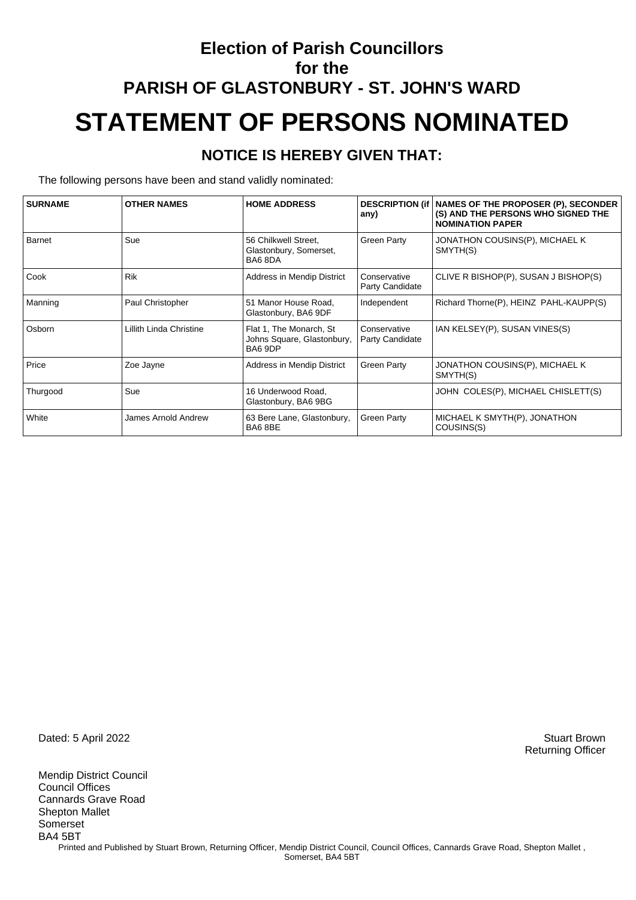## **Election of Parish Councillors for the PARISH OF GLASTONBURY - ST. JOHN'S WARD STATEMENT OF PERSONS NOMINATED**

#### **NOTICE IS HEREBY GIVEN THAT:**

The following persons have been and stand validly nominated:

| <b>SURNAME</b> | <b>OTHER NAMES</b>      | <b>HOME ADDRESS</b>                                              | any)                            | <b>DESCRIPTION (if   NAMES OF THE PROPOSER (P), SECONDER</b><br>(S) AND THE PERSONS WHO SIGNED THE<br><b>NOMINATION PAPER</b> |
|----------------|-------------------------|------------------------------------------------------------------|---------------------------------|-------------------------------------------------------------------------------------------------------------------------------|
| <b>Barnet</b>  | Sue                     | 56 Chilkwell Street,<br>Glastonbury, Somerset,<br>BA68DA         | <b>Green Party</b>              | JONATHON COUSINS(P), MICHAEL K<br>SMYTH(S)                                                                                    |
| Cook           | <b>Rik</b>              | Address in Mendip District                                       | Conservative<br>Party Candidate | CLIVE R BISHOP(P), SUSAN J BISHOP(S)                                                                                          |
| Manning        | Paul Christopher        | 51 Manor House Road,<br>Glastonbury, BA6 9DF                     | Independent                     | Richard Thorne(P), HEINZ PAHL-KAUPP(S)                                                                                        |
| Osborn         | Lillith Linda Christine | Flat 1, The Monarch, St<br>Johns Square, Glastonbury,<br>BA6 9DP | Conservative<br>Party Candidate | IAN KELSEY(P), SUSAN VINES(S)                                                                                                 |
| Price          | Zoe Jayne               | Address in Mendip District                                       | <b>Green Party</b>              | JONATHON COUSINS(P), MICHAEL K<br>SMYTH(S)                                                                                    |
| Thurgood       | Sue                     | 16 Underwood Road,<br>Glastonbury, BA6 9BG                       |                                 | JOHN COLES(P), MICHAEL CHISLETT(S)                                                                                            |
| White          | James Arnold Andrew     | 63 Bere Lane, Glastonbury,<br>BA68BE                             | <b>Green Party</b>              | MICHAEL K SMYTH(P), JONATHON<br>COUSINS(S)                                                                                    |

Dated: 5 April 2022 Stuart Brown

Mendip District Council Council Offices Cannards Grave Road Shepton Mallet Somerset BA4 5BT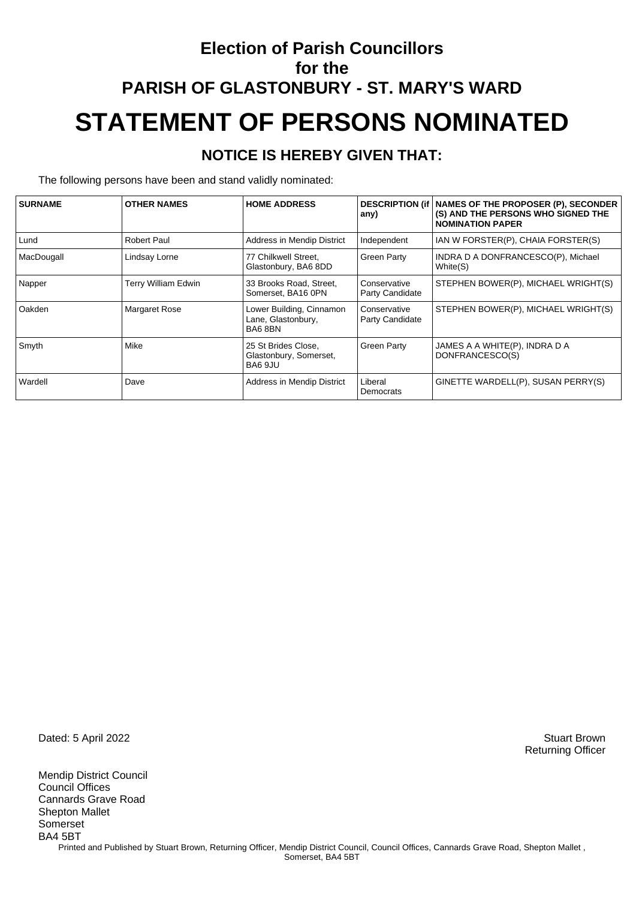## **Election of Parish Councillors for the PARISH OF GLASTONBURY - ST. MARY'S WARD STATEMENT OF PERSONS NOMINATED**

#### **NOTICE IS HEREBY GIVEN THAT:**

The following persons have been and stand validly nominated:

| <b>SURNAME</b> | <b>OTHER NAMES</b>         | <b>HOME ADDRESS</b>                                      | any)                            | DESCRIPTION (if   NAMES OF THE PROPOSER (P), SECONDER<br>(S) AND THE PERSONS WHO SIGNED THE<br><b>NOMINATION PAPER</b> |
|----------------|----------------------------|----------------------------------------------------------|---------------------------------|------------------------------------------------------------------------------------------------------------------------|
| Lund           | <b>Robert Paul</b>         | Address in Mendip District                               | Independent                     | IAN W FORSTER(P), CHAIA FORSTER(S)                                                                                     |
| MacDougall     | Lindsay Lorne              | 77 Chilkwell Street,<br>Glastonbury, BA6 8DD             | <b>Green Party</b>              | INDRA D A DONFRANCESCO(P), Michael<br>White(S)                                                                         |
| Napper         | <b>Terry William Edwin</b> | 33 Brooks Road, Street,<br>Somerset, BA16 0PN            | Conservative<br>Party Candidate | STEPHEN BOWER(P), MICHAEL WRIGHT(S)                                                                                    |
| Oakden         | <b>Margaret Rose</b>       | Lower Building, Cinnamon<br>Lane, Glastonbury,<br>BA68BN | Conservative<br>Party Candidate | STEPHEN BOWER(P), MICHAEL WRIGHT(S)                                                                                    |
| Smyth          | Mike                       | 25 St Brides Close,<br>Glastonbury, Somerset,<br>BA6 9JU | Green Party                     | JAMES A A WHITE(P), INDRA D A<br>DONFRANCESCO(S)                                                                       |
| Wardell        | Dave                       | Address in Mendip District                               | Liberal<br>Democrats            | GINETTE WARDELL(P), SUSAN PERRY(S)                                                                                     |

Dated: 5 April 2022 Stuart Brown

Mendip District Council Council Offices Cannards Grave Road Shepton Mallet Somerset BA4 5BT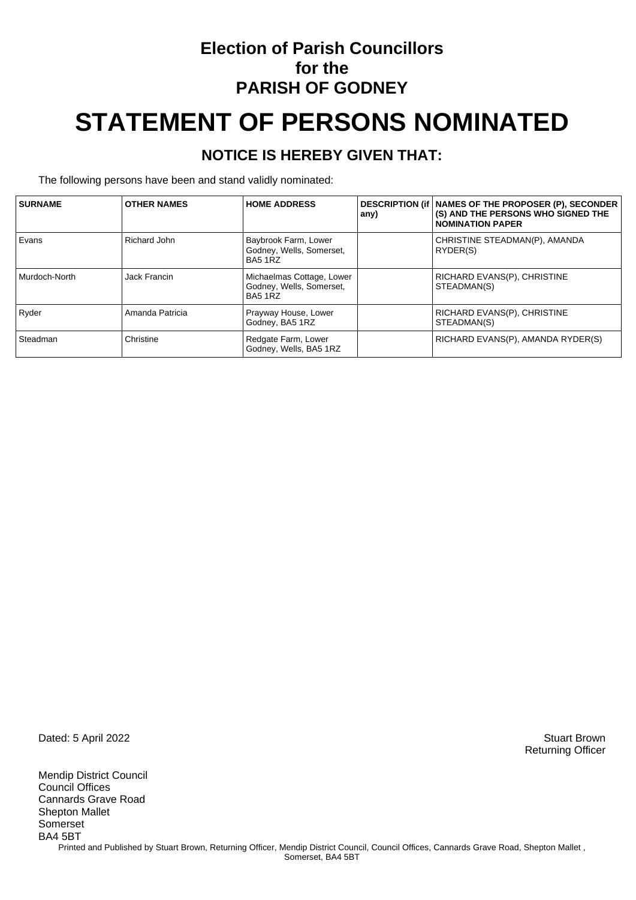### **Election of Parish Councillors for the PARISH OF GODNEY**

# **STATEMENT OF PERSONS NOMINATED**

#### **NOTICE IS HEREBY GIVEN THAT:**

The following persons have been and stand validly nominated:

| <b>SURNAME</b> | <b>OTHER NAMES</b> | <b>HOME ADDRESS</b>                                              | any) | DESCRIPTION (if   NAMES OF THE PROPOSER (P), SECONDER<br>(S) AND THE PERSONS WHO SIGNED THE<br><b>NOMINATION PAPER</b> |
|----------------|--------------------|------------------------------------------------------------------|------|------------------------------------------------------------------------------------------------------------------------|
| Evans          | Richard John       | Baybrook Farm, Lower<br>Godney, Wells, Somerset,<br>BA5 1RZ      |      | CHRISTINE STEADMAN(P), AMANDA<br>RYDER(S)                                                                              |
| Murdoch-North  | Jack Francin       | Michaelmas Cottage, Lower<br>Godney, Wells, Somerset,<br>BA5 1RZ |      | RICHARD EVANS(P), CHRISTINE<br>STEADMAN(S)                                                                             |
| Ryder          | Amanda Patricia    | Prayway House, Lower<br>Godney, BA5 1RZ                          |      | RICHARD EVANS(P), CHRISTINE<br>STEADMAN(S)                                                                             |
| Steadman       | Christine          | Redgate Farm, Lower<br>Godney, Wells, BA5 1RZ                    |      | RICHARD EVANS(P), AMANDA RYDER(S)                                                                                      |

Dated: 5 April 2022 Stuart Brown

Mendip District Council Council Offices Cannards Grave Road Shepton Mallet Somerset BA4 5BT Printed and Published by Stuart Brown, Returning Officer, Mendip District Council, Council Offices, Cannards Grave Road, Shepton Mallet, Somerset, BA4 5BT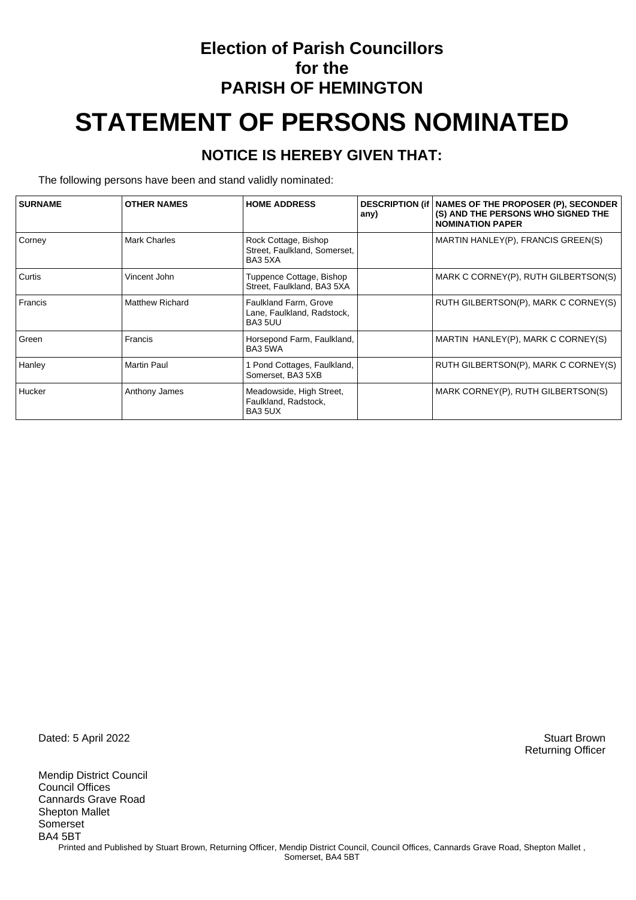### **Election of Parish Councillors for the PARISH OF HEMINGTON**

# **STATEMENT OF PERSONS NOMINATED**

#### **NOTICE IS HEREBY GIVEN THAT:**

The following persons have been and stand validly nominated:

| <b>SURNAME</b> | <b>OTHER NAMES</b>     | <b>HOME ADDRESS</b>                                             | any) | DESCRIPTION (if   NAMES OF THE PROPOSER (P), SECONDER<br>(S) AND THE PERSONS WHO SIGNED THE<br><b>NOMINATION PAPER</b> |
|----------------|------------------------|-----------------------------------------------------------------|------|------------------------------------------------------------------------------------------------------------------------|
| Corney         | <b>Mark Charles</b>    | Rock Cottage, Bishop<br>Street, Faulkland, Somerset,<br>BA3 5XA |      | MARTIN HANLEY(P), FRANCIS GREEN(S)                                                                                     |
| Curtis         | Vincent John           | Tuppence Cottage, Bishop<br>Street, Faulkland, BA3 5XA          |      | MARK C CORNEY(P), RUTH GILBERTSON(S)                                                                                   |
| Francis        | <b>Matthew Richard</b> | Faulkland Farm, Grove<br>Lane, Faulkland, Radstock,<br>BA3 5UU  |      | RUTH GILBERTSON(P), MARK C CORNEY(S)                                                                                   |
| Green          | Francis                | Horsepond Farm, Faulkland,<br>BA3 5WA                           |      | MARTIN HANLEY(P), MARK C CORNEY(S)                                                                                     |
| Hanley         | <b>Martin Paul</b>     | Pond Cottages, Faulkland,<br>Somerset, BA3 5XB                  |      | RUTH GILBERTSON(P), MARK C CORNEY(S)                                                                                   |
| <b>Hucker</b>  | Anthony James          | Meadowside, High Street,<br>Faulkland, Radstock,<br>BA3 5UX     |      | MARK CORNEY(P), RUTH GILBERTSON(S)                                                                                     |

Dated: 5 April 2022 Stuart Brown

Mendip District Council Council Offices Cannards Grave Road Shepton Mallet Somerset BA4 5BT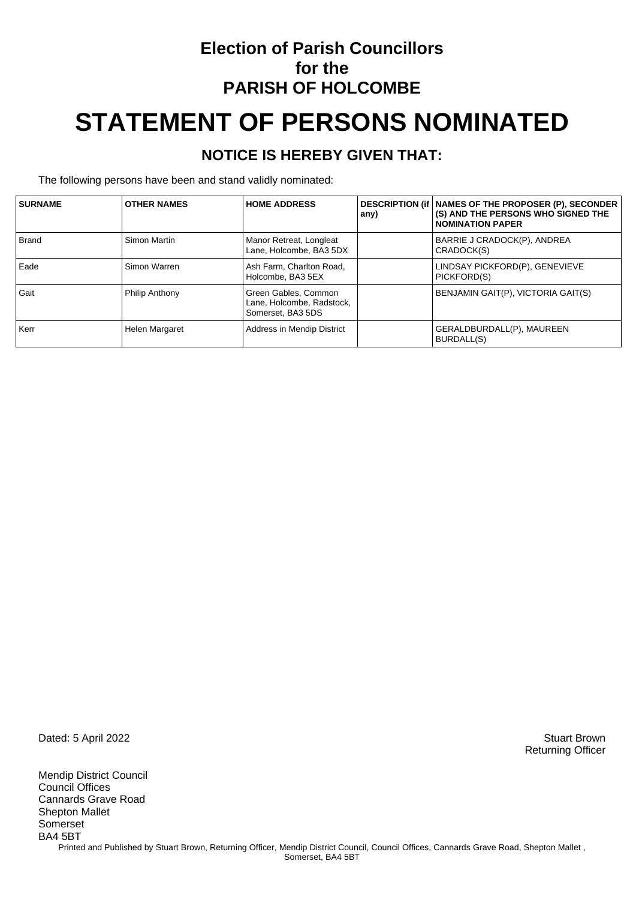### **Election of Parish Councillors for the PARISH OF HOLCOMBE**

# **STATEMENT OF PERSONS NOMINATED**

#### **NOTICE IS HEREBY GIVEN THAT:**

The following persons have been and stand validly nominated:

| <b>SURNAME</b> | <b>OTHER NAMES</b> | <b>HOME ADDRESS</b>                                                    | any) | DESCRIPTION (if   NAMES OF THE PROPOSER (P), SECONDER<br>(S) AND THE PERSONS WHO SIGNED THE<br><b>NOMINATION PAPER</b> |
|----------------|--------------------|------------------------------------------------------------------------|------|------------------------------------------------------------------------------------------------------------------------|
| <b>Brand</b>   | Simon Martin       | Manor Retreat, Longleat<br>Lane, Holcombe, BA3 5DX                     |      | BARRIE J CRADOCK(P), ANDREA<br>CRADOCK(S)                                                                              |
| Eade           | Simon Warren       | Ash Farm, Charlton Road,<br>Holcombe, BA3 5EX                          |      | LINDSAY PICKFORD(P), GENEVIEVE<br>PICKFORD(S)                                                                          |
| Gait           | Philip Anthony     | Green Gables, Common<br>Lane, Holcombe, Radstock,<br>Somerset, BA3 5DS |      | BENJAMIN GAIT(P), VICTORIA GAIT(S)                                                                                     |
| Kerr           | Helen Margaret     | Address in Mendip District                                             |      | GERALDBURDALL(P), MAUREEN<br>BURDALL(S)                                                                                |

Dated: 5 April 2022 Stuart Brown

Mendip District Council Council Offices Cannards Grave Road Shepton Mallet Somerset BA4 5BT Printed and Published by Stuart Brown, Returning Officer, Mendip District Council, Council Offices, Cannards Grave Road, Shepton Mallet, Somerset, BA4 5BT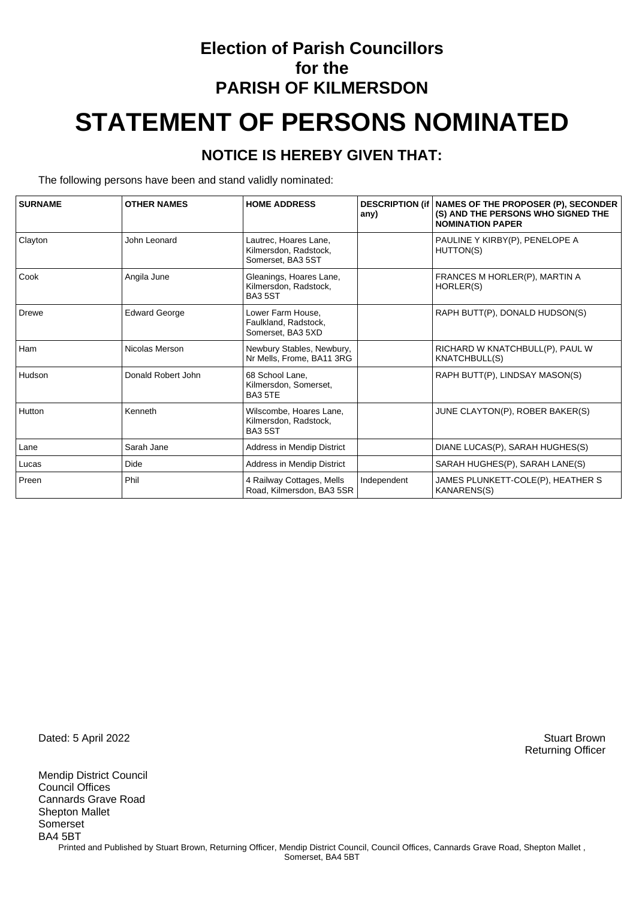## **Election of Parish Councillors for the PARISH OF KILMERSDON STATEMENT OF PERSONS NOMINATED**

#### **NOTICE IS HEREBY GIVEN THAT:**

The following persons have been and stand validly nominated:

| <b>SURNAME</b> | <b>OTHER NAMES</b>   | <b>HOME ADDRESS</b>                                                 | any)        | DESCRIPTION (if   NAMES OF THE PROPOSER (P), SECONDER<br>(S) AND THE PERSONS WHO SIGNED THE<br><b>NOMINATION PAPER</b> |
|----------------|----------------------|---------------------------------------------------------------------|-------------|------------------------------------------------------------------------------------------------------------------------|
| Clayton        | John Leonard         | Lautrec, Hoares Lane,<br>Kilmersdon, Radstock,<br>Somerset, BA3 5ST |             | PAULINE Y KIRBY(P), PENELOPE A<br>HUTTON(S)                                                                            |
| Cook           | Angila June          | Gleanings, Hoares Lane,<br>Kilmersdon, Radstock,<br><b>BA35ST</b>   |             | FRANCES M HORLER(P), MARTIN A<br>HORLER(S)                                                                             |
| <b>Drewe</b>   | <b>Edward George</b> | Lower Farm House,<br>Faulkland, Radstock.<br>Somerset, BA3 5XD      |             | RAPH BUTT(P), DONALD HUDSON(S)                                                                                         |
| Ham            | Nicolas Merson       | Newbury Stables, Newbury,<br>Nr Mells, Frome, BA11 3RG              |             | RICHARD W KNATCHBULL(P), PAUL W<br><b>KNATCHBULL(S)</b>                                                                |
| Hudson         | Donald Robert John   | 68 School Lane.<br>Kilmersdon, Somerset,<br><b>BA3 5TE</b>          |             | RAPH BUTT(P), LINDSAY MASON(S)                                                                                         |
| Hutton         | Kenneth              | Wilscombe, Hoares Lane,<br>Kilmersdon, Radstock,<br><b>BA35ST</b>   |             | JUNE CLAYTON(P), ROBER BAKER(S)                                                                                        |
| Lane           | Sarah Jane           | Address in Mendip District                                          |             | DIANE LUCAS(P), SARAH HUGHES(S)                                                                                        |
| Lucas          | Dide                 | Address in Mendip District                                          |             | SARAH HUGHES(P), SARAH LANE(S)                                                                                         |
| Preen          | Phil                 | 4 Railway Cottages, Mells<br>Road, Kilmersdon, BA3 5SR              | Independent | JAMES PLUNKETT-COLE(P), HEATHER S<br><b>KANARENS(S)</b>                                                                |

Dated: 5 April 2022 Stuart Brown

Mendip District Council Council Offices Cannards Grave Road Shepton Mallet Somerset BA4 5BT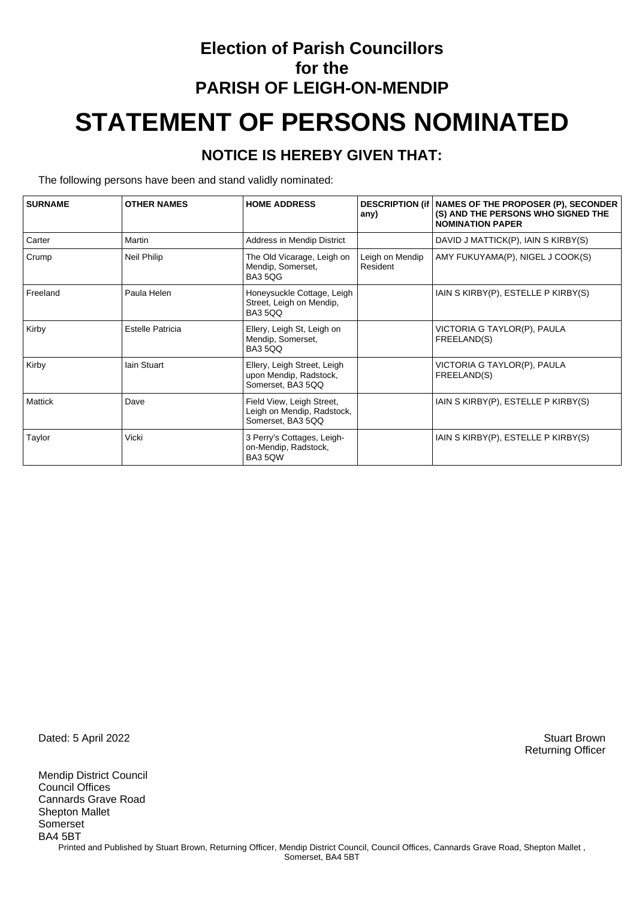## **Election of Parish Councillors for the PARISH OF LEIGH-ON-MENDIP STATEMENT OF PERSONS NOMINATED**

#### **NOTICE IS HEREBY GIVEN THAT:**

The following persons have been and stand validly nominated:

| <b>SURNAME</b> | <b>OTHER NAMES</b> | <b>HOME ADDRESS</b>                                                          | <b>DESCRIPTION (if)</b><br>any) | NAMES OF THE PROPOSER (P), SECONDER<br>(S) AND THE PERSONS WHO SIGNED THE<br><b>NOMINATION PAPER</b> |
|----------------|--------------------|------------------------------------------------------------------------------|---------------------------------|------------------------------------------------------------------------------------------------------|
| Carter         | Martin             | Address in Mendip District                                                   |                                 | DAVID J MATTICK(P), IAIN S KIRBY(S)                                                                  |
| Crump          | Neil Philip        | The Old Vicarage, Leigh on<br>Mendip, Somerset,<br><b>BA35QG</b>             | Leigh on Mendip<br>Resident     | AMY FUKUYAMA(P), NIGEL J COOK(S)                                                                     |
| Freeland       | Paula Helen        | Honeysuckle Cottage, Leigh<br>Street, Leigh on Mendip,<br><b>BA35QQ</b>      |                                 | IAIN S KIRBY(P), ESTELLE P KIRBY(S)                                                                  |
| Kirby          | Estelle Patricia   | Ellery, Leigh St, Leigh on<br>Mendip, Somerset,<br><b>BA35QQ</b>             |                                 | VICTORIA G TAYLOR(P), PAULA<br>FREELAND(S)                                                           |
| Kirby          | lain Stuart        | Ellery, Leigh Street, Leigh<br>upon Mendip, Radstock,<br>Somerset, BA3 5QQ   |                                 | VICTORIA G TAYLOR(P), PAULA<br>FREELAND(S)                                                           |
| Mattick        | Dave               | Field View, Leigh Street,<br>Leigh on Mendip, Radstock,<br>Somerset, BA3 5QQ |                                 | IAIN S KIRBY(P), ESTELLE P KIRBY(S)                                                                  |
| Taylor         | Vicki              | 3 Perry's Cottages, Leigh-<br>on-Mendip, Radstock,<br>BA35QW                 |                                 | IAIN S KIRBY(P), ESTELLE P KIRBY(S)                                                                  |

Dated: 5 April 2022 Stuart Brown

Mendip District Council Council Offices Cannards Grave Road Shepton Mallet Somerset BA4 5BT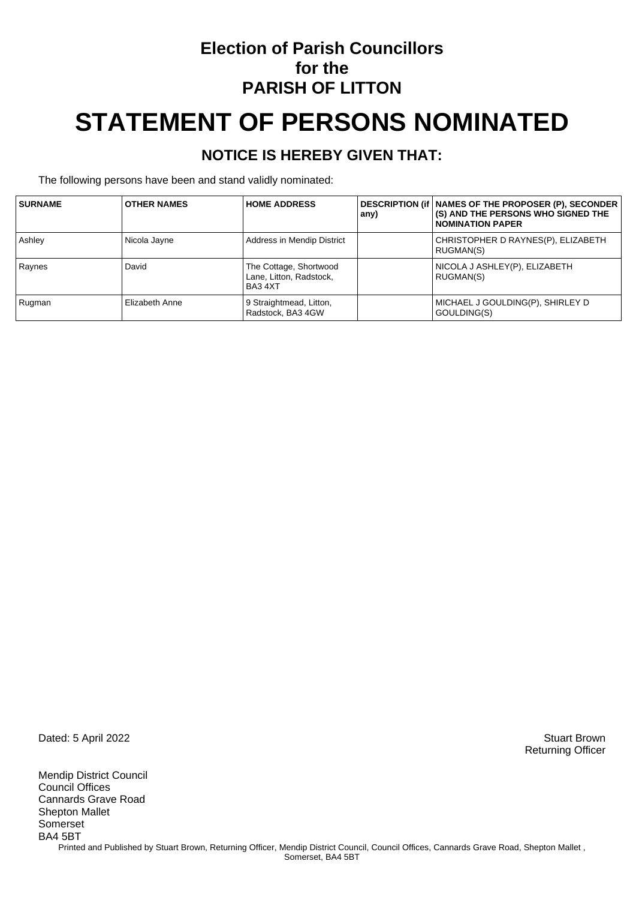### **Election of Parish Councillors for the PARISH OF LITTON**

# **STATEMENT OF PERSONS NOMINATED**

#### **NOTICE IS HEREBY GIVEN THAT:**

The following persons have been and stand validly nominated:

| <b>SURNAME</b> | <b>OTHER NAMES</b> | <b>HOME ADDRESS</b>                                          | any) | DESCRIPTION (if   NAMES OF THE PROPOSER (P), SECONDER<br>(S) AND THE PERSONS WHO SIGNED THE<br><b>NOMINATION PAPER</b> |
|----------------|--------------------|--------------------------------------------------------------|------|------------------------------------------------------------------------------------------------------------------------|
| Ashley         | Nicola Jayne       | Address in Mendip District                                   |      | CHRISTOPHER D RAYNES(P), ELIZABETH<br>RUGMAN(S)                                                                        |
| Raynes         | David              | The Cottage, Shortwood<br>Lane, Litton, Radstock,<br>BA3 4XT |      | NICOLA J ASHLEY(P), ELIZABETH<br>RUGMAN(S)                                                                             |
| Rugman         | Elizabeth Anne     | 9 Straightmead, Litton,<br>Radstock, BA3 4GW                 |      | MICHAEL J GOULDING(P), SHIRLEY D<br>GOULDING(S)                                                                        |

Dated: 5 April 2022 Stuart Brown

Mendip District Council Council Offices Cannards Grave Road Shepton Mallet Somerset BA4 5BT Printed and Published by Stuart Brown, Returning Officer, Mendip District Council, Council Offices, Cannards Grave Road, Shepton Mallet, Somerset, BA4 5BT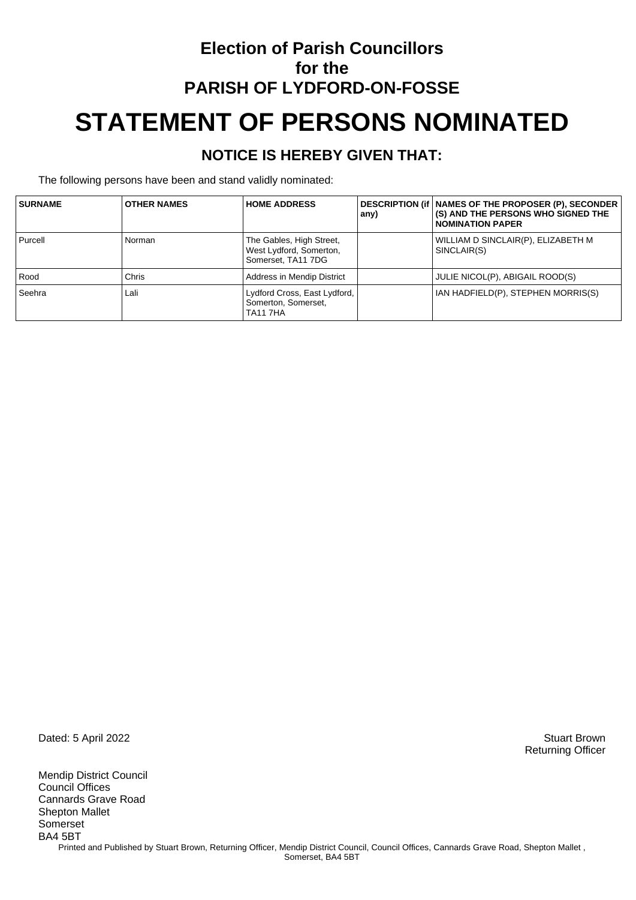## **Election of Parish Councillors for the PARISH OF LYDFORD-ON-FOSSE STATEMENT OF PERSONS NOMINATED**

#### **NOTICE IS HEREBY GIVEN THAT:**

The following persons have been and stand validly nominated:

| <b>SURNAME</b> | <b>OTHER NAMES</b> | <b>HOME ADDRESS</b>                                                       | any) | DESCRIPTION (if   NAMES OF THE PROPOSER (P), SECONDER<br>(S) AND THE PERSONS WHO SIGNED THE<br><b>NOMINATION PAPER</b> |
|----------------|--------------------|---------------------------------------------------------------------------|------|------------------------------------------------------------------------------------------------------------------------|
| Purcell        | Norman             | The Gables, High Street,<br>West Lydford, Somerton,<br>Somerset, TA11 7DG |      | WILLIAM D SINCLAIR(P), ELIZABETH M<br>SINCLAIR(S)                                                                      |
| Rood           | Chris              | Address in Mendip District                                                |      | JULIE NICOL(P), ABIGAIL ROOD(S)                                                                                        |
| Seehra         | Lali               | Lydford Cross, East Lydford,<br>Somerton, Somerset,<br><b>TA11 7HA</b>    |      | IAN HADFIELD(P), STEPHEN MORRIS(S)                                                                                     |

Dated: 5 April 2022 Stuart Brown

Mendip District Council Council Offices Cannards Grave Road Shepton Mallet Somerset BA4 5BT Printed and Published by Stuart Brown, Returning Officer, Mendip District Council, Council Offices, Cannards Grave Road, Shepton Mallet, Somerset, BA4 5BT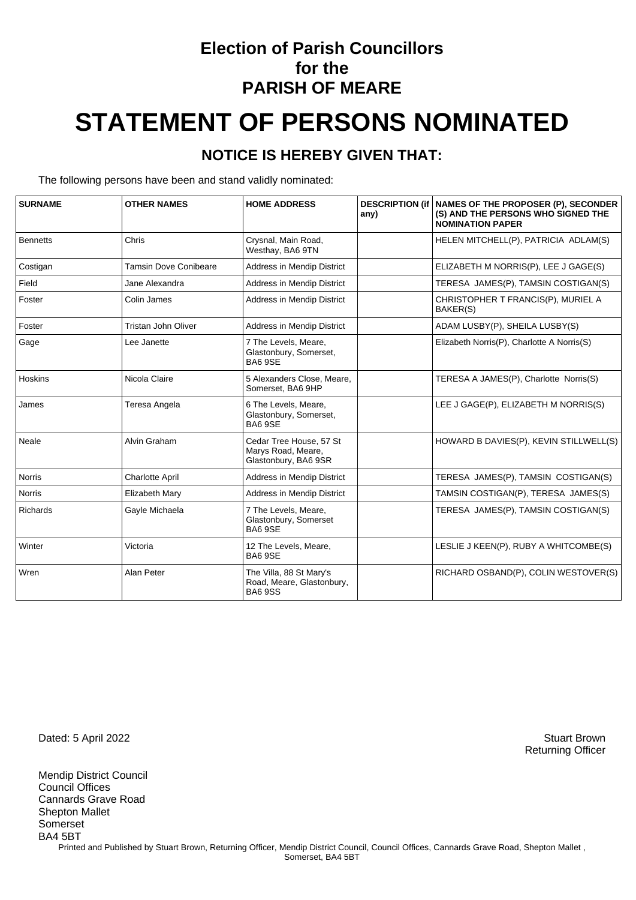### **Election of Parish Councillors for the PARISH OF MEARE**

# **STATEMENT OF PERSONS NOMINATED**

#### **NOTICE IS HEREBY GIVEN THAT:**

The following persons have been and stand validly nominated:

| <b>SURNAME</b>  | <b>OTHER NAMES</b>           | <b>HOME ADDRESS</b>                                                   | any) | <b>DESCRIPTION (if   NAMES OF THE PROPOSER (P), SECONDER</b><br>(S) AND THE PERSONS WHO SIGNED THE<br><b>NOMINATION PAPER</b> |
|-----------------|------------------------------|-----------------------------------------------------------------------|------|-------------------------------------------------------------------------------------------------------------------------------|
| <b>Bennetts</b> | Chris                        | Crysnal, Main Road,<br>Westhay, BA6 9TN                               |      | HELEN MITCHELL(P), PATRICIA ADLAM(S)                                                                                          |
| Costigan        | <b>Tamsin Dove Conibeare</b> | <b>Address in Mendip District</b>                                     |      | ELIZABETH M NORRIS(P), LEE J GAGE(S)                                                                                          |
| Field           | Jane Alexandra               | Address in Mendip District                                            |      | TERESA JAMES(P), TAMSIN COSTIGAN(S)                                                                                           |
| Foster          | Colin James                  | Address in Mendip District                                            |      | CHRISTOPHER T FRANCIS(P), MURIEL A<br>BAKER(S)                                                                                |
| Foster          | Tristan John Oliver          | Address in Mendip District                                            |      | ADAM LUSBY(P), SHEILA LUSBY(S)                                                                                                |
| Gage            | Lee Janette                  | 7 The Levels, Meare,<br>Glastonbury, Somerset,<br><b>BA6 9SE</b>      |      | Elizabeth Norris(P), Charlotte A Norris(S)                                                                                    |
| Hoskins         | Nicola Claire                | 5 Alexanders Close, Meare,<br>Somerset, BA6 9HP                       |      | TERESA A JAMES(P), Charlotte Norris(S)                                                                                        |
| James           | Teresa Angela                | 6 The Levels, Meare,<br>Glastonbury, Somerset,<br>BA6 9SE             |      | LEE J GAGE(P), ELIZABETH M NORRIS(S)                                                                                          |
| Neale           | Alvin Graham                 | Cedar Tree House, 57 St<br>Marys Road, Meare,<br>Glastonbury, BA6 9SR |      | HOWARD B DAVIES(P), KEVIN STILLWELL(S)                                                                                        |
| <b>Norris</b>   | <b>Charlotte April</b>       | <b>Address in Mendip District</b>                                     |      | TERESA JAMES(P), TAMSIN COSTIGAN(S)                                                                                           |
| <b>Norris</b>   | Elizabeth Mary               | Address in Mendip District                                            |      | TAMSIN COSTIGAN(P), TERESA JAMES(S)                                                                                           |
| Richards        | Gayle Michaela               | 7 The Levels, Meare,<br>Glastonbury, Somerset<br><b>BA6 9SE</b>       |      | TERESA JAMES(P), TAMSIN COSTIGAN(S)                                                                                           |
| Winter          | Victoria                     | 12 The Levels, Meare,<br>BA6 9SE                                      |      | LESLIE J KEEN(P), RUBY A WHITCOMBE(S)                                                                                         |
| Wren            | Alan Peter                   | The Villa, 88 St Mary's<br>Road, Meare, Glastonbury,<br><b>BA69SS</b> |      | RICHARD OSBAND(P), COLIN WESTOVER(S)                                                                                          |

Dated: 5 April 2022 Stuart Brown

Mendip District Council Council Offices Cannards Grave Road Shepton Mallet Somerset BA4 5BT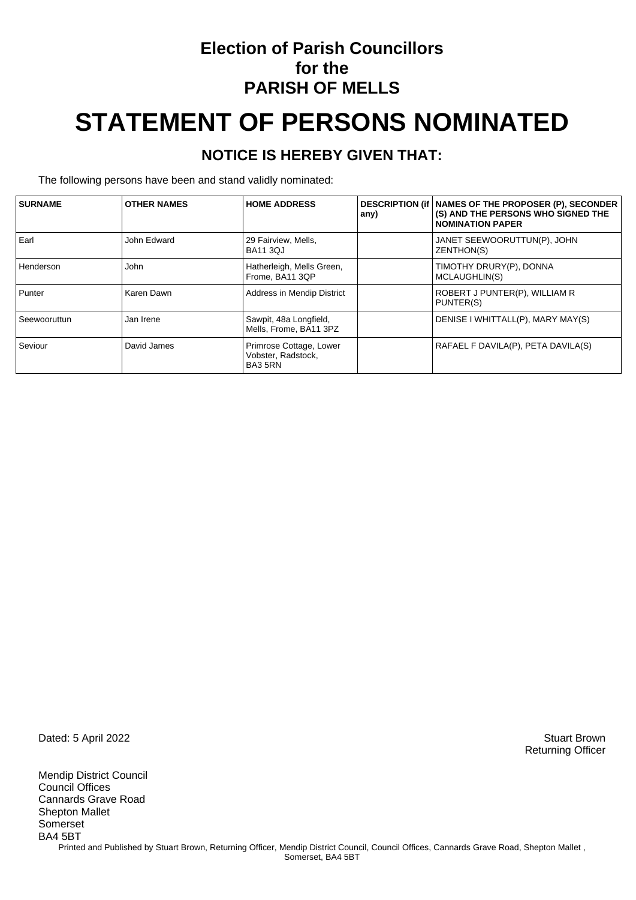### **Election of Parish Councillors for the PARISH OF MELLS**

# **STATEMENT OF PERSONS NOMINATED**

#### **NOTICE IS HEREBY GIVEN THAT:**

The following persons have been and stand validly nominated:

| <b>SURNAME</b> | <b>OTHER NAMES</b> | <b>HOME ADDRESS</b>                                      | any) | DESCRIPTION (if   NAMES OF THE PROPOSER (P), SECONDER<br>(S) AND THE PERSONS WHO SIGNED THE<br><b>NOMINATION PAPER</b> |
|----------------|--------------------|----------------------------------------------------------|------|------------------------------------------------------------------------------------------------------------------------|
| Earl           | John Edward        | 29 Fairview, Mells,<br><b>BA11 30J</b>                   |      | JANET SEEWOORUTTUN(P), JOHN<br>ZENTHON(S)                                                                              |
| Henderson      | John               | Hatherleigh, Mells Green,<br>Frome, BA11 3QP             |      | TIMOTHY DRURY(P), DONNA<br>MCLAUGHLIN(S)                                                                               |
| Punter         | Karen Dawn         | Address in Mendip District                               |      | ROBERT J PUNTER(P), WILLIAM R<br>PUNTER(S)                                                                             |
| Seewooruttun   | Jan Irene          | Sawpit, 48a Longfield,<br>Mells, Frome, BA11 3PZ         |      | DENISE I WHITTALL(P), MARY MAY(S)                                                                                      |
| Seviour        | David James        | Primrose Cottage, Lower<br>Vobster, Radstock,<br>BA3 5RN |      | RAFAEL F DAVILA(P), PETA DAVILA(S)                                                                                     |

Dated: 5 April 2022 Stuart Brown

Mendip District Council Council Offices Cannards Grave Road Shepton Mallet Somerset BA4 5BT Printed and Published by Stuart Brown, Returning Officer, Mendip District Council, Council Offices, Cannards Grave Road, Shepton Mallet, Somerset, BA4 5BT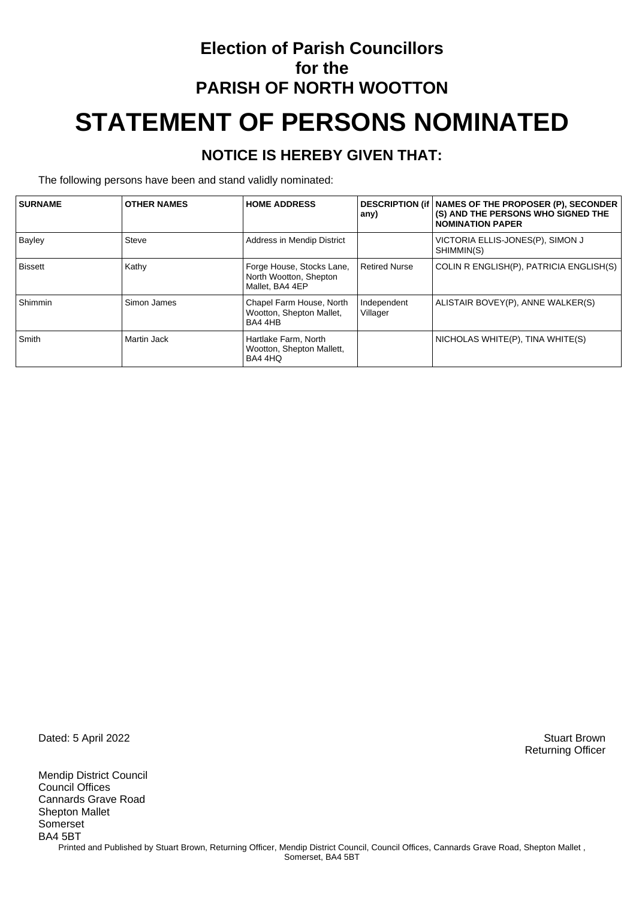# **Election of Parish Councillors for the PARISH OF NORTH WOOTTON STATEMENT OF PERSONS NOMINATED**

#### **NOTICE IS HEREBY GIVEN THAT:**

The following persons have been and stand validly nominated:

| <b>SURNAME</b> | <b>OTHER NAMES</b> | <b>HOME ADDRESS</b>                                                    | any)                    | DESCRIPTION (if   NAMES OF THE PROPOSER (P), SECONDER<br>(S) AND THE PERSONS WHO SIGNED THE<br><b>NOMINATION PAPER</b> |
|----------------|--------------------|------------------------------------------------------------------------|-------------------------|------------------------------------------------------------------------------------------------------------------------|
| Bayley         | <b>Steve</b>       | Address in Mendip District                                             |                         | VICTORIA ELLIS-JONES(P), SIMON J<br>SHIMMIN(S)                                                                         |
| <b>Bissett</b> | Kathy              | Forge House, Stocks Lane,<br>North Wootton, Shepton<br>Mallet, BA4 4EP | <b>Retired Nurse</b>    | COLIN R ENGLISH(P), PATRICIA ENGLISH(S)                                                                                |
| Shimmin        | Simon James        | Chapel Farm House, North<br>Wootton, Shepton Mallet,<br>BA4 4HB        | Independent<br>Villager | ALISTAIR BOVEY(P), ANNE WALKER(S)                                                                                      |
| Smith          | Martin Jack        | Hartlake Farm, North<br>Wootton, Shepton Mallett,<br>BA4 4HQ           |                         | NICHOLAS WHITE(P), TINA WHITE(S)                                                                                       |

Dated: 5 April 2022 Stuart Brown

Mendip District Council Council Offices Cannards Grave Road Shepton Mallet Somerset BA4 5BT Printed and Published by Stuart Brown, Returning Officer, Mendip District Council, Council Offices, Cannards Grave Road, Shepton Mallet, Somerset, BA4 5BT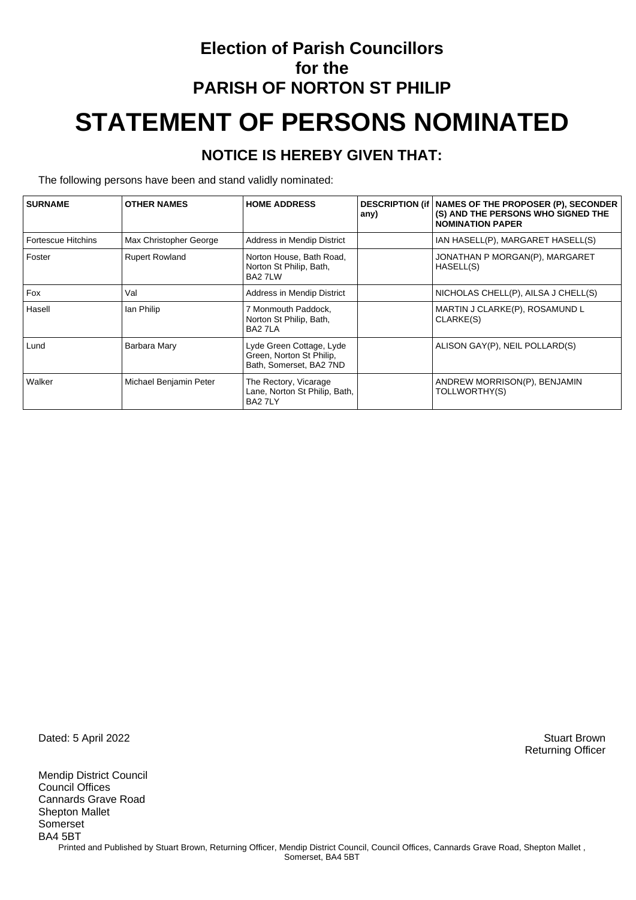# **Election of Parish Councillors for the PARISH OF NORTON ST PHILIP STATEMENT OF PERSONS NOMINATED**

#### **NOTICE IS HEREBY GIVEN THAT:**

The following persons have been and stand validly nominated:

| <b>SURNAME</b>            | <b>OTHER NAMES</b>     | <b>HOME ADDRESS</b>                                                             | any) | DESCRIPTION (if   NAMES OF THE PROPOSER (P), SECONDER<br>(S) AND THE PERSONS WHO SIGNED THE<br><b>NOMINATION PAPER</b> |
|---------------------------|------------------------|---------------------------------------------------------------------------------|------|------------------------------------------------------------------------------------------------------------------------|
| <b>Fortescue Hitchins</b> | Max Christopher George | Address in Mendip District                                                      |      | IAN HASELL(P), MARGARET HASELL(S)                                                                                      |
| Foster                    | <b>Rupert Rowland</b>  | Norton House, Bath Road,<br>Norton St Philip, Bath,<br>BA2 7LW                  |      | JONATHAN P MORGAN(P), MARGARET<br>HASELL(S)                                                                            |
| Fox                       | Val                    | Address in Mendip District                                                      |      | NICHOLAS CHELL(P), AILSA J CHELL(S)                                                                                    |
| Hasell                    | lan Philip             | 7 Monmouth Paddock,<br>Norton St Philip, Bath,<br>BA2 7LA                       |      | MARTIN J CLARKE(P), ROSAMUND L<br>CLARKE(S)                                                                            |
| Lund                      | Barbara Mary           | Lyde Green Cottage, Lyde<br>Green, Norton St Philip,<br>Bath, Somerset, BA2 7ND |      | ALISON GAY(P), NEIL POLLARD(S)                                                                                         |
| Walker                    | Michael Benjamin Peter | The Rectory, Vicarage<br>Lane, Norton St Philip, Bath,<br>BA2 7LY               |      | ANDREW MORRISON(P), BENJAMIN<br>TOLLWORTHY(S)                                                                          |

Dated: 5 April 2022 Stuart Brown

Mendip District Council Council Offices Cannards Grave Road Shepton Mallet Somerset BA4 5BT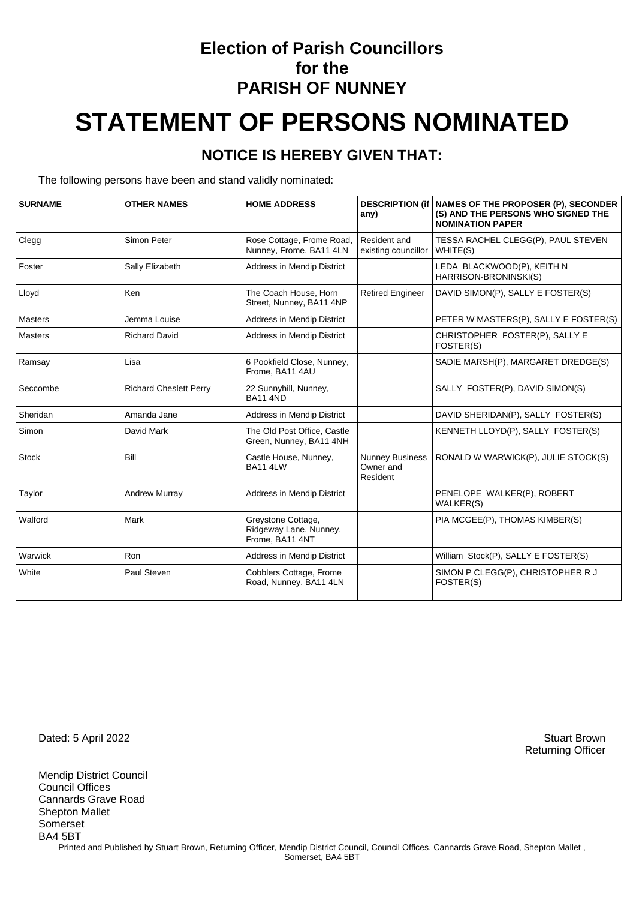### **Election of Parish Councillors for the PARISH OF NUNNEY**

# **STATEMENT OF PERSONS NOMINATED**

#### **NOTICE IS HEREBY GIVEN THAT:**

The following persons have been and stand validly nominated:

| <b>SURNAME</b> | <b>OTHER NAMES</b>            | <b>HOME ADDRESS</b>                                             | <b>DESCRIPTION (if</b><br>any)                  | <b>NAMES OF THE PROPOSER (P), SECONDER</b><br>(S) AND THE PERSONS WHO SIGNED THE<br><b>NOMINATION PAPER</b> |
|----------------|-------------------------------|-----------------------------------------------------------------|-------------------------------------------------|-------------------------------------------------------------------------------------------------------------|
| Clegg          | Simon Peter                   | Rose Cottage, Frome Road,<br>Nunney, Frome, BA11 4LN            | Resident and<br>existing councillor             | TESSA RACHEL CLEGG(P), PAUL STEVEN<br>WHITE(S)                                                              |
| Foster         | Sally Elizabeth               | Address in Mendip District                                      |                                                 | LEDA BLACKWOOD(P), KEITH N<br>HARRISON-BRONINSKI(S)                                                         |
| Lloyd          | Ken                           | The Coach House, Horn<br>Street, Nunney, BA11 4NP               | <b>Retired Engineer</b>                         | DAVID SIMON(P), SALLY E FOSTER(S)                                                                           |
| Masters        | Jemma Louise                  | <b>Address in Mendip District</b>                               |                                                 | PETER W MASTERS(P), SALLY E FOSTER(S)                                                                       |
| <b>Masters</b> | <b>Richard David</b>          | Address in Mendip District                                      |                                                 | CHRISTOPHER FOSTER(P), SALLY E<br>FOSTER(S)                                                                 |
| Ramsay         | Lisa                          | 6 Pookfield Close, Nunney,<br>Frome, BA11 4AU                   |                                                 | SADIE MARSH(P), MARGARET DREDGE(S)                                                                          |
| Seccombe       | <b>Richard Cheslett Perry</b> | 22 Sunnyhill, Nunney,<br><b>BA11 4ND</b>                        |                                                 | SALLY FOSTER(P), DAVID SIMON(S)                                                                             |
| Sheridan       | Amanda Jane                   | Address in Mendip District                                      |                                                 | DAVID SHERIDAN(P), SALLY FOSTER(S)                                                                          |
| Simon          | David Mark                    | The Old Post Office, Castle<br>Green, Nunney, BA11 4NH          |                                                 | KENNETH LLOYD(P), SALLY FOSTER(S)                                                                           |
| <b>Stock</b>   | Bill                          | Castle House, Nunney,<br><b>BA11 4LW</b>                        | <b>Nunney Business</b><br>Owner and<br>Resident | RONALD W WARWICK(P), JULIE STOCK(S)                                                                         |
| Taylor         | <b>Andrew Murray</b>          | Address in Mendip District                                      |                                                 | PENELOPE WALKER(P), ROBERT<br><b>WALKER(S)</b>                                                              |
| Walford        | Mark                          | Greystone Cottage,<br>Ridgeway Lane, Nunney,<br>Frome, BA11 4NT |                                                 | PIA MCGEE(P), THOMAS KIMBER(S)                                                                              |
| Warwick        | Ron                           | Address in Mendip District                                      |                                                 | William Stock(P), SALLY E FOSTER(S)                                                                         |
| White          | Paul Steven                   | Cobblers Cottage, Frome<br>Road, Nunney, BA11 4LN               |                                                 | SIMON P CLEGG(P), CHRISTOPHER R J<br>FOSTER(S)                                                              |

Dated: 5 April 2022 Stuart Brown

Mendip District Council Council Offices Cannards Grave Road Shepton Mallet Somerset BA4 5BT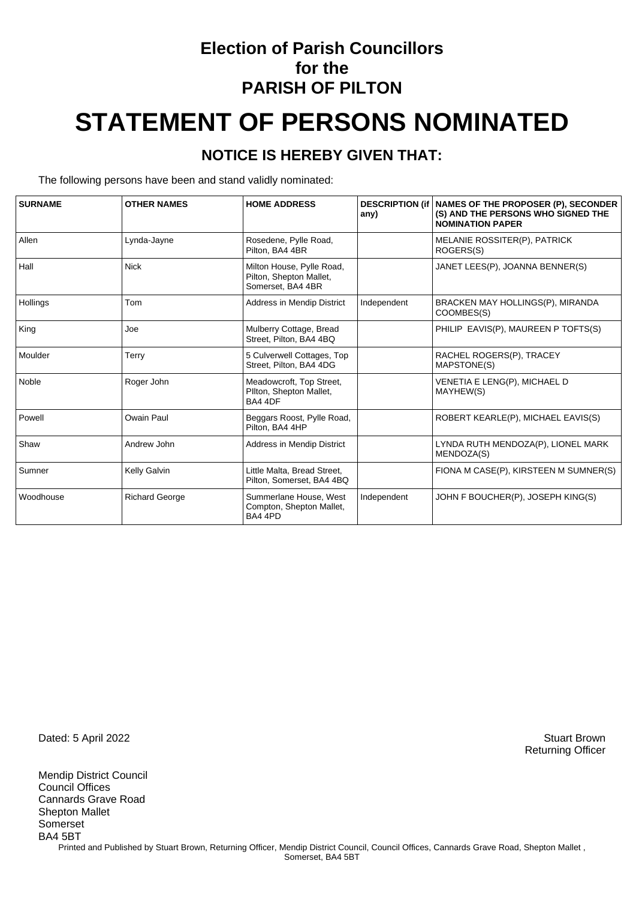### **Election of Parish Councillors for the PARISH OF PILTON**

# **STATEMENT OF PERSONS NOMINATED**

#### **NOTICE IS HEREBY GIVEN THAT:**

The following persons have been and stand validly nominated:

| <b>SURNAME</b> | <b>OTHER NAMES</b>    | <b>HOME ADDRESS</b>                                                       | <b>DESCRIPTION (if</b><br>any) | <b>NAMES OF THE PROPOSER (P), SECONDER</b><br>(S) AND THE PERSONS WHO SIGNED THE<br><b>NOMINATION PAPER</b> |
|----------------|-----------------------|---------------------------------------------------------------------------|--------------------------------|-------------------------------------------------------------------------------------------------------------|
| Allen          | Lynda-Jayne           | Rosedene, Pylle Road,<br>Pilton, BA4 4BR                                  |                                | MELANIE ROSSITER(P), PATRICK<br>ROGERS(S)                                                                   |
| Hall           | <b>Nick</b>           | Milton House, Pylle Road,<br>Pilton, Shepton Mallet,<br>Somerset, BA4 4BR |                                | JANET LEES(P), JOANNA BENNER(S)                                                                             |
| Hollings       | Tom                   | Address in Mendip District                                                | Independent                    | BRACKEN MAY HOLLINGS(P), MIRANDA<br>COOMBES(S)                                                              |
| King           | Joe                   | Mulberry Cottage, Bread<br>Street, Pilton, BA4 4BQ                        |                                | PHILIP EAVIS(P), MAUREEN P TOFTS(S)                                                                         |
| Moulder        | Terry                 | 5 Culverwell Cottages, Top<br>Street, Pilton, BA4 4DG                     |                                | RACHEL ROGERS(P), TRACEY<br>MAPSTONE(S)                                                                     |
| Noble          | Roger John            | Meadowcroft, Top Street,<br>Pilton, Shepton Mallet,<br>BA4 4DF            |                                | VENETIA E LENG(P), MICHAEL D<br>MAYHEW(S)                                                                   |
| Powell         | Owain Paul            | Beggars Roost, Pylle Road,<br>Pilton, BA4 4HP                             |                                | ROBERT KEARLE(P), MICHAEL EAVIS(S)                                                                          |
| Shaw           | Andrew John           | Address in Mendip District                                                |                                | LYNDA RUTH MENDOZA(P), LIONEL MARK<br>MENDOZA(S)                                                            |
| Sumner         | Kelly Galvin          | Little Malta, Bread Street,<br>Pilton, Somerset, BA4 4BQ                  |                                | FIONA M CASE(P), KIRSTEEN M SUMNER(S)                                                                       |
| Woodhouse      | <b>Richard George</b> | Summerlane House, West<br>Compton, Shepton Mallet,<br>BA4 4PD             | Independent                    | JOHN F BOUCHER(P), JOSEPH KING(S)                                                                           |

Dated: 5 April 2022 Stuart Brown

Mendip District Council Council Offices Cannards Grave Road Shepton Mallet Somerset BA4 5BT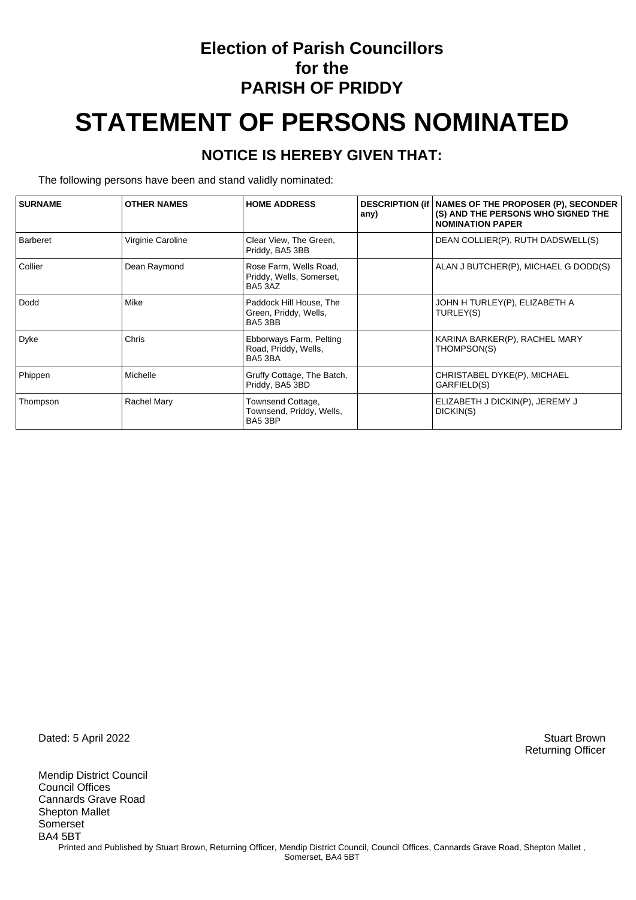### **Election of Parish Councillors for the PARISH OF PRIDDY**

# **STATEMENT OF PERSONS NOMINATED**

#### **NOTICE IS HEREBY GIVEN THAT:**

The following persons have been and stand validly nominated:

| <b>SURNAME</b>  | <b>OTHER NAMES</b> | <b>HOME ADDRESS</b>                                           | any) | <b>DESCRIPTION (if   NAMES OF THE PROPOSER (P), SECONDER</b><br>(S) AND THE PERSONS WHO SIGNED THE<br><b>NOMINATION PAPER</b> |
|-----------------|--------------------|---------------------------------------------------------------|------|-------------------------------------------------------------------------------------------------------------------------------|
| <b>Barberet</b> | Virginie Caroline  | Clear View, The Green,<br>Priddy, BA5 3BB                     |      | DEAN COLLIER(P), RUTH DADSWELL(S)                                                                                             |
| Collier         | Dean Raymond       | Rose Farm, Wells Road,<br>Priddy, Wells, Somerset,<br>BA5 3AZ |      | ALAN J BUTCHER(P), MICHAEL G DODD(S)                                                                                          |
| Dodd            | Mike               | Paddock Hill House, The<br>Green, Priddy, Wells,<br>BA5 3BB   |      | JOHN H TURLEY(P), ELIZABETH A<br>TURLEY(S)                                                                                    |
| Dyke            | Chris              | Ebborways Farm, Pelting<br>Road, Priddy, Wells,<br>BA5 3BA    |      | KARINA BARKER(P), RACHEL MARY<br>THOMPSON(S)                                                                                  |
| Phippen         | Michelle           | Gruffy Cottage, The Batch,<br>Priddy, BA5 3BD                 |      | CHRISTABEL DYKE(P), MICHAEL<br>GARFIELD(S)                                                                                    |
| Thompson        | <b>Rachel Mary</b> | Townsend Cottage,<br>Townsend, Priddy, Wells,<br>BA5 3BP      |      | ELIZABETH J DICKIN(P), JEREMY J<br>DICKIN(S)                                                                                  |

Dated: 5 April 2022 Stuart Brown

Mendip District Council Council Offices Cannards Grave Road Shepton Mallet Somerset BA4 5BT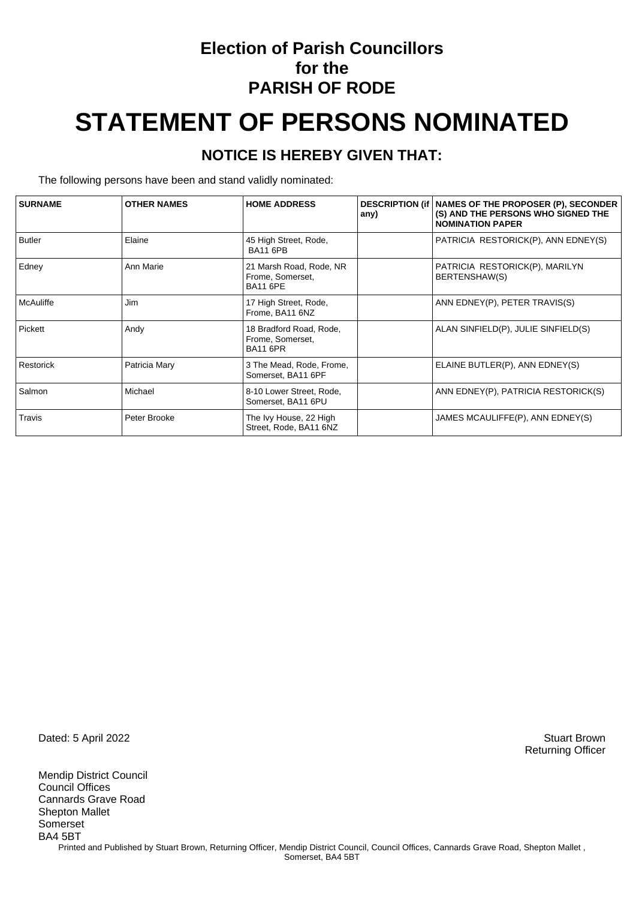### **Election of Parish Councillors for the PARISH OF RODE**

# **STATEMENT OF PERSONS NOMINATED**

#### **NOTICE IS HEREBY GIVEN THAT:**

The following persons have been and stand validly nominated:

| <b>SURNAME</b> | <b>OTHER NAMES</b> | <b>HOME ADDRESS</b>                                            | any) | DESCRIPTION (if   NAMES OF THE PROPOSER (P), SECONDER<br>(S) AND THE PERSONS WHO SIGNED THE<br><b>NOMINATION PAPER</b> |
|----------------|--------------------|----------------------------------------------------------------|------|------------------------------------------------------------------------------------------------------------------------|
| <b>Butler</b>  | Elaine             | 45 High Street, Rode,<br><b>BA11 6PB</b>                       |      | PATRICIA RESTORICK(P), ANN EDNEY(S)                                                                                    |
| Edney          | Ann Marie          | 21 Marsh Road, Rode, NR<br>Frome, Somerset,<br><b>BA11 6PE</b> |      | PATRICIA RESTORICK(P), MARILYN<br>BERTENSHAW(S)                                                                        |
| McAuliffe      | Jim                | 17 High Street, Rode,<br>Frome, BA11 6NZ                       |      | ANN EDNEY(P), PETER TRAVIS(S)                                                                                          |
| Pickett        | Andy               | 18 Bradford Road, Rode,<br>Frome, Somerset,<br><b>BA11 6PR</b> |      | ALAN SINFIELD(P), JULIE SINFIELD(S)                                                                                    |
| Restorick      | Patricia Mary      | 3 The Mead, Rode, Frome,<br>Somerset, BA11 6PF                 |      | ELAINE BUTLER(P), ANN EDNEY(S)                                                                                         |
| Salmon         | Michael            | 8-10 Lower Street, Rode,<br>Somerset, BA11 6PU                 |      | ANN EDNEY(P), PATRICIA RESTORICK(S)                                                                                    |
| Travis         | Peter Brooke       | The Ivy House, 22 High<br>Street, Rode, BA11 6NZ               |      | JAMES MCAULIFFE(P), ANN EDNEY(S)                                                                                       |

Dated: 5 April 2022 Stuart Brown

Mendip District Council Council Offices Cannards Grave Road Shepton Mallet Somerset BA4 5BT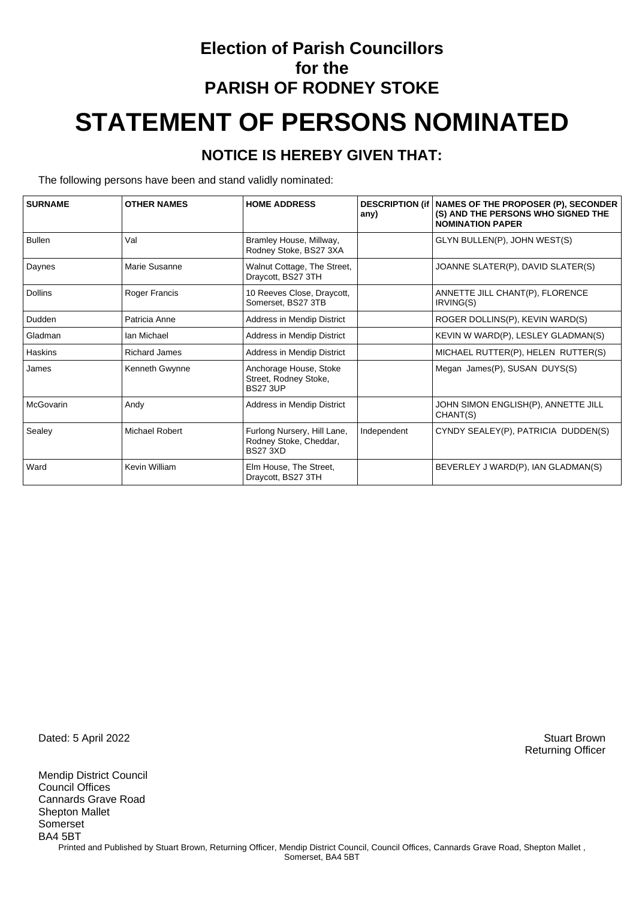## **Election of Parish Councillors for the PARISH OF RODNEY STOKE STATEMENT OF PERSONS NOMINATED**

#### **NOTICE IS HEREBY GIVEN THAT:**

The following persons have been and stand validly nominated:

| <b>SURNAME</b> | <b>OTHER NAMES</b>   | <b>HOME ADDRESS</b>                                                      | <b>DESCRIPTION (if)</b><br>any) | <b>NAMES OF THE PROPOSER (P), SECONDER</b><br>(S) AND THE PERSONS WHO SIGNED THE<br><b>NOMINATION PAPER</b> |
|----------------|----------------------|--------------------------------------------------------------------------|---------------------------------|-------------------------------------------------------------------------------------------------------------|
| <b>Bullen</b>  | Val                  | Bramley House, Millway,<br>Rodney Stoke, BS27 3XA                        |                                 | GLYN BULLEN(P), JOHN WEST(S)                                                                                |
| Daynes         | Marie Susanne        | Walnut Cottage, The Street,<br>Draycott, BS27 3TH                        |                                 | JOANNE SLATER(P), DAVID SLATER(S)                                                                           |
| <b>Dollins</b> | Roger Francis        | 10 Reeves Close, Draycott,<br>Somerset, BS27 3TB                         |                                 | ANNETTE JILL CHANT(P), FLORENCE<br>IRVING(S)                                                                |
| Dudden         | Patricia Anne        | Address in Mendip District                                               |                                 | ROGER DOLLINS(P), KEVIN WARD(S)                                                                             |
| Gladman        | Ian Michael          | Address in Mendip District                                               |                                 | KEVIN W WARD(P), LESLEY GLADMAN(S)                                                                          |
| Haskins        | <b>Richard James</b> | Address in Mendip District                                               |                                 | MICHAEL RUTTER(P), HELEN RUTTER(S)                                                                          |
| James          | Kenneth Gwynne       | Anchorage House, Stoke<br>Street, Rodney Stoke,<br><b>BS27 3UP</b>       |                                 | Megan James(P), SUSAN DUYS(S)                                                                               |
| McGovarin      | Andy                 | Address in Mendip District                                               |                                 | JOHN SIMON ENGLISH(P), ANNETTE JILL<br>CHANT(S)                                                             |
| Sealey         | Michael Robert       | Furlong Nursery, Hill Lane,<br>Rodney Stoke, Cheddar,<br><b>BS27 3XD</b> | Independent                     | CYNDY SEALEY(P), PATRICIA DUDDEN(S)                                                                         |
| Ward           | Kevin William        | Elm House, The Street,<br>Draycott, BS27 3TH                             |                                 | BEVERLEY J WARD(P), IAN GLADMAN(S)                                                                          |

Dated: 5 April 2022 Stuart Brown

Mendip District Council Council Offices Cannards Grave Road Shepton Mallet Somerset BA4 5BT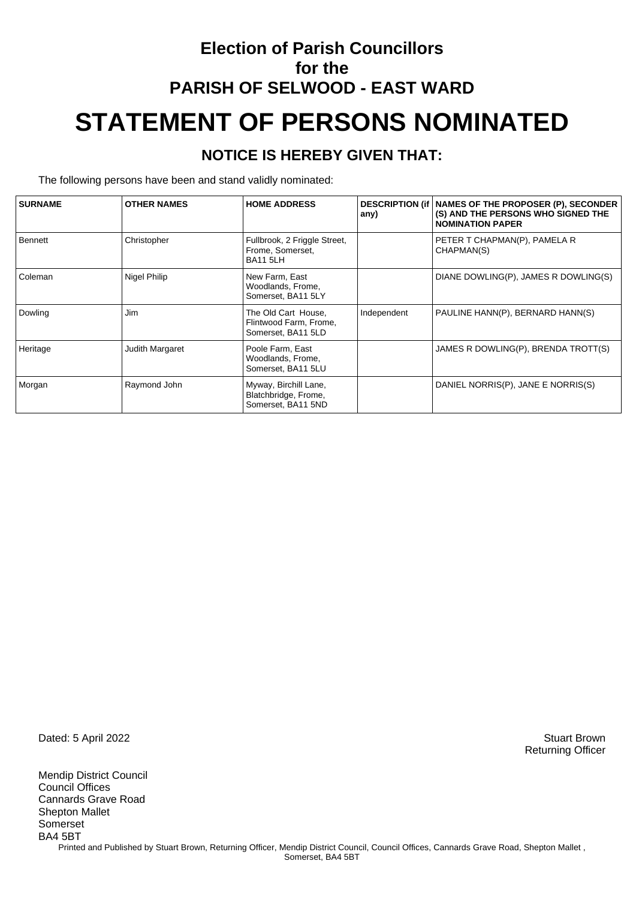## **Election of Parish Councillors for the PARISH OF SELWOOD - EAST WARD STATEMENT OF PERSONS NOMINATED**

#### **NOTICE IS HEREBY GIVEN THAT:**

The following persons have been and stand validly nominated:

| <b>SURNAME</b> | <b>OTHER NAMES</b> | <b>HOME ADDRESS</b>                                                 | any)        | DESCRIPTION (if   NAMES OF THE PROPOSER (P), SECONDER<br>(S) AND THE PERSONS WHO SIGNED THE<br><b>NOMINATION PAPER</b> |
|----------------|--------------------|---------------------------------------------------------------------|-------------|------------------------------------------------------------------------------------------------------------------------|
| Bennett        | Christopher        | Fullbrook, 2 Friggle Street,<br>Frome, Somerset,<br><b>BA11 5LH</b> |             | PETER T CHAPMAN(P), PAMELA R<br>CHAPMAN(S)                                                                             |
| Coleman        | Nigel Philip       | New Farm, East<br>Woodlands, Frome,<br>Somerset, BA11 5LY           |             | DIANE DOWLING(P), JAMES R DOWLING(S)                                                                                   |
| Dowling        | Jim                | The Old Cart House,<br>Flintwood Farm, Frome,<br>Somerset, BA11 5LD | Independent | PAULINE HANN(P), BERNARD HANN(S)                                                                                       |
| Heritage       | Judith Margaret    | Poole Farm, East<br>Woodlands, Frome,<br>Somerset, BA11 5LU         |             | JAMES R DOWLING(P), BRENDA TROTT(S)                                                                                    |
| Morgan         | Raymond John       | Myway, Birchill Lane,<br>Blatchbridge, Frome,<br>Somerset, BA11 5ND |             | DANIEL NORRIS(P), JANE E NORRIS(S)                                                                                     |

Dated: 5 April 2022 Stuart Brown

Mendip District Council Council Offices Cannards Grave Road Shepton Mallet Somerset BA4 5BT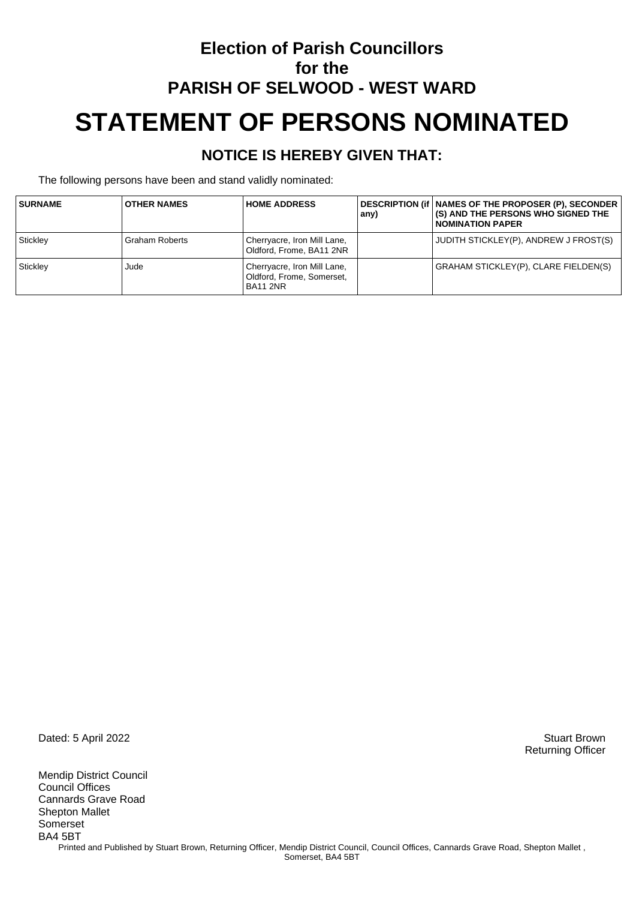## **Election of Parish Councillors for the PARISH OF SELWOOD - WEST WARD STATEMENT OF PERSONS NOMINATED**

#### **NOTICE IS HEREBY GIVEN THAT:**

The following persons have been and stand validly nominated:

| <b>SURNAME</b> | <b>OTHER NAMES</b>    | <b>HOME ADDRESS</b>                                                  | any) | <b>DESCRIPTION (if   NAMES OF THE PROPOSER (P), SECONDER</b><br>(S) AND THE PERSONS WHO SIGNED THE<br><b>NOMINATION PAPER</b> |
|----------------|-----------------------|----------------------------------------------------------------------|------|-------------------------------------------------------------------------------------------------------------------------------|
| Stickley       | <b>Graham Roberts</b> | Cherryacre, Iron Mill Lane,<br>Oldford, Frome, BA11 2NR              |      | JUDITH STICKLEY(P), ANDREW J FROST(S)                                                                                         |
| Stickley       | Jude                  | Cherryacre, Iron Mill Lane,<br>Oldford, Frome, Somerset,<br>BA11 2NR |      | <b>GRAHAM STICKLEY(P), CLARE FIELDEN(S)</b>                                                                                   |

Dated: 5 April 2022 Stuart Brown

Mendip District Council Council Offices Cannards Grave Road Shepton Mallet Somerset BA4 5BT Printed and Published by Stuart Brown, Returning Officer, Mendip District Council, Council Offices, Cannards Grave Road, Shepton Mallet, Somerset, BA4 5BT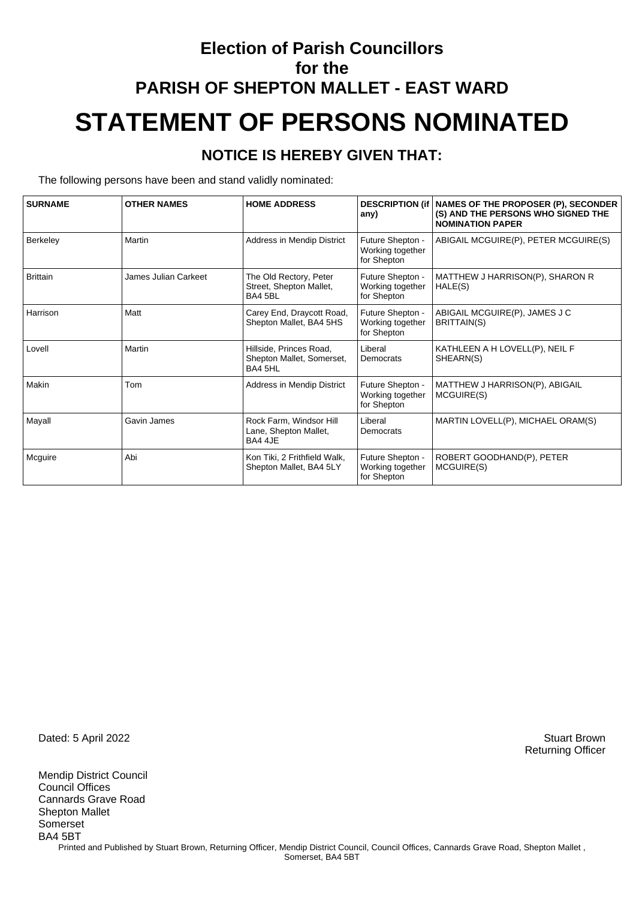## **Election of Parish Councillors for the PARISH OF SHEPTON MALLET - EAST WARD STATEMENT OF PERSONS NOMINATED**

#### **NOTICE IS HEREBY GIVEN THAT:**

The following persons have been and stand validly nominated:

| <b>SURNAME</b>  | <b>OTHER NAMES</b>   | <b>HOME ADDRESS</b>                                             | <b>DESCRIPTION (if)</b><br>any)                     | NAMES OF THE PROPOSER (P), SECONDER<br>(S) AND THE PERSONS WHO SIGNED THE<br><b>NOMINATION PAPER</b> |
|-----------------|----------------------|-----------------------------------------------------------------|-----------------------------------------------------|------------------------------------------------------------------------------------------------------|
| Berkeley        | Martin               | Address in Mendip District                                      | Future Shepton -<br>Working together<br>for Shepton | ABIGAIL MCGUIRE(P), PETER MCGUIRE(S)                                                                 |
| <b>Brittain</b> | James Julian Carkeet | The Old Rectory, Peter<br>Street, Shepton Mallet,<br>BA4 5BL    | Future Shepton -<br>Working together<br>for Shepton | MATTHEW J HARRISON(P), SHARON R<br>HALE(S)                                                           |
| Harrison        | Matt                 | Carey End, Draycott Road,<br>Shepton Mallet, BA4 5HS            | Future Shepton -<br>Working together<br>for Shepton | ABIGAIL MCGUIRE(P), JAMES J C<br>BRITTAIN(S)                                                         |
| Lovell          | Martin               | Hillside, Princes Road,<br>Shepton Mallet, Somerset,<br>BA4 5HL | Liberal<br>Democrats                                | KATHLEEN A H LOVELL(P), NEIL F<br>SHEARN(S)                                                          |
| Makin           | Tom                  | Address in Mendip District                                      | Future Shepton -<br>Working together<br>for Shepton | MATTHEW J HARRISON(P), ABIGAIL<br>MCGUIRE(S)                                                         |
| Mayall          | Gavin James          | Rock Farm, Windsor Hill<br>Lane, Shepton Mallet,<br>BA4 4JE     | Liberal<br>Democrats                                | MARTIN LOVELL(P), MICHAEL ORAM(S)                                                                    |
| Mcguire         | Abi                  | Kon Tiki, 2 Frithfield Walk,<br>Shepton Mallet, BA4 5LY         | Future Shepton -<br>Working together<br>for Shepton | ROBERT GOODHAND(P), PETER<br>MCGUIRE(S)                                                              |

Dated: 5 April 2022 Stuart Brown

Mendip District Council Council Offices Cannards Grave Road Shepton Mallet Somerset BA4 5BT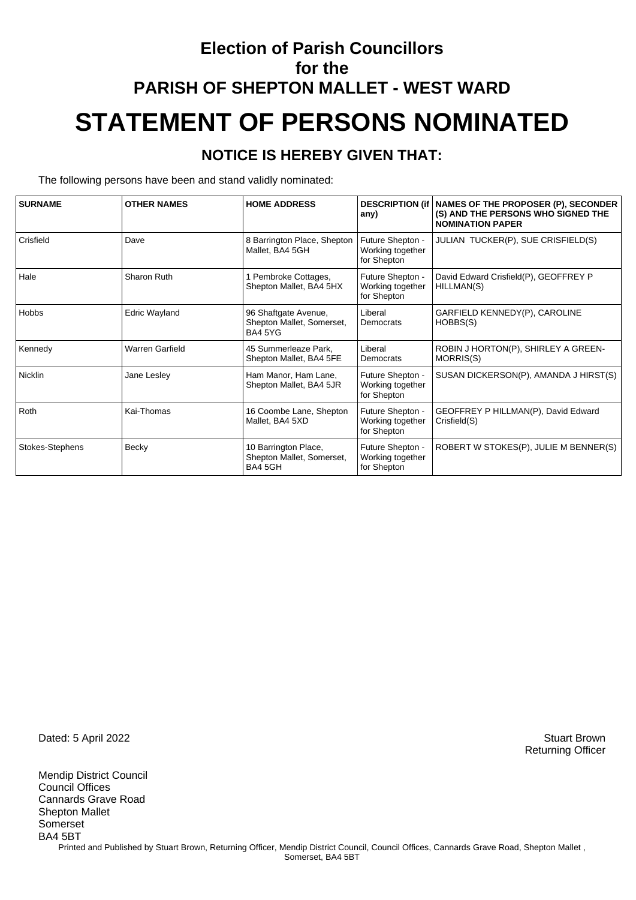## **Election of Parish Councillors for the PARISH OF SHEPTON MALLET - WEST WARD STATEMENT OF PERSONS NOMINATED**

#### **NOTICE IS HEREBY GIVEN THAT:**

The following persons have been and stand validly nominated:

| <b>SURNAME</b>  | <b>OTHER NAMES</b>     | <b>HOME ADDRESS</b>                                          | any)                                                | DESCRIPTION (if   NAMES OF THE PROPOSER (P), SECONDER<br>(S) AND THE PERSONS WHO SIGNED THE<br><b>NOMINATION PAPER</b> |
|-----------------|------------------------|--------------------------------------------------------------|-----------------------------------------------------|------------------------------------------------------------------------------------------------------------------------|
| Crisfield       | Dave                   | 8 Barrington Place, Shepton<br>Mallet, BA4 5GH               | Future Shepton -<br>Working together<br>for Shepton | JULIAN TUCKER(P), SUE CRISFIELD(S)                                                                                     |
| Hale            | Sharon Ruth            | Pembroke Cottages,<br>Shepton Mallet, BA4 5HX                | Future Shepton -<br>Working together<br>for Shepton | David Edward Crisfield(P), GEOFFREY P<br>HILLMAN(S)                                                                    |
| <b>Hobbs</b>    | <b>Edric Wayland</b>   | 96 Shaftgate Avenue,<br>Shepton Mallet, Somerset,<br>BA4 5YG | Liberal<br>Democrats                                | GARFIELD KENNEDY(P), CAROLINE<br>HOBBS(S)                                                                              |
| Kennedy         | <b>Warren Garfield</b> | 45 Summerleaze Park.<br>Shepton Mallet, BA4 5FE              | Liberal<br>Democrats                                | ROBIN J HORTON(P), SHIRLEY A GREEN-<br>MORRIS(S)                                                                       |
| <b>Nicklin</b>  | Jane Lesley            | Ham Manor, Ham Lane,<br>Shepton Mallet, BA4 5JR              | Future Shepton -<br>Working together<br>for Shepton | SUSAN DICKERSON(P), AMANDA J HIRST(S)                                                                                  |
| Roth            | Kai-Thomas             | 16 Coombe Lane, Shepton<br>Mallet, BA4 5XD                   | Future Shepton -<br>Working together<br>for Shepton | GEOFFREY P HILLMAN(P), David Edward<br>Crisfield(S)                                                                    |
| Stokes-Stephens | Becky                  | 10 Barrington Place,<br>Shepton Mallet, Somerset,<br>BA4 5GH | Future Shepton -<br>Working together<br>for Shepton | ROBERT W STOKES(P), JULIE M BENNER(S)                                                                                  |

Dated: 5 April 2022 Stuart Brown

Mendip District Council Council Offices Cannards Grave Road Shepton Mallet Somerset BA4 5BT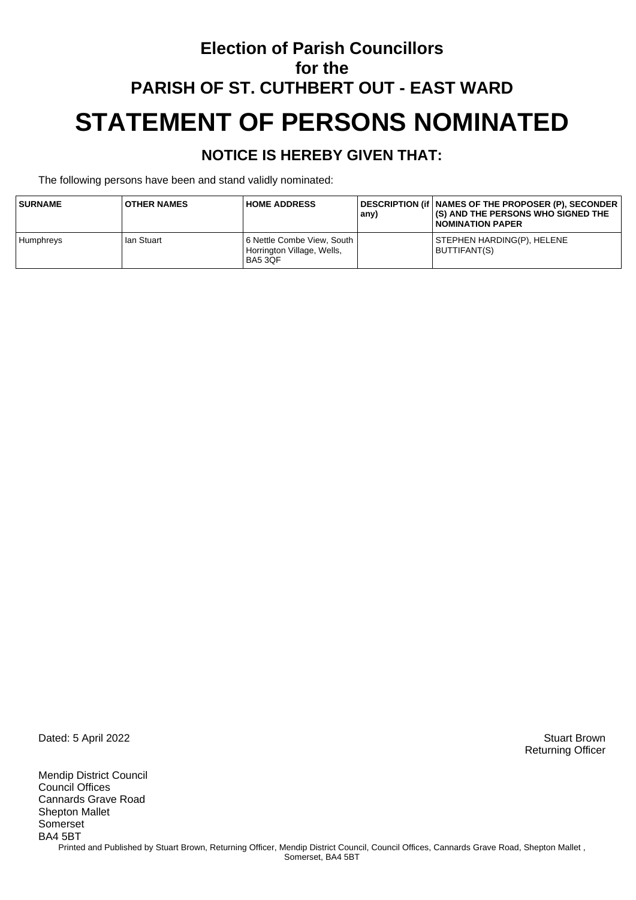### **Election of Parish Councillors for the PARISH OF ST. CUTHBERT OUT - EAST WARD STATEMENT OF PERSONS NOMINATED**

#### **NOTICE IS HEREBY GIVEN THAT:**

The following persons have been and stand validly nominated:

| <b>SURNAME</b>   | <b>OTHER NAMES</b> | <b>HOME ADDRESS</b>                                                        | any) | DESCRIPTION (if   NAMES OF THE PROPOSER (P), SECONDER<br><b>(S) AND THE PERSONS WHO SIGNED THE</b><br>I NOMINATION PAPER |
|------------------|--------------------|----------------------------------------------------------------------------|------|--------------------------------------------------------------------------------------------------------------------------|
| <b>Humphreys</b> | lan Stuart         | 6 Nettle Combe View, South<br>Horrington Village, Wells,<br><b>BA5 3OF</b> |      | STEPHEN HARDING(P), HELENE<br>BUTTIFANT(S)                                                                               |

Dated: 5 April 2022 Stuart Brown

Mendip District Council Council Offices Cannards Grave Road Shepton Mallet Somerset BA4 5BT Printed and Published by Stuart Brown, Returning Officer, Mendip District Council, Council Offices, Cannards Grave Road, Shepton Mallet, Somerset, BA4 5BT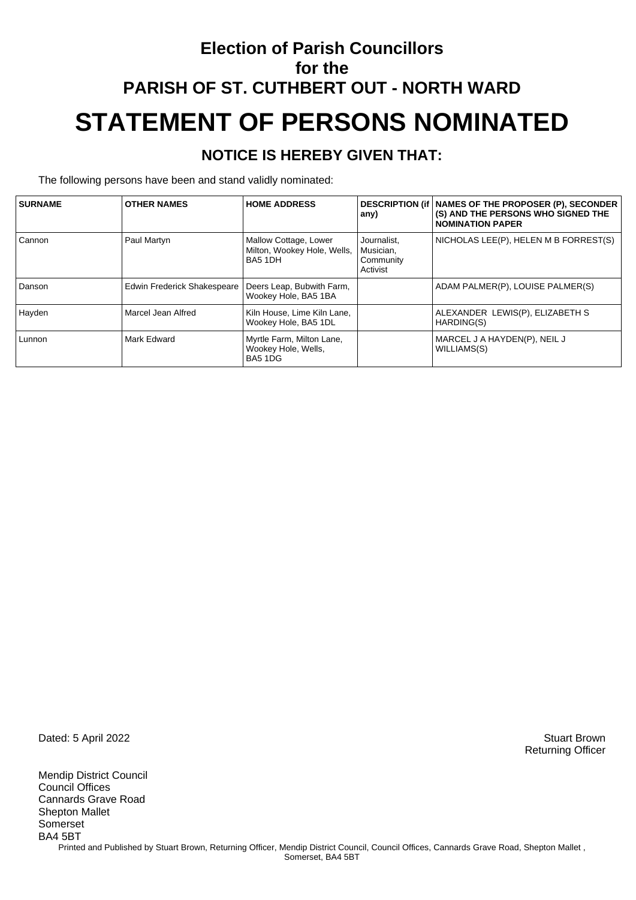## **Election of Parish Councillors for the PARISH OF ST. CUTHBERT OUT - NORTH WARD STATEMENT OF PERSONS NOMINATED**

#### **NOTICE IS HEREBY GIVEN THAT:**

The following persons have been and stand validly nominated:

| <b>SURNAME</b> | <b>OTHER NAMES</b>          | <b>HOME ADDRESS</b>                                             | any)                                              | DESCRIPTION (if   NAMES OF THE PROPOSER (P), SECONDER<br>(S) AND THE PERSONS WHO SIGNED THE<br><b>NOMINATION PAPER</b> |
|----------------|-----------------------------|-----------------------------------------------------------------|---------------------------------------------------|------------------------------------------------------------------------------------------------------------------------|
| Cannon         | Paul Martyn                 | Mallow Cottage, Lower<br>Milton, Wookey Hole, Wells,<br>BA5 1DH | Journalist.<br>Musician,<br>Community<br>Activist | NICHOLAS LEE(P), HELEN M B FORREST(S)                                                                                  |
| Danson         | Edwin Frederick Shakespeare | Deers Leap, Bubwith Farm,<br>Wookey Hole, BA5 1BA               |                                                   | ADAM PALMER(P), LOUISE PALMER(S)                                                                                       |
| Hayden         | Marcel Jean Alfred          | Kiln House, Lime Kiln Lane,<br>Wookey Hole, BA5 1DL             |                                                   | ALEXANDER LEWIS(P), ELIZABETH S<br>HARDING(S)                                                                          |
| l Lunnon       | Mark Edward                 | Myrtle Farm, Milton Lane,<br>Wookey Hole, Wells,<br>BA5 1DG     |                                                   | MARCEL J A HAYDEN(P), NEIL J<br>WILLIAMS(S)                                                                            |

Dated: 5 April 2022 Stuart Brown

Mendip District Council Council Offices Cannards Grave Road Shepton Mallet Somerset BA4 5BT Printed and Published by Stuart Brown, Returning Officer, Mendip District Council, Council Offices, Cannards Grave Road, Shepton Mallet, Somerset, BA4 5BT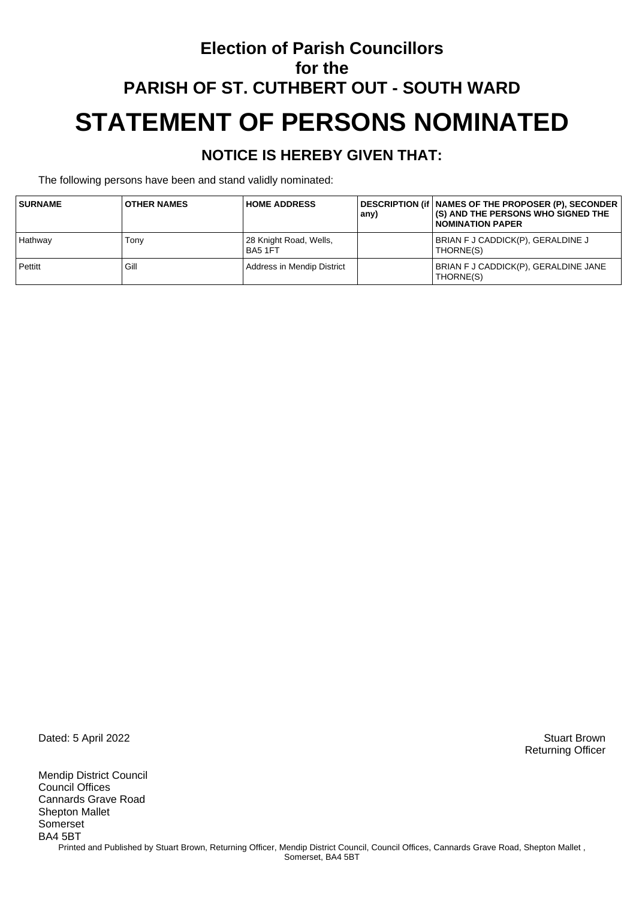### **Election of Parish Councillors for the PARISH OF ST. CUTHBERT OUT - SOUTH WARD STATEMENT OF PERSONS NOMINATED**

#### **NOTICE IS HEREBY GIVEN THAT:**

The following persons have been and stand validly nominated:

| <b>SURNAME</b> | <b>OTHER NAMES</b> | <b>HOME ADDRESS</b>               | any) | DESCRIPTION (if   NAMES OF THE PROPOSER (P), SECONDER<br>(S) AND THE PERSONS WHO SIGNED THE<br><b>NOMINATION PAPER</b> |
|----------------|--------------------|-----------------------------------|------|------------------------------------------------------------------------------------------------------------------------|
| Hathway        | Tonv               | 28 Knight Road, Wells,<br>BA5 1FT |      | BRIAN F J CADDICK(P), GERALDINE J<br>THORNE(S)                                                                         |
| Pettitt        | Gill               | Address in Mendip District        |      | BRIAN F J CADDICK(P), GERALDINE JANE<br>THORNE(S)                                                                      |

Dated: 5 April 2022 Stuart Brown

Mendip District Council Council Offices Cannards Grave Road Shepton Mallet Somerset BA4 5BT Printed and Published by Stuart Brown, Returning Officer, Mendip District Council, Council Offices, Cannards Grave Road, Shepton Mallet, Somerset, BA4 5BT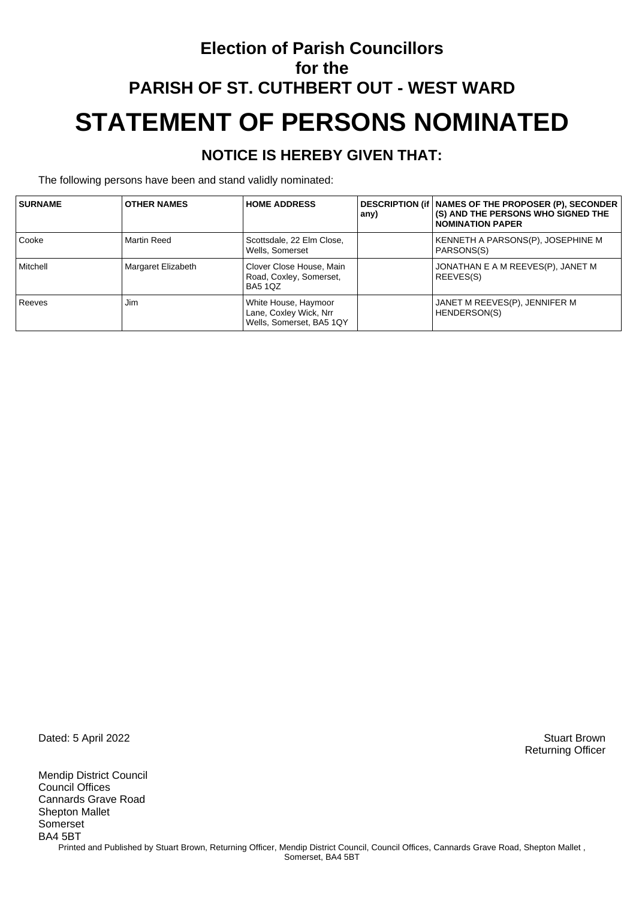### **Election of Parish Councillors for the PARISH OF ST. CUTHBERT OUT - WEST WARD STATEMENT OF PERSONS NOMINATED**

#### **NOTICE IS HEREBY GIVEN THAT:**

The following persons have been and stand validly nominated:

| <b>SURNAME</b> | <b>OTHER NAMES</b> | <b>HOME ADDRESS</b>                                                        | any) | DESCRIPTION (if   NAMES OF THE PROPOSER (P), SECONDER<br>(S) AND THE PERSONS WHO SIGNED THE<br><b>NOMINATION PAPER</b> |
|----------------|--------------------|----------------------------------------------------------------------------|------|------------------------------------------------------------------------------------------------------------------------|
| Cooke          | Martin Reed        | Scottsdale, 22 Elm Close,<br>Wells, Somerset                               |      | KENNETH A PARSONS(P), JOSEPHINE M<br>PARSONS(S)                                                                        |
| Mitchell       | Margaret Elizabeth | Clover Close House, Main<br>Road, Coxley, Somerset,<br><b>BA5 1QZ</b>      |      | JONATHAN E A M REEVES(P), JANET M<br>REEVES(S)                                                                         |
| Reeves         | Jim                | White House, Haymoor<br>Lane, Coxley Wick, Nrr<br>Wells, Somerset, BA5 1QY |      | JANET M REEVES(P), JENNIFER M<br>HENDERSON(S)                                                                          |

Dated: 5 April 2022 Stuart Brown

Mendip District Council Council Offices Cannards Grave Road Shepton Mallet Somerset BA4 5BT Printed and Published by Stuart Brown, Returning Officer, Mendip District Council, Council Offices, Cannards Grave Road, Shepton Mallet, Somerset, BA4 5BT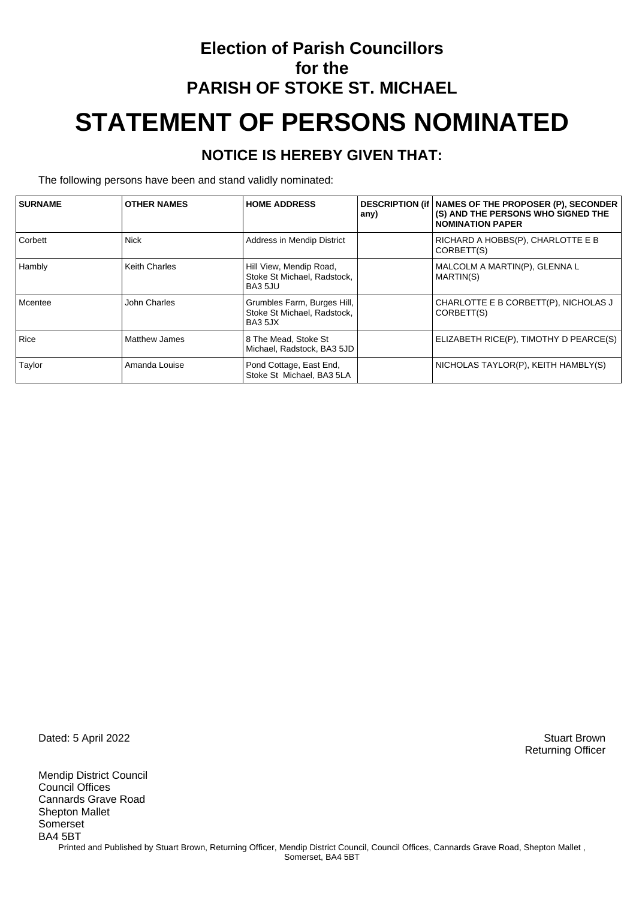## **Election of Parish Councillors for the PARISH OF STOKE ST. MICHAEL STATEMENT OF PERSONS NOMINATED**

#### **NOTICE IS HEREBY GIVEN THAT:**

The following persons have been and stand validly nominated:

| <b>SURNAME</b> | <b>OTHER NAMES</b>   | <b>HOME ADDRESS</b>                                                   | any) | DESCRIPTION (if   NAMES OF THE PROPOSER (P), SECONDER<br>(S) AND THE PERSONS WHO SIGNED THE<br><b>NOMINATION PAPER</b> |
|----------------|----------------------|-----------------------------------------------------------------------|------|------------------------------------------------------------------------------------------------------------------------|
| Corbett        | <b>Nick</b>          | Address in Mendip District                                            |      | RICHARD A HOBBS(P), CHARLOTTE E B<br>CORBETT(S)                                                                        |
| Hambly         | <b>Keith Charles</b> | Hill View, Mendip Road,<br>Stoke St Michael, Radstock,<br>BA3 5JU     |      | MALCOLM A MARTIN(P), GLENNA L<br>MARTIN(S)                                                                             |
| Mcentee        | John Charles         | Grumbles Farm, Burges Hill,<br>Stoke St Michael, Radstock,<br>BA3 5JX |      | CHARLOTTE E B CORBETT(P), NICHOLAS J<br>CORBETT(S)                                                                     |
| Rice           | <b>Matthew James</b> | 8 The Mead, Stoke St<br>Michael, Radstock, BA3 5JD                    |      | ELIZABETH RICE(P), TIMOTHY D PEARCE(S)                                                                                 |
| Taylor         | Amanda Louise        | Pond Cottage, East End,<br>Stoke St Michael, BA3 5LA                  |      | NICHOLAS TAYLOR(P), KEITH HAMBLY(S)                                                                                    |

Dated: 5 April 2022 Stuart Brown

Mendip District Council Council Offices Cannards Grave Road Shepton Mallet Somerset BA4 5BT Printed and Published by Stuart Brown, Returning Officer, Mendip District Council, Council Offices, Cannards Grave Road, Shepton Mallet, Somerset, BA4 5BT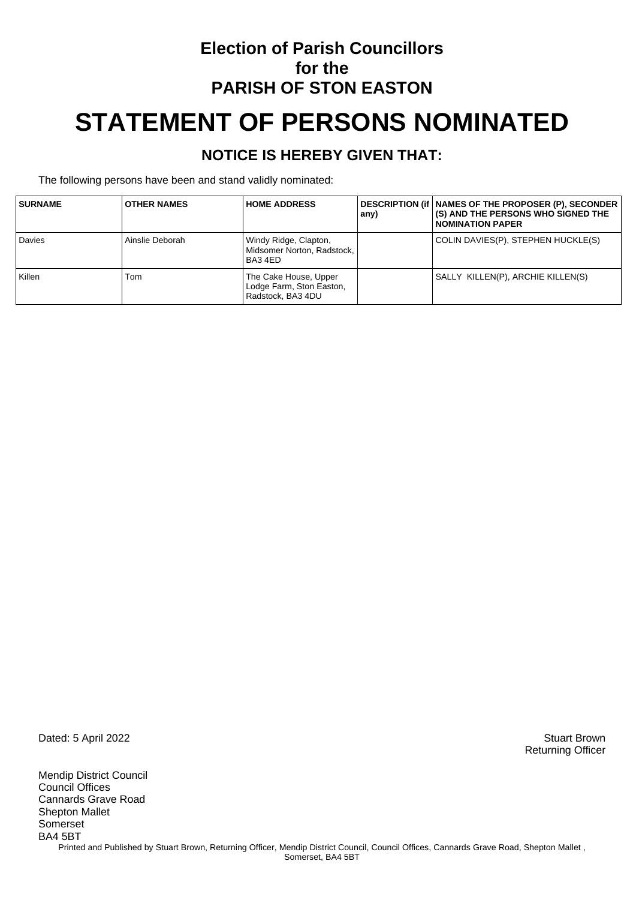## **Election of Parish Councillors for the PARISH OF STON EASTON STATEMENT OF PERSONS NOMINATED**

#### **NOTICE IS HEREBY GIVEN THAT:**

The following persons have been and stand validly nominated:

| <b>SURNAME</b> | <b>OTHER NAMES</b> | <b>HOME ADDRESS</b>                                                    | any) | DESCRIPTION (if   NAMES OF THE PROPOSER (P), SECONDER<br>(S) AND THE PERSONS WHO SIGNED THE<br><b>NOMINATION PAPER</b> |
|----------------|--------------------|------------------------------------------------------------------------|------|------------------------------------------------------------------------------------------------------------------------|
| <b>Davies</b>  | Ainslie Deborah    | Windy Ridge, Clapton,<br>Midsomer Norton, Radstock.<br>BA34ED          |      | COLIN DAVIES(P), STEPHEN HUCKLE(S)                                                                                     |
| Killen         | Tom                | The Cake House, Upper<br>Lodge Farm, Ston Easton,<br>Radstock, BA3 4DU |      | SALLY KILLEN(P), ARCHIE KILLEN(S)                                                                                      |

Dated: 5 April 2022 Stuart Brown

Mendip District Council Council Offices Cannards Grave Road Shepton Mallet Somerset BA4 5BT Printed and Published by Stuart Brown, Returning Officer, Mendip District Council, Council Offices, Cannards Grave Road, Shepton Mallet, Somerset, BA4 5BT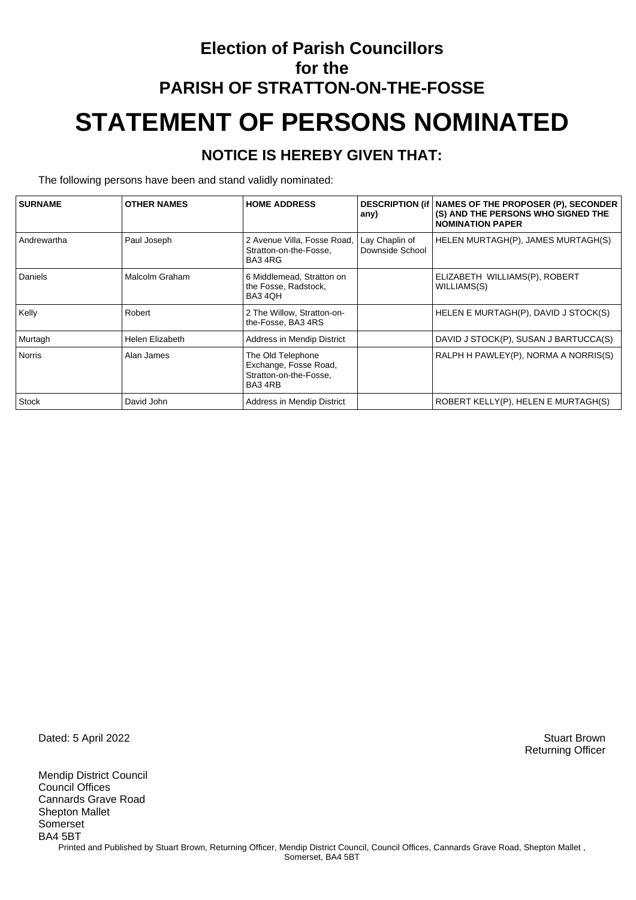## **Election of Parish Councillors for the PARISH OF STRATTON-ON-THE-FOSSE STATEMENT OF PERSONS NOMINATED**

#### **NOTICE IS HEREBY GIVEN THAT:**

The following persons have been and stand validly nominated:

| <b>SURNAME</b> | <b>OTHER NAMES</b> | <b>HOME ADDRESS</b>                                                            | any)                              | DESCRIPTION (if   NAMES OF THE PROPOSER (P), SECONDER<br>(S) AND THE PERSONS WHO SIGNED THE<br><b>NOMINATION PAPER</b> |
|----------------|--------------------|--------------------------------------------------------------------------------|-----------------------------------|------------------------------------------------------------------------------------------------------------------------|
| Andrewartha    | Paul Joseph        | 2 Avenue Villa, Fosse Road,<br>Stratton-on-the-Fosse,<br>BA34RG                | Lay Chaplin of<br>Downside School | HELEN MURTAGH(P), JAMES MURTAGH(S)                                                                                     |
| Daniels        | Malcolm Graham     | 6 Middlemead, Stratton on<br>the Fosse, Radstock,<br>BA3 4QH                   |                                   | ELIZABETH WILLIAMS(P), ROBERT<br>WILLIAMS(S)                                                                           |
| Kelly          | Robert             | 2 The Willow, Stratton-on-<br>the-Fosse, BA3 4RS                               |                                   | HELEN E MURTAGH(P), DAVID J STOCK(S)                                                                                   |
| Murtagh        | Helen Elizabeth    | Address in Mendip District                                                     |                                   | DAVID J STOCK(P), SUSAN J BARTUCCA(S)                                                                                  |
| Norris         | Alan James         | The Old Telephone<br>Exchange, Fosse Road,<br>Stratton-on-the-Fosse,<br>BA34RB |                                   | RALPH H PAWLEY(P), NORMA A NORRIS(S)                                                                                   |
| Stock          | David John         | Address in Mendip District                                                     |                                   | ROBERT KELLY(P), HELEN E MURTAGH(S)                                                                                    |

Dated: 5 April 2022 Stuart Brown

Mendip District Council Council Offices Cannards Grave Road Shepton Mallet Somerset BA4 5BT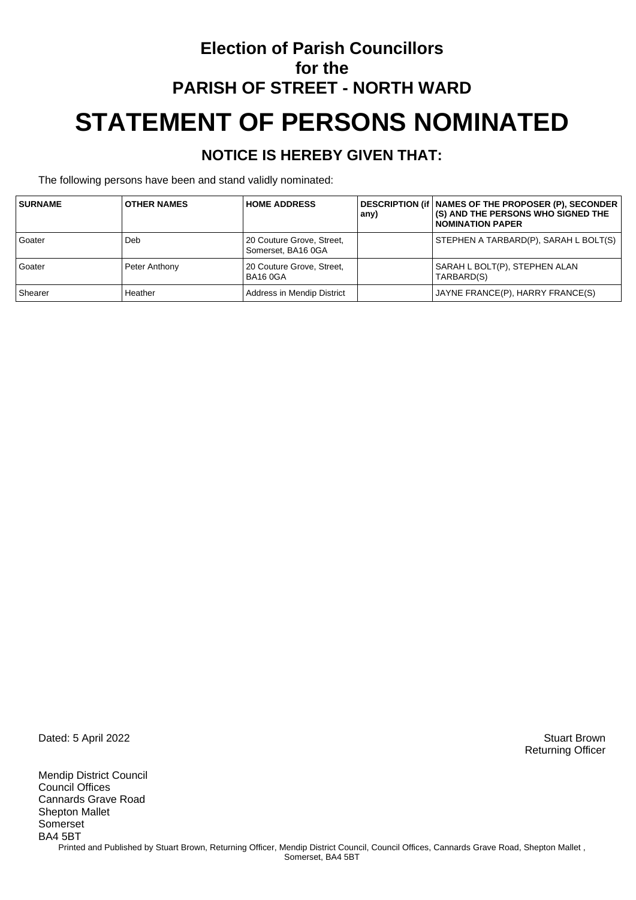## **Election of Parish Councillors for the PARISH OF STREET - NORTH WARD STATEMENT OF PERSONS NOMINATED**

#### **NOTICE IS HEREBY GIVEN THAT:**

The following persons have been and stand validly nominated:

| <b>SURNAME</b> | <b>OTHER NAMES</b> | <b>HOME ADDRESS</b>                             | any) | DESCRIPTION (if   NAMES OF THE PROPOSER (P), SECONDER<br>(S) AND THE PERSONS WHO SIGNED THE<br><b>NOMINATION PAPER</b> |
|----------------|--------------------|-------------------------------------------------|------|------------------------------------------------------------------------------------------------------------------------|
| Goater         | Deb                | 20 Couture Grove, Street,<br>Somerset, BA16 0GA |      | STEPHEN A TARBARD(P), SARAH L BOLT(S)                                                                                  |
| Goater         | Peter Anthony      | 20 Couture Grove, Street,<br><b>BA16 0GA</b>    |      | SARAH L BOLT(P), STEPHEN ALAN<br>TARBARD(S)                                                                            |
| Shearer        | Heather            | Address in Mendip District                      |      | JAYNE FRANCE(P), HARRY FRANCE(S)                                                                                       |

Dated: 5 April 2022 Stuart Brown

Mendip District Council Council Offices Cannards Grave Road Shepton Mallet Somerset BA4 5BT Printed and Published by Stuart Brown, Returning Officer, Mendip District Council, Council Offices, Cannards Grave Road, Shepton Mallet, Somerset, BA4 5BT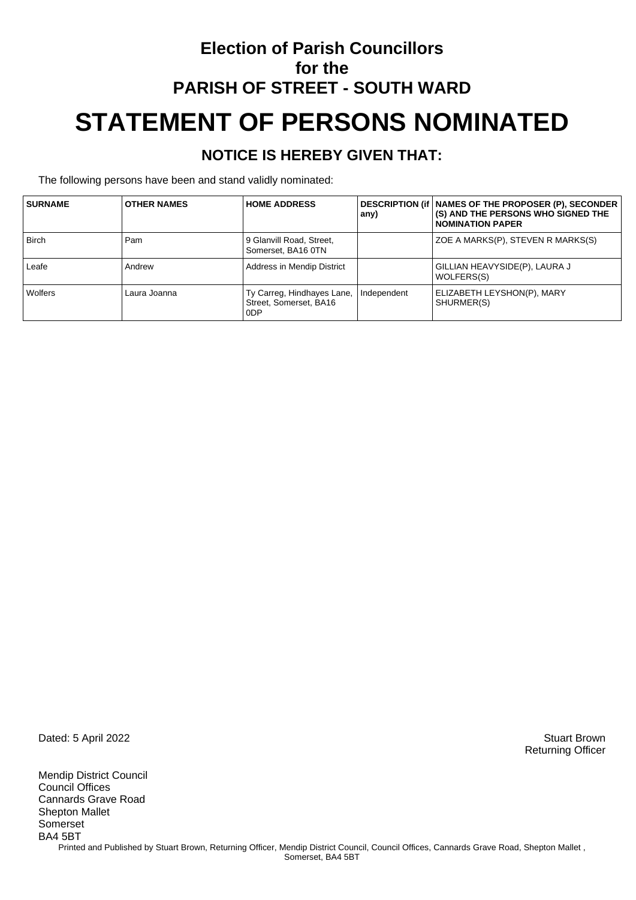## **Election of Parish Councillors for the PARISH OF STREET - SOUTH WARD STATEMENT OF PERSONS NOMINATED**

#### **NOTICE IS HEREBY GIVEN THAT:**

The following persons have been and stand validly nominated:

| <b>SURNAME</b> | <b>OTHER NAMES</b> | <b>HOME ADDRESS</b>                                         | any)        | DESCRIPTION (if   NAMES OF THE PROPOSER (P), SECONDER<br>(S) AND THE PERSONS WHO SIGNED THE<br><b>NOMINATION PAPER</b> |
|----------------|--------------------|-------------------------------------------------------------|-------------|------------------------------------------------------------------------------------------------------------------------|
| <b>Birch</b>   | Pam                | 9 Glanvill Road, Street,<br>Somerset, BA16 0TN              |             | ZOE A MARKS(P), STEVEN R MARKS(S)                                                                                      |
| Leafe          | Andrew             | Address in Mendip District                                  |             | GILLIAN HEAVYSIDE(P), LAURA J<br>WOLFERS(S)                                                                            |
| Wolfers        | Laura Joanna       | Ty Carreg, Hindhayes Lane,<br>Street, Somerset, BA16<br>0DP | Independent | ELIZABETH LEYSHON(P), MARY<br>SHURMER(S)                                                                               |

Dated: 5 April 2022 Stuart Brown

Mendip District Council Council Offices Cannards Grave Road Shepton Mallet Somerset BA4 5BT Printed and Published by Stuart Brown, Returning Officer, Mendip District Council, Council Offices, Cannards Grave Road, Shepton Mallet, Somerset, BA4 5BT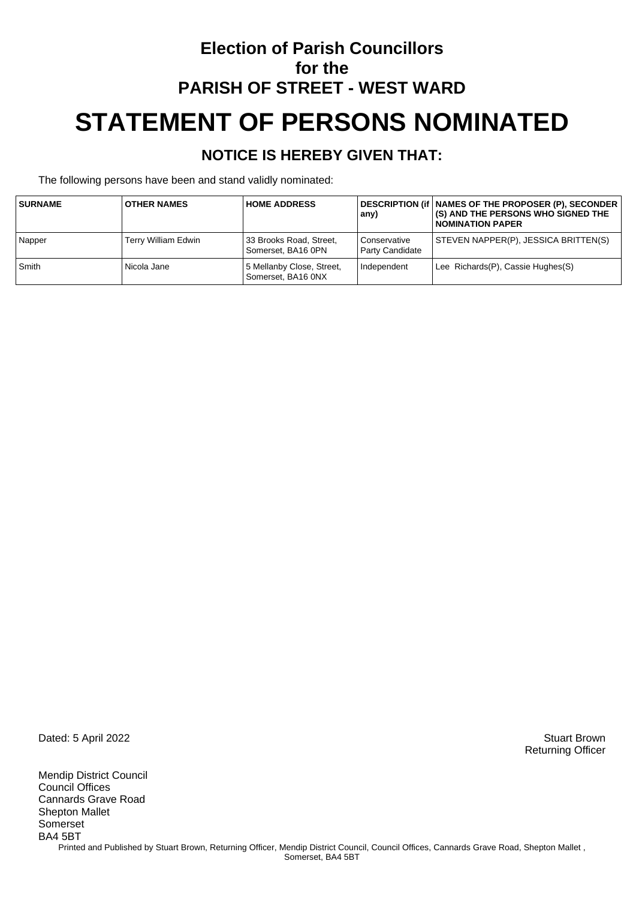## **Election of Parish Councillors for the PARISH OF STREET - WEST WARD STATEMENT OF PERSONS NOMINATED**

#### **NOTICE IS HEREBY GIVEN THAT:**

The following persons have been and stand validly nominated:

| <b>SURNAME</b> | <b>OTHER NAMES</b>  | <b>HOME ADDRESS</b>                             | any)                            | DESCRIPTION (if   NAMES OF THE PROPOSER (P), SECONDER<br><b>(S) AND THE PERSONS WHO SIGNED THE</b><br><b>NOMINATION PAPER</b> |
|----------------|---------------------|-------------------------------------------------|---------------------------------|-------------------------------------------------------------------------------------------------------------------------------|
| Napper         | Terry William Edwin | 33 Brooks Road, Street,<br>Somerset. BA16 0PN   | Conservative<br>Party Candidate | STEVEN NAPPER(P), JESSICA BRITTEN(S)                                                                                          |
| Smith          | Nicola Jane         | 5 Mellanby Close, Street,<br>Somerset, BA16 0NX | Independent                     | Lee Richards(P), Cassie Hughes(S)                                                                                             |

Dated: 5 April 2022 Stuart Brown

Mendip District Council Council Offices Cannards Grave Road Shepton Mallet Somerset BA4 5BT Printed and Published by Stuart Brown, Returning Officer, Mendip District Council, Council Offices, Cannards Grave Road, Shepton Mallet, Somerset, BA4 5BT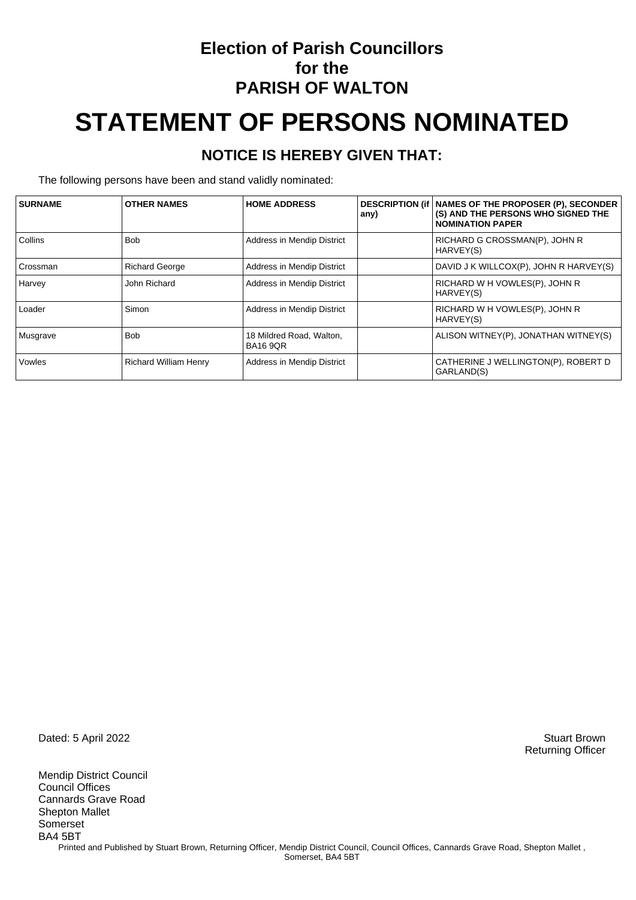### **Election of Parish Councillors for the PARISH OF WALTON**

# **STATEMENT OF PERSONS NOMINATED**

#### **NOTICE IS HEREBY GIVEN THAT:**

The following persons have been and stand validly nominated:

| <b>SURNAME</b>  | <b>OTHER NAMES</b>           | <b>HOME ADDRESS</b>                         | any) | DESCRIPTION (if   NAMES OF THE PROPOSER (P), SECONDER<br>(S) AND THE PERSONS WHO SIGNED THE<br><b>NOMINATION PAPER</b> |
|-----------------|------------------------------|---------------------------------------------|------|------------------------------------------------------------------------------------------------------------------------|
| <b>Collins</b>  | <b>Bob</b>                   | Address in Mendip District                  |      | RICHARD G CROSSMAN(P), JOHN R<br>HARVEY(S)                                                                             |
| <b>Crossman</b> | <b>Richard George</b>        | Address in Mendip District                  |      | DAVID J K WILLCOX(P), JOHN R HARVEY(S)                                                                                 |
| Harvey          | John Richard                 | Address in Mendip District                  |      | RICHARD W H VOWLES(P), JOHN R<br>HARVEY(S)                                                                             |
| Loader          | Simon                        | Address in Mendip District                  |      | RICHARD W H VOWLES(P), JOHN R<br>HARVEY(S)                                                                             |
| Musgrave        | <b>Bob</b>                   | 18 Mildred Road, Walton,<br><b>BA16 9QR</b> |      | ALISON WITNEY(P), JONATHAN WITNEY(S)                                                                                   |
| Vowles          | <b>Richard William Henry</b> | Address in Mendip District                  |      | CATHERINE J WELLINGTON(P), ROBERT D<br>GARLAND(S)                                                                      |

Dated: 5 April 2022 Stuart Brown

Mendip District Council Council Offices Cannards Grave Road Shepton Mallet Somerset BA4 5BT Printed and Published by Stuart Brown, Returning Officer, Mendip District Council, Council Offices, Cannards Grave Road, Shepton Mallet, Somerset, BA4 5BT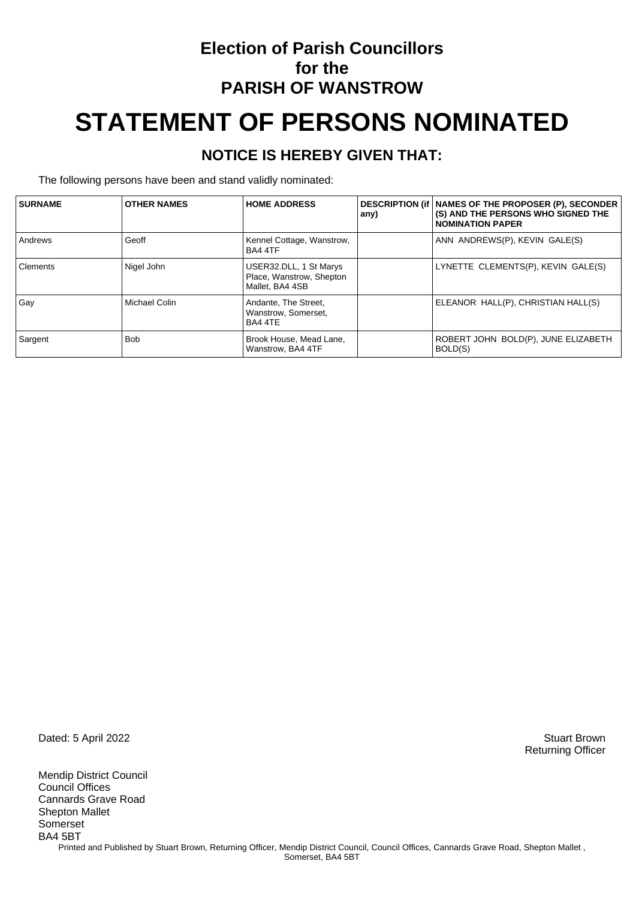### **Election of Parish Councillors for the PARISH OF WANSTROW**

# **STATEMENT OF PERSONS NOMINATED**

#### **NOTICE IS HEREBY GIVEN THAT:**

The following persons have been and stand validly nominated:

| <b>SURNAME</b> | <b>OTHER NAMES</b> | <b>HOME ADDRESS</b>                                                   | any) | DESCRIPTION (if   NAMES OF THE PROPOSER (P), SECONDER<br>(S) AND THE PERSONS WHO SIGNED THE<br><b>NOMINATION PAPER</b> |
|----------------|--------------------|-----------------------------------------------------------------------|------|------------------------------------------------------------------------------------------------------------------------|
| Andrews        | Geoff              | Kennel Cottage, Wanstrow,<br>BA4 4TF                                  |      | ANN ANDREWS(P), KEVIN GALE(S)                                                                                          |
| Clements       | Nigel John         | USER32.DLL, 1 St Marys<br>Place, Wanstrow, Shepton<br>Mallet, BA4 4SB |      | LYNETTE CLEMENTS(P), KEVIN GALE(S)                                                                                     |
| Gay            | Michael Colin      | Andante, The Street,<br>Wanstrow, Somerset,<br>BA4 4TE                |      | ELEANOR HALL(P), CHRISTIAN HALL(S)                                                                                     |
| Sargent        | <b>Bob</b>         | Brook House, Mead Lane,<br>Wanstrow, BA4 4TF                          |      | ROBERT JOHN BOLD(P), JUNE ELIZABETH<br>BOLD(S)                                                                         |

Dated: 5 April 2022 Stuart Brown

Mendip District Council Council Offices Cannards Grave Road Shepton Mallet Somerset BA4 5BT Printed and Published by Stuart Brown, Returning Officer, Mendip District Council, Council Offices, Cannards Grave Road, Shepton Mallet, Somerset, BA4 5BT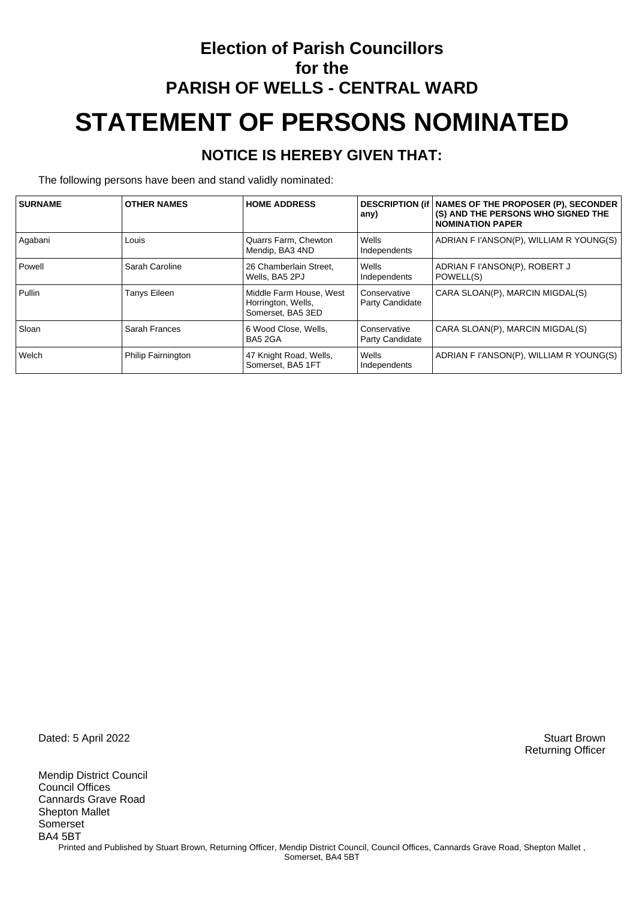## **Election of Parish Councillors for the PARISH OF WELLS - CENTRAL WARD STATEMENT OF PERSONS NOMINATED**

#### **NOTICE IS HEREBY GIVEN THAT:**

The following persons have been and stand validly nominated:

| <b>SURNAME</b> | <b>OTHER NAMES</b> | <b>HOME ADDRESS</b>                                                | any)                            | DESCRIPTION (if   NAMES OF THE PROPOSER (P), SECONDER<br>(S) AND THE PERSONS WHO SIGNED THE<br><b>NOMINATION PAPER</b> |
|----------------|--------------------|--------------------------------------------------------------------|---------------------------------|------------------------------------------------------------------------------------------------------------------------|
| Agabani        | Louis              | Quarrs Farm, Chewton<br>Mendip, BA3 4ND                            | Wells<br>Independents           | ADRIAN F I'ANSON(P), WILLIAM R YOUNG(S)                                                                                |
| Powell         | Sarah Caroline     | 26 Chamberlain Street.<br>Wells, BA5 2PJ                           | Wells<br>Independents           | ADRIAN F I'ANSON(P), ROBERT J<br>POWELL(S)                                                                             |
| Pullin         | Tanys Eileen       | Middle Farm House, West<br>Horrington, Wells,<br>Somerset, BA5 3ED | Conservative<br>Party Candidate | CARA SLOAN(P), MARCIN MIGDAL(S)                                                                                        |
| Sloan          | Sarah Frances      | 6 Wood Close, Wells,<br>BA5 2GA                                    | Conservative<br>Party Candidate | CARA SLOAN(P), MARCIN MIGDAL(S)                                                                                        |
| Welch          | Philip Fairnington | 47 Knight Road, Wells,<br>Somerset, BA5 1FT                        | Wells<br>Independents           | ADRIAN F I'ANSON(P), WILLIAM R YOUNG(S)                                                                                |

Dated: 5 April 2022 Stuart Brown

Mendip District Council Council Offices Cannards Grave Road Shepton Mallet Somerset BA4 5BT Printed and Published by Stuart Brown, Returning Officer, Mendip District Council, Council Offices, Cannards Grave Road, Shepton Mallet, Somerset, BA4 5BT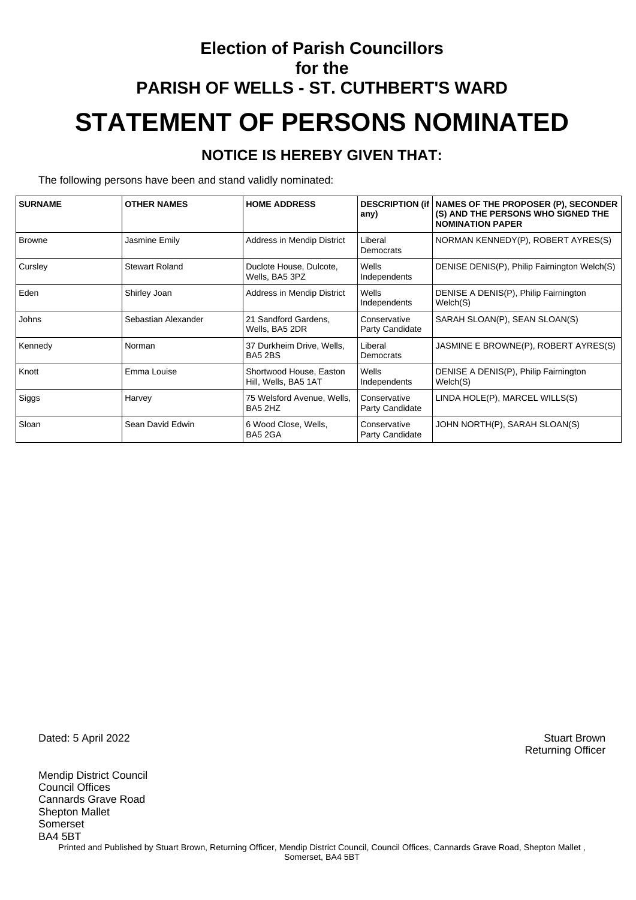## **Election of Parish Councillors for the PARISH OF WELLS - ST. CUTHBERT'S WARD STATEMENT OF PERSONS NOMINATED**

#### **NOTICE IS HEREBY GIVEN THAT:**

The following persons have been and stand validly nominated:

| <b>SURNAME</b> | <b>OTHER NAMES</b>    | <b>HOME ADDRESS</b>                             | any)                            | DESCRIPTION (if   NAMES OF THE PROPOSER (P), SECONDER<br>(S) AND THE PERSONS WHO SIGNED THE<br><b>NOMINATION PAPER</b> |
|----------------|-----------------------|-------------------------------------------------|---------------------------------|------------------------------------------------------------------------------------------------------------------------|
| <b>Browne</b>  | Jasmine Emily         | Address in Mendip District                      | Liberal<br>Democrats            | NORMAN KENNEDY(P), ROBERT AYRES(S)                                                                                     |
| Cursley        | <b>Stewart Roland</b> | Duclote House, Dulcote,<br>Wells, BA5 3PZ       | Wells<br>Independents           | DENISE DENIS(P), Philip Fairnington Welch(S)                                                                           |
| Eden           | Shirley Joan          | Address in Mendip District                      | Wells<br>Independents           | DENISE A DENIS(P), Philip Fairnington<br>Welch(S)                                                                      |
| Johns          | Sebastian Alexander   | 21 Sandford Gardens.<br>Wells, BA5 2DR          | Conservative<br>Party Candidate | SARAH SLOAN(P), SEAN SLOAN(S)                                                                                          |
| Kennedy        | Norman                | 37 Durkheim Drive, Wells,<br>BA5 2BS            | Liberal<br>Democrats            | JASMINE E BROWNE(P), ROBERT AYRES(S)                                                                                   |
| Knott          | Emma Louise           | Shortwood House, Easton<br>Hill, Wells, BA5 1AT | Wells<br>Independents           | DENISE A DENIS(P), Philip Fairnington<br>Welch(S)                                                                      |
| Siggs          | Harvey                | 75 Welsford Avenue, Wells,<br>BA5 2HZ           | Conservative<br>Party Candidate | LINDA HOLE(P), MARCEL WILLS(S)                                                                                         |
| Sloan          | Sean David Edwin      | 6 Wood Close, Wells,<br>BA5 2GA                 | Conservative<br>Party Candidate | JOHN NORTH(P), SARAH SLOAN(S)                                                                                          |

Dated: 5 April 2022 Stuart Brown

Mendip District Council Council Offices Cannards Grave Road Shepton Mallet Somerset BA4 5BT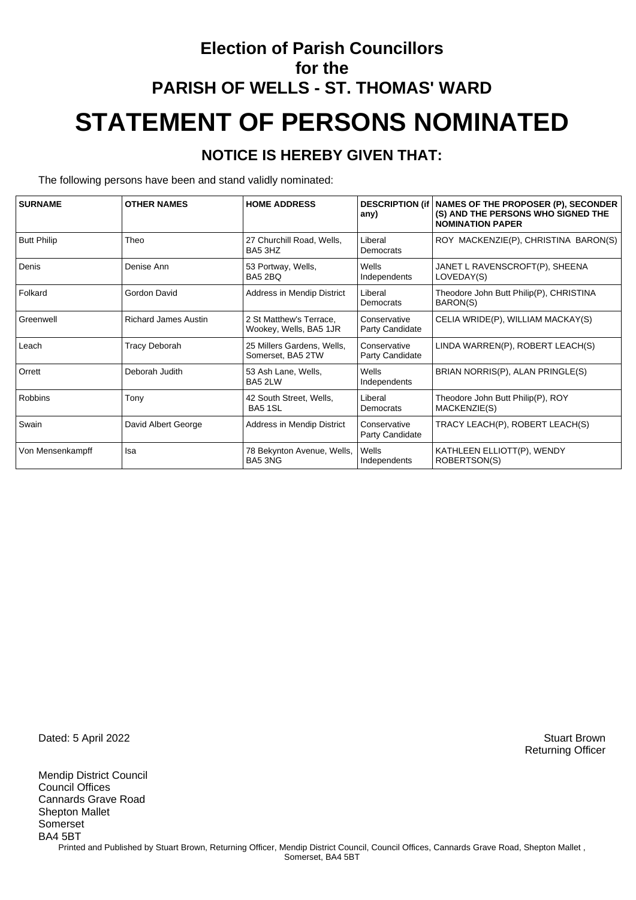## **Election of Parish Councillors for the PARISH OF WELLS - ST. THOMAS' WARD STATEMENT OF PERSONS NOMINATED**

#### **NOTICE IS HEREBY GIVEN THAT:**

The following persons have been and stand validly nominated:

| <b>SURNAME</b>     | <b>OTHER NAMES</b>          | <b>HOME ADDRESS</b>                               | any)                            | DESCRIPTION (if   NAMES OF THE PROPOSER (P), SECONDER<br>(S) AND THE PERSONS WHO SIGNED THE<br><b>NOMINATION PAPER</b> |
|--------------------|-----------------------------|---------------------------------------------------|---------------------------------|------------------------------------------------------------------------------------------------------------------------|
| <b>Butt Philip</b> | Theo                        | 27 Churchill Road, Wells,<br>BA5 3HZ              | Liberal<br>Democrats            | ROY MACKENZIE(P), CHRISTINA BARON(S)                                                                                   |
| Denis              | Denise Ann                  | 53 Portway, Wells,<br>BA5 2BQ                     | Wells<br>Independents           | JANET L RAVENSCROFT(P), SHEENA<br>LOVEDAY(S)                                                                           |
| Folkard            | Gordon David                | Address in Mendip District                        | Liberal<br>Democrats            | Theodore John Butt Philip(P), CHRISTINA<br>BARON(S)                                                                    |
| Greenwell          | <b>Richard James Austin</b> | 2 St Matthew's Terrace,<br>Wookey, Wells, BA5 1JR | Conservative<br>Party Candidate | CELIA WRIDE(P), WILLIAM MACKAY(S)                                                                                      |
| Leach              | <b>Tracy Deborah</b>        | 25 Millers Gardens, Wells,<br>Somerset, BA5 2TW   | Conservative<br>Party Candidate | LINDA WARREN(P), ROBERT LEACH(S)                                                                                       |
| Orrett             | Deborah Judith              | 53 Ash Lane, Wells,<br>BA5 2LW                    | Wells<br>Independents           | BRIAN NORRIS(P), ALAN PRINGLE(S)                                                                                       |
| <b>Robbins</b>     | Tony                        | 42 South Street, Wells,<br><b>BA5 1SL</b>         | Liberal<br>Democrats            | Theodore John Butt Philip(P), ROY<br>MACKENZIE(S)                                                                      |
| Swain              | David Albert George         | Address in Mendip District                        | Conservative<br>Party Candidate | TRACY LEACH(P), ROBERT LEACH(S)                                                                                        |
| Von Mensenkampff   | Isa                         | 78 Bekynton Avenue, Wells,<br>BA5 3NG             | Wells<br>Independents           | KATHLEEN ELLIOTT(P), WENDY<br>ROBERTSON(S)                                                                             |

Dated: 5 April 2022 Stuart Brown

Mendip District Council Council Offices Cannards Grave Road Shepton Mallet Somerset BA4 5BT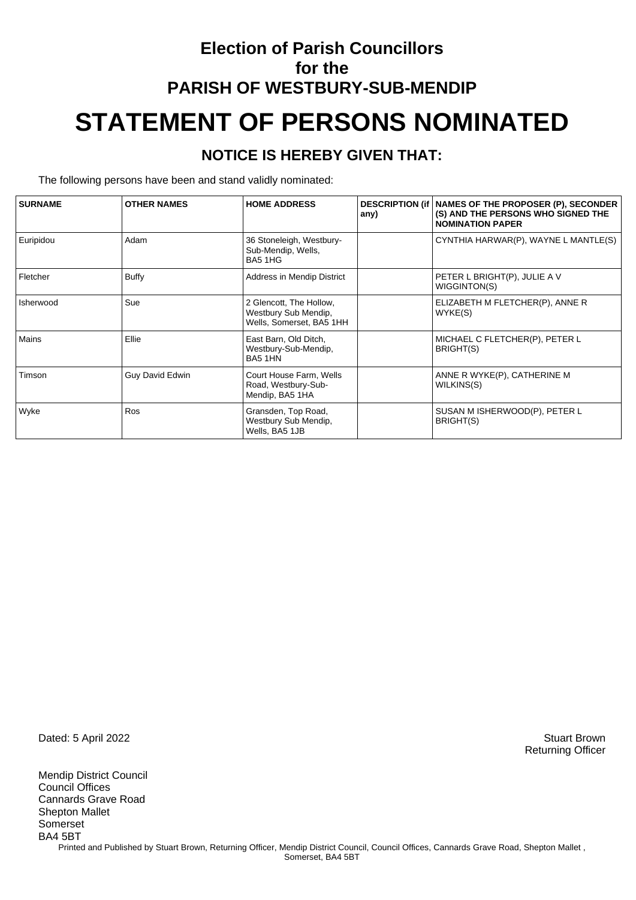## **Election of Parish Councillors for the PARISH OF WESTBURY-SUB-MENDIP STATEMENT OF PERSONS NOMINATED**

#### **NOTICE IS HEREBY GIVEN THAT:**

The following persons have been and stand validly nominated:

| <b>SURNAME</b> | <b>OTHER NAMES</b>     | <b>HOME ADDRESS</b>                                                         | any) | DESCRIPTION (if   NAMES OF THE PROPOSER (P), SECONDER<br>(S) AND THE PERSONS WHO SIGNED THE<br><b>NOMINATION PAPER</b> |
|----------------|------------------------|-----------------------------------------------------------------------------|------|------------------------------------------------------------------------------------------------------------------------|
| Euripidou      | Adam                   | 36 Stoneleigh, Westbury-<br>Sub-Mendip, Wells,<br>BA5 1HG                   |      | CYNTHIA HARWAR(P), WAYNE L MANTLE(S)                                                                                   |
| Fletcher       | Buffy                  | Address in Mendip District                                                  |      | PETER L BRIGHT(P), JULIE A V<br>WIGGINTON(S)                                                                           |
| Isherwood      | Sue                    | 2 Glencott, The Hollow,<br>Westbury Sub Mendip,<br>Wells, Somerset, BA5 1HH |      | ELIZABETH M FLETCHER(P), ANNE R<br>WYKE(S)                                                                             |
| Mains          | Ellie                  | East Barn, Old Ditch,<br>Westbury-Sub-Mendip,<br>BA5 1HN                    |      | MICHAEL C FLETCHER(P), PETER L<br>BRIGHT(S)                                                                            |
| Timson         | <b>Guy David Edwin</b> | Court House Farm, Wells<br>Road, Westbury-Sub-<br>Mendip, BA5 1HA           |      | ANNE R WYKE(P), CATHERINE M<br>WILKINS(S)                                                                              |
| Wyke           | Ros                    | Gransden, Top Road,<br>Westbury Sub Mendip,<br>Wells, BA5 1JB               |      | SUSAN M ISHERWOOD(P), PETER L<br>BRIGHT(S)                                                                             |

Dated: 5 April 2022 Stuart Brown

Mendip District Council Council Offices Cannards Grave Road Shepton Mallet Somerset BA4 5BT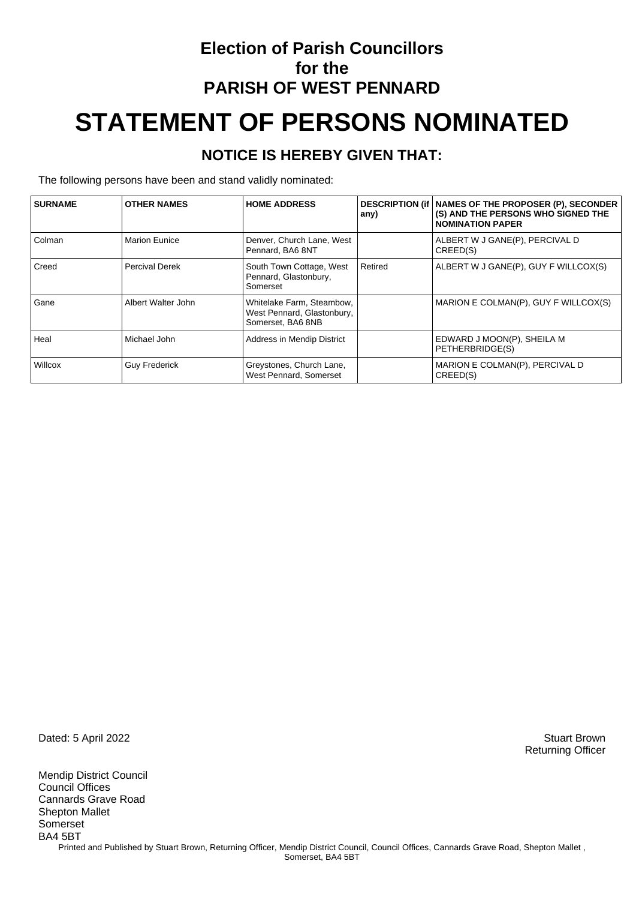## **Election of Parish Councillors for the PARISH OF WEST PENNARD STATEMENT OF PERSONS NOMINATED**

#### **NOTICE IS HEREBY GIVEN THAT:**

The following persons have been and stand validly nominated:

| <b>SURNAME</b> | <b>OTHER NAMES</b>    | <b>HOME ADDRESS</b>                                                          | any)    | <b>DESCRIPTION (if   NAMES OF THE PROPOSER (P), SECONDER</b><br>(S) AND THE PERSONS WHO SIGNED THE<br><b>NOMINATION PAPER</b> |
|----------------|-----------------------|------------------------------------------------------------------------------|---------|-------------------------------------------------------------------------------------------------------------------------------|
| Colman         | <b>Marion Eunice</b>  | Denver, Church Lane, West<br>Pennard, BA6 8NT                                |         | ALBERT W J GANE(P), PERCIVAL D<br>CREED(S)                                                                                    |
| Creed          | <b>Percival Derek</b> | South Town Cottage, West<br>Pennard, Glastonbury,<br>Somerset                | Retired | ALBERT W J GANE(P), GUY F WILLCOX(S)                                                                                          |
| Gane           | Albert Walter John    | Whitelake Farm, Steambow,<br>West Pennard, Glastonbury,<br>Somerset, BA6 8NB |         | MARION E COLMAN(P), GUY F WILLCOX(S)                                                                                          |
| Heal           | Michael John          | Address in Mendip District                                                   |         | EDWARD J MOON(P), SHEILA M<br>PETHERBRIDGE(S)                                                                                 |
| Willcox        | <b>Guy Frederick</b>  | Greystones, Church Lane,<br>West Pennard, Somerset                           |         | MARION E COLMAN(P), PERCIVAL D<br>CREED(S)                                                                                    |

Dated: 5 April 2022 Stuart Brown

Mendip District Council Council Offices Cannards Grave Road Shepton Mallet Somerset BA4 5BT Printed and Published by Stuart Brown, Returning Officer, Mendip District Council, Council Offices, Cannards Grave Road, Shepton Mallet, Somerset, BA4 5BT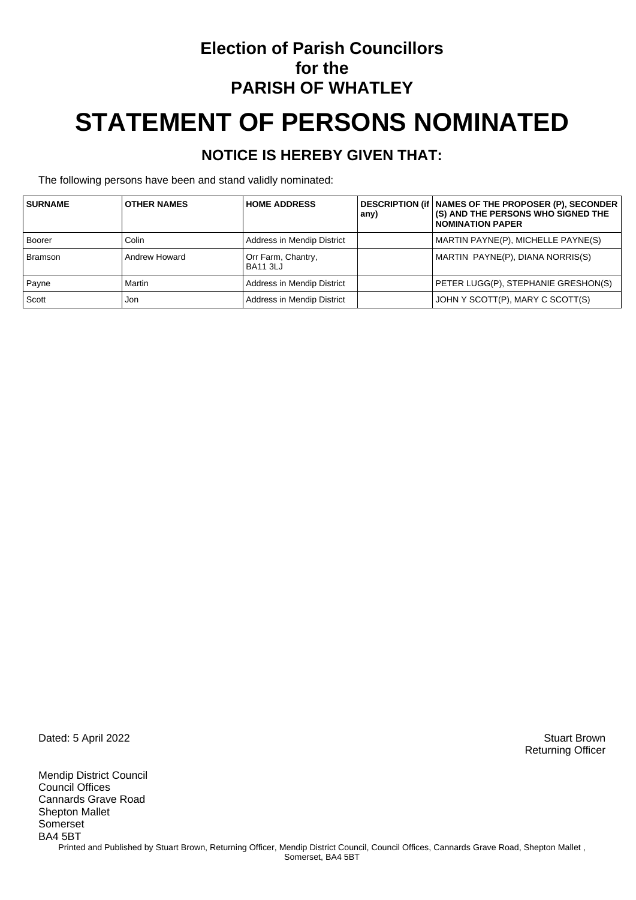### **Election of Parish Councillors for the PARISH OF WHATLEY**

# **STATEMENT OF PERSONS NOMINATED**

#### **NOTICE IS HEREBY GIVEN THAT:**

The following persons have been and stand validly nominated:

| <b>SURNAME</b> | <b>OTHER NAMES</b> | <b>HOME ADDRESS</b>                   | any) | DESCRIPTION (if   NAMES OF THE PROPOSER (P), SECONDER<br>(S) AND THE PERSONS WHO SIGNED THE<br><b>NOMINATION PAPER</b> |
|----------------|--------------------|---------------------------------------|------|------------------------------------------------------------------------------------------------------------------------|
| Boorer         | Colin              | Address in Mendip District            |      | MARTIN PAYNE(P), MICHELLE PAYNE(S)                                                                                     |
| Bramson        | Andrew Howard      | Orr Farm, Chantry,<br><b>BA11 3LJ</b> |      | MARTIN PAYNE(P), DIANA NORRIS(S)                                                                                       |
| Payne          | Martin             | Address in Mendip District            |      | PETER LUGG(P), STEPHANIE GRESHON(S)                                                                                    |
| Scott          | Jon                | Address in Mendip District            |      | JOHN Y SCOTT(P), MARY C SCOTT(S)                                                                                       |

Dated: 5 April 2022 Stuart Brown

Mendip District Council Council Offices Cannards Grave Road Shepton Mallet Somerset BA4 5BT Printed and Published by Stuart Brown, Returning Officer, Mendip District Council, Council Offices, Cannards Grave Road, Shepton Mallet, Somerset, BA4 5BT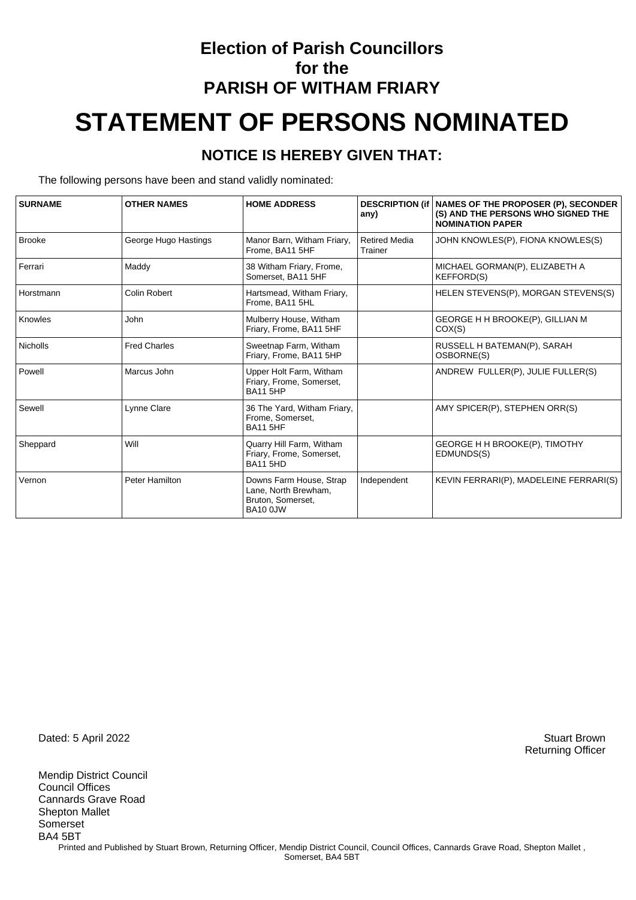## **Election of Parish Councillors for the PARISH OF WITHAM FRIARY STATEMENT OF PERSONS NOMINATED**

#### **NOTICE IS HEREBY GIVEN THAT:**

The following persons have been and stand validly nominated:

| <b>SURNAME</b>  | <b>OTHER NAMES</b>    | <b>HOME ADDRESS</b>                                                              | <b>DESCRIPTION (if</b><br>any)  | NAMES OF THE PROPOSER (P), SECONDER<br>(S) AND THE PERSONS WHO SIGNED THE<br><b>NOMINATION PAPER</b> |
|-----------------|-----------------------|----------------------------------------------------------------------------------|---------------------------------|------------------------------------------------------------------------------------------------------|
| Brooke          | George Hugo Hastings  | Manor Barn, Witham Friary,<br>Frome, BA11 5HF                                    | <b>Retired Media</b><br>Trainer | JOHN KNOWLES(P), FIONA KNOWLES(S)                                                                    |
| Ferrari         | Maddy                 | 38 Witham Friary, Frome,<br>Somerset. BA11 5HF                                   |                                 | MICHAEL GORMAN(P), ELIZABETH A<br><b>KEFFORD(S)</b>                                                  |
| Horstmann       | Colin Robert          | Hartsmead, Witham Friary,<br>Frome. BA11 5HL                                     |                                 | HELEN STEVENS(P), MORGAN STEVENS(S)                                                                  |
| Knowles         | John                  | Mulberry House, Witham<br>Friary, Frome, BA11 5HF                                |                                 | GEORGE H H BROOKE(P), GILLIAN M<br>COX(S)                                                            |
| <b>Nicholls</b> | <b>Fred Charles</b>   | Sweetnap Farm, Witham<br>Friary, Frome, BA11 5HP                                 |                                 | RUSSELL H BATEMAN(P), SARAH<br>OSBORNE(S)                                                            |
| Powell          | Marcus John           | Upper Holt Farm, Witham<br>Friary, Frome, Somerset,<br><b>BA11 5HP</b>           |                                 | ANDREW FULLER(P), JULIE FULLER(S)                                                                    |
| Sewell          | Lynne Clare           | 36 The Yard, Witham Friary,<br>Frome, Somerset,<br><b>BA11 5HF</b>               |                                 | AMY SPICER(P), STEPHEN ORR(S)                                                                        |
| Sheppard        | Will                  | Quarry Hill Farm, Witham<br>Friary, Frome, Somerset,<br><b>BA11 5HD</b>          |                                 | <b>GEORGE H H BROOKE(P), TIMOTHY</b><br>EDMUNDS(S)                                                   |
| Vernon          | <b>Peter Hamilton</b> | Downs Farm House, Strap<br>Lane, North Brewham,<br>Bruton, Somerset,<br>BA10 0JW | Independent                     | KEVIN FERRARI(P), MADELEINE FERRARI(S)                                                               |

Dated: 5 April 2022 Stuart Brown

Mendip District Council Council Offices Cannards Grave Road Shepton Mallet Somerset BA4 5BT